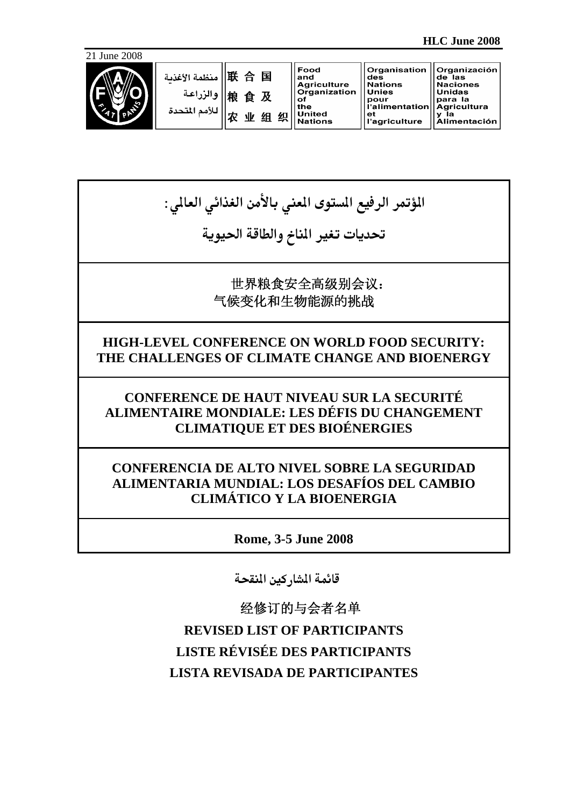



| 联 合 国   منظمة الأغذنة<br>  اوالزراعة    線 食 及<br>  للأمم المتحدة<br>织<br>۱W<br>细 | Food<br>and<br><b>Agriculture</b><br>Organization<br>оf<br>the<br><b>United</b><br><b>Nations</b> | <b>Organisation</b><br>des<br><b>Nations</b><br><b>Unies</b><br>pour<br><b>I'alimentation</b><br>еt<br>l'agriculture | Organización<br>de las<br><b>Naciones</b><br>  Unidas<br>para la<br>Agricultura<br>la<br><b>Alimentación</b> |
|----------------------------------------------------------------------------------|---------------------------------------------------------------------------------------------------|----------------------------------------------------------------------------------------------------------------------|--------------------------------------------------------------------------------------------------------------|
|----------------------------------------------------------------------------------|---------------------------------------------------------------------------------------------------|----------------------------------------------------------------------------------------------------------------------|--------------------------------------------------------------------------------------------------------------|

المؤتمر الرفيع المستوى المعني بالأمن الغذائي العالي :

تحديات تغير المناخ والطاقة الحيوية

世界粮食安全高级别会议: 气候变化和生物能源的挑战

# **HIGH-LEVEL CONFERENCE ON WORLD FOOD SECURITY: THE CHALLENGES OF CLIMATE CHANGE AND BIOENERGY**

**CONFERENCE DE HAUT NIVEAU SUR LA SECURITÉ ALIMENTAIRE MONDIALE: LES DÉFIS DU CHANGEMENT CLIMATIQUE ET DES BIOÉNERGIES** 

# **CONFERENCIA DE ALTO NIVEL SOBRE LA SEGURIDAD ALIMENTARIA MUNDIAL: LOS DESAFÍOS DEL CAMBIO CLIMÁTICO Y LA BIOENERGIA**

**Rome, 3-5 June 2008** 

قائمة المشاركين المنقحة

经修订的与会者名单 **REVISED LIST OF PARTICIPANTS LISTE RÉVISÉE DES PARTICIPANTS LISTA REVISADA DE PARTICIPANTES**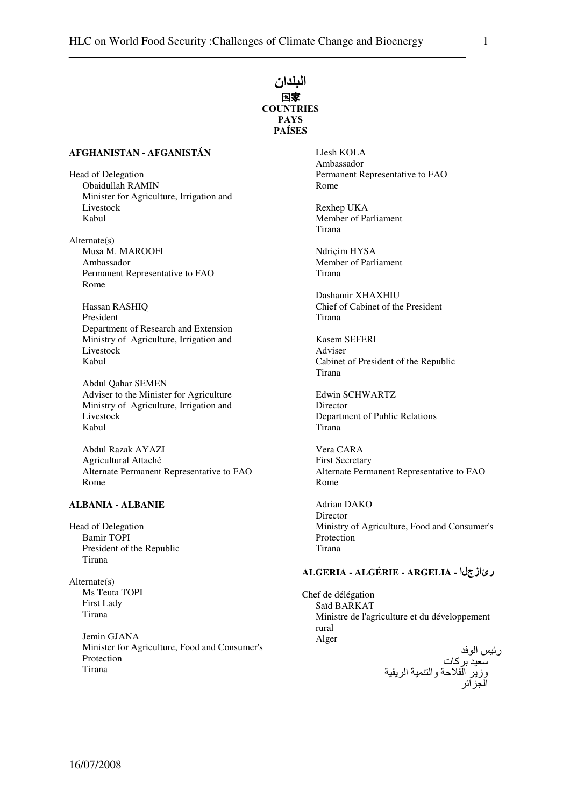# النلدان 国家 **COUNTRIES** PAYS **PAÍSES**

#### **AFGHANISTAN - AFGANISTÁN**

Head of Delegation Obaidullah RAMIN Minister for Agriculture, Irrigation and Livestock Kabul

Alternate(s) Musa M. MAROOFI Ambassador Permanent Representative to FAO Rome

Hassan RASHIQ President Department of Research and Extension Ministry of Agriculture, Irrigation and Livestock Kabul

Abdul Qahar SEMEN Adviser to the Minister for Agriculture Ministry of Agriculture, Irrigation and Livestock Kabul

Abdul Razak AYAZI Agricultural Attaché Alternate Permanent Representative to FAO Rome

#### **ALBANIA - ALBANIE**

Head of Delegation Bamir TOPI President of the Republic Tirana

Alternate(s) Ms Teuta TOPI First Lady Tirana

> Jemin GJANA Minister for Agriculture, Food and Consumer's Protection Tirana

Llesh KOLA Ambassador Permanent Representative to FAO Rome

Rexhep UKA Member of Parliament Tirana

Ndriçim HYSA Member of Parliament Tirana

Dashamir XHAXHIU Chief of Cabinet of the President Tirana

Kasem SEFERI Adviser Cabinet of President of the Republic Tirana

Edwin SCHWARTZ **Director** Department of Public Relations Tirana

Vera CARA First Secretary Alternate Permanent Representative to FAO Rome

Adrian DAKO Director Ministry of Agriculture, Food and Consumer's Protection Tirana

## **ALGERIA - ALGÉRIE - ARGELIA -** رئازجلا

Chef de délégation Saïd BARKAT Ministre de l'agriculture et du développement rural Alger رئيس الوفد

سعيد بركات وزير الفلاحة والتنمية الريفية الجزائر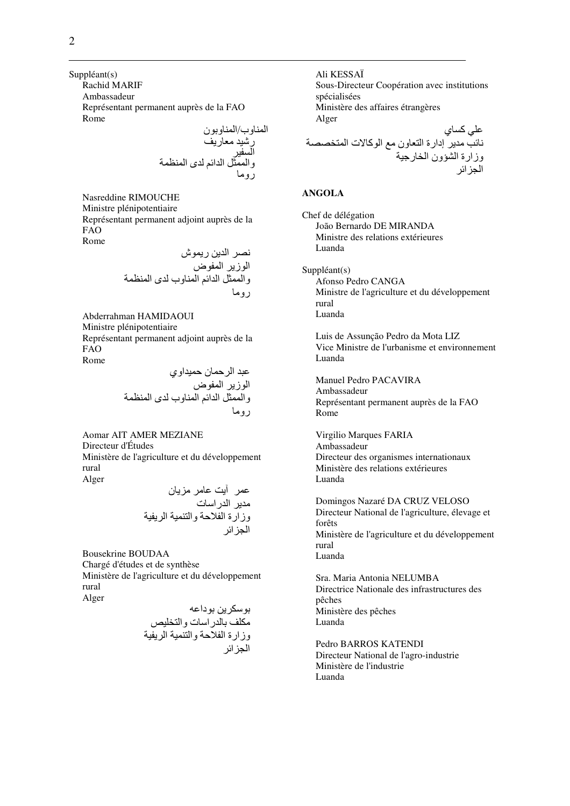Suppléant(s)

Rachid MARIF

Ambassadeur Représentant permanent auprès de la FAO Rome

ا وب/ا ون ر!- #ر" ا -\$ وا &% ا ا' ى ا ( رو#

Nasreddine RIMOUCHE Ministre plénipotentiaire Représentant permanent adjoint auprès de la FAO Rome

+\* ا , رش ا ز ا ض وا &% ا ا' ا وب ى ا ( رو#

Abderrahman HAMIDAOUI Ministre plénipotentiaire Représentant permanent adjoint auprès de la FAO Rome

> عبد الرحمان حميداوي الوزير المفوض والممثل الدائم المناوب لدى المنظمة ر و ما

Aomar AIT AMER MEZIANE Directeur d'Études Ministère de l'agriculture et du développement rural Alger

عمر أيت عامر مز يان مدير الدر اسات وزارة الفلاحة والتنمية الريفية الحز ائر

Bousekrine BOUDAA Chargé d'études et de synthèse Ministère de l'agriculture et du développement rural Alger

,6 دا70 86#" رات وا 9-8: وزارة ا وا - ا - ا ا

Ali KESSAÏ Sous-Directeur Coopération avec institutions spécialisées Ministère des affaires étrangères Alger علے کسای

+> # إدارة ا ون #< ا آ?ت ا :\*\* وزارة ا A@ون ا :رB-ا ا

#### **ANGOLA**

Chef de délégation João Bernardo DE MIRANDA Ministre des relations extérieures Luanda

Suppléant(s) Afonso Pedro CANGA Ministre de l'agriculture et du développement rural Luanda

Luis de Assunção Pedro da Mota LIZ Vice Ministre de l'urbanisme et environnement Luanda

Manuel Pedro PACAVIRA Ambassadeur Représentant permanent auprès de la FAO Rome

Virgilio Marques FARIA Ambassadeur Directeur des organismes internationaux Ministère des relations extérieures Luanda

Domingos Nazaré DA CRUZ VELOSO Directeur National de l'agriculture, élevage et forêts Ministère de l'agriculture et du développement rural Luanda

Sra. Maria Antonia NELUMBA Directrice Nationale des infrastructures des pêches Ministère des pêches Luanda

Pedro BARROS KATENDI Directeur National de l'agro-industrie Ministère de l'industrie Luanda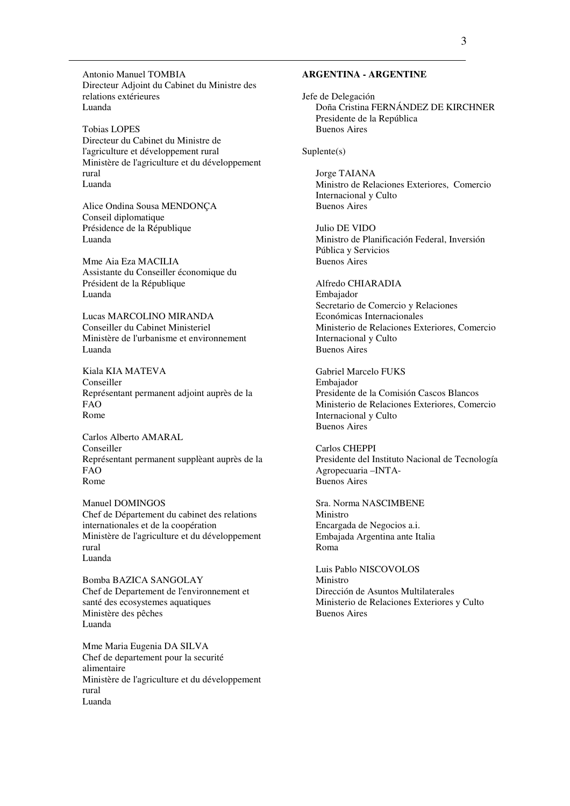Antonio Manuel TOMBIA Directeur Adjoint du Cabinet du Ministre des relations extérieures Luanda

Tobias LOPES Directeur du Cabinet du Ministre de l'agriculture et développement rural Ministère de l'agriculture et du développement rural Luanda

Alice Ondina Sousa MENDONÇA Conseil diplomatique Présidence de la République Luanda

Mme Aia Eza MACILIA Assistante du Conseiller économique du Président de la République Luanda

Lucas MARCOLINO MIRANDA Conseiller du Cabinet Ministeriel Ministère de l'urbanisme et environnement Luanda

Kiala KIA MATEVA Conseiller Représentant permanent adjoint auprès de la FAO Rome

Carlos Alberto AMARAL Conseiller Représentant permanent supplèant auprès de la FAO Rome

Manuel DOMINGOS Chef de Département du cabinet des relations internationales et de la coopération Ministère de l'agriculture et du développement rural Luanda

Bomba BAZICA SANGOLAY Chef de Departement de l'environnement et santé des ecosystemes aquatiques Ministère des pêches Luanda

Mme Maria Eugenia DA SILVA Chef de departement pour la securité alimentaire Ministère de l'agriculture et du développement rural Luanda

#### **ARGENTINA - ARGENTINE**

Jefe de Delegación Doña Cristina FERNÁNDEZ DE KIRCHNER Presidente de la República Buenos Aires

Suplente(s)

Jorge TAIANA Ministro de Relaciones Exteriores, Comercio Internacional y Culto Buenos Aires

Julio DE VIDO Ministro de Planificación Federal, Inversión Pública y Servicios Buenos Aires

Alfredo CHIARADIA Embajador Secretario de Comercio y Relaciones Económicas Internacionales Ministerio de Relaciones Exteriores, Comercio Internacional y Culto Buenos Aires

Gabriel Marcelo FUKS Embajador Presidente de la Comisión Cascos Blancos Ministerio de Relaciones Exteriores, Comercio Internacional y Culto Buenos Aires

Carlos CHEPPI Presidente del Instituto Nacional de Tecnología Agropecuaria –INTA-Buenos Aires

Sra. Norma NASCIMBENE Ministro Encargada de Negocios a.i. Embajada Argentina ante Italia Roma

Luis Pablo NISCOVOLOS Ministro Dirección de Asuntos Multilaterales Ministerio de Relaciones Exteriores y Culto Buenos Aires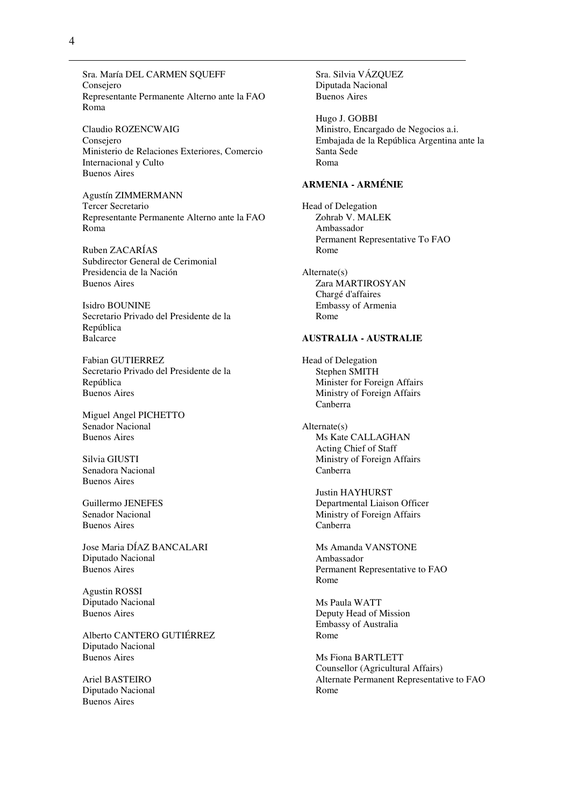Sra. María DEL CARMEN SQUEFF Consejero Representante Permanente Alterno ante la FAO Roma

Claudio ROZENCWAIG Consejero Ministerio de Relaciones Exteriores, Comercio Internacional y Culto Buenos Aires

Agustín ZIMMERMANN Tercer Secretario Representante Permanente Alterno ante la FAO Roma

Ruben ZACARÍAS Subdirector General de Cerimonial Presidencia de la Nación Buenos Aires

Isidro BOUNINE Secretario Privado del Presidente de la República Balcarce

Fabian GUTIERREZ Secretario Privado del Presidente de la República Buenos Aires

Miguel Angel PICHETTO Senador Nacional Buenos Aires

Silvia GIUSTI Senadora Nacional Buenos Aires

Guillermo JENEFES Senador Nacional Buenos Aires

Jose Maria DÍAZ BANCALARI Diputado Nacional Buenos Aires

Agustin ROSSI Diputado Nacional Buenos Aires

Alberto CANTERO GUTIÉRREZ Diputado Nacional Buenos Aires

Ariel BASTEIRO Diputado Nacional Buenos Aires

Sra. Silvia VÁZQUEZ Diputada Nacional Buenos Aires

Hugo J. GOBBI Ministro, Encargado de Negocios a.i. Embajada de la República Argentina ante la Santa Sede Roma

#### **ARMENIA - ARMÉNIE**

Head of Delegation Zohrab V. MALEK Ambassador Permanent Representative To FAO Rome

Alternate(s) Zara MARTIROSYAN Chargé d'affaires Embassy of Armenia Rome

#### **AUSTRALIA - AUSTRALIE**

Head of Delegation Stephen SMITH Minister for Foreign Affairs Ministry of Foreign Affairs Canberra

Alternate(s) Ms Kate CALLAGHAN Acting Chief of Staff Ministry of Foreign Affairs Canberra

> Justin HAYHURST Departmental Liaison Officer Ministry of Foreign Affairs Canberra

Ms Amanda VANSTONE Ambassador Permanent Representative to FAO Rome

Ms Paula WATT Deputy Head of Mission Embassy of Australia Rome

Ms Fiona BARTLETT Counsellor (Agricultural Affairs) Alternate Permanent Representative to FAO Rome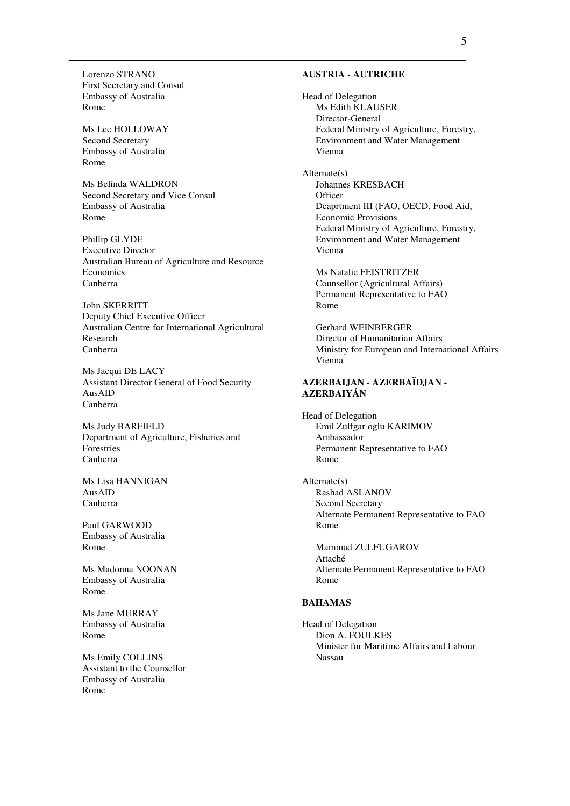Lorenzo STRANO First Secretary and Consul Embassy of Australia Rome

Ms Lee HOLLOWAY Second Secretary Embassy of Australia Rome

Ms Belinda WALDRON Second Secretary and Vice Consul Embassy of Australia Rome

Phillip GLYDE Executive Director Australian Bureau of Agriculture and Resource **Economics** Canberra

John SKERRITT Deputy Chief Executive Officer Australian Centre for International Agricultural Research Canberra

Ms Jacqui DE LACY Assistant Director General of Food Security AusAID Canberra

Ms Judy BARFIELD Department of Agriculture, Fisheries and Forestries Canberra

Ms Lisa HANNIGAN AusAID Canberra

Paul GARWOOD Embassy of Australia Rome

Ms Madonna NOONAN Embassy of Australia Rome

Ms Jane MURRAY Embassy of Australia Rome

Ms Emily COLLINS Assistant to the Counsellor Embassy of Australia Rome

#### **AUSTRIA - AUTRICHE**

Head of Delegation Ms Edith KLAUSER Director-General Federal Ministry of Agriculture, Forestry, Environment and Water Management Vienna

Alternate(s) Johannes KRESBACH **Officer** Deaprtment III (FAO, OECD, Food Aid, Economic Provisions Federal Ministry of Agriculture, Forestry, Environment and Water Management Vienna

Ms Natalie FEISTRITZER Counsellor (Agricultural Affairs) Permanent Representative to FAO Rome

Gerhard WEINBERGER Director of Humanitarian Affairs Ministry for European and International Affairs Vienna

### **AZERBAIJAN - AZERBAÏDJAN - AZERBAIYÁN**

Head of Delegation Emil Zulfgar oglu KARIMOV Ambassador Permanent Representative to FAO Rome

Alternate(s) Rashad ASLANOV Second Secretary Alternate Permanent Representative to FAO Rome

Mammad ZULFUGAROV Attaché Alternate Permanent Representative to FAO Rome

### **BAHAMAS**

Head of Delegation Dion A. FOULKES Minister for Maritime Affairs and Labour Nassau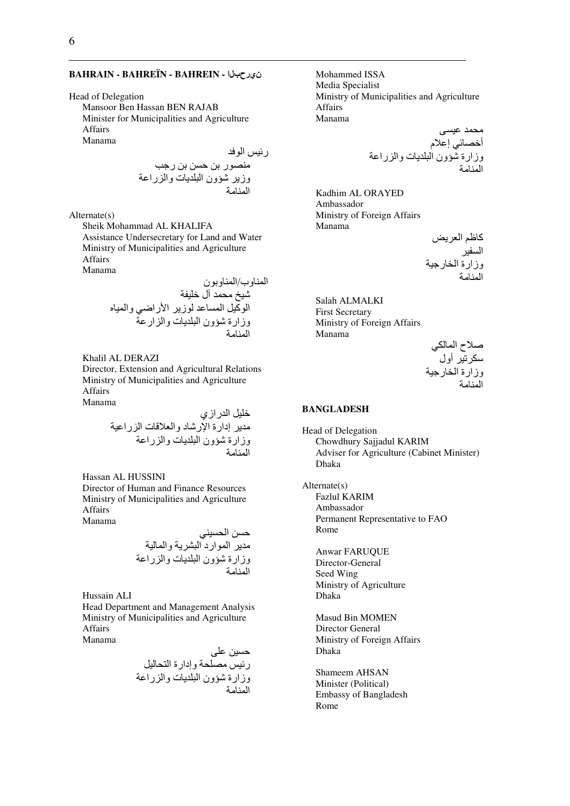#### **BAHRAIN - BAHREÏN - BAHREIN -** نيرحبلا

#### Head of Delegation

Mansoor Ben Hassan BEN RAJAB Minister for Municipalities and Agriculture Affairs Manama

ر- ا #\*ر , ,\$ , رB< وز !@ون ا 8/ت وا را0 ا #

Alternate(s)

Sheik Mohammad AL KHALIFA Assistance Undersecretary for Land and Water Ministry of Municipalities and Agriculture Affairs Manama

> المناوب/المناوبون شيخ محمد آل خليفة الوكيل المساعد لوزير الأراضي والمياه وزارة شؤون البلديات والزارعة المنامة

Khalil AL DERAZI Director, Extension and Agricultural Relations Ministry of Municipalities and Agriculture Affairs Manama

> خليل الدر از ي مدير إدارة الإرشاد والعلاقات الزراعية وزارة شؤون البلديات والزراعة المنامة

Hassan AL HUSSINI

Director of Human and Finance Resources Ministry of Municipalities and Agriculture **Affairs** Manama

,\$ ا D-\$; # ا ار د ا /A وا -وزارة !@ون ا 8/ت وا را0 ا #

Hussain ALI

Head Department and Management Analysis Ministry of Municipalities and Agriculture Affairs

Manama

L80 ,-\$ ر- #\*8D وإدارة ا D %-وزارة !@ون ا 8/ت وا را0 ا #

Mohammed ISSA Media Specialist Ministry of Municipalities and Agriculture Affairs Manama

L\$-0 D# أF\* ;إ0م وزارة !@ون ا 8/ت وا را0 ا #

Kadhim AL ORAYED Ambassador Ministry of Foreign Affairs Manama

> كاظم العريض السفير وزارة الخارجية المنامة

Salah ALMALKI First Secretary Ministry of Foreign Affairs Manama

> صلاح المالكي سكرتير أول وزارة الخارجية المنامة

#### **BANGLADESH**

Head of Delegation Chowdhury Sajjadul KARIM Adviser for Agriculture (Cabinet Minister) Dhaka

Alternate(s)

Fazlul KARIM Ambassador Permanent Representative to FAO Rome

Anwar FARUQUE Director-General Seed Wing Ministry of Agriculture Dhaka

Masud Bin MOMEN Director General Ministry of Foreign Affairs Dhaka

Shameem AHSAN Minister (Political) Embassy of Bangladesh Rome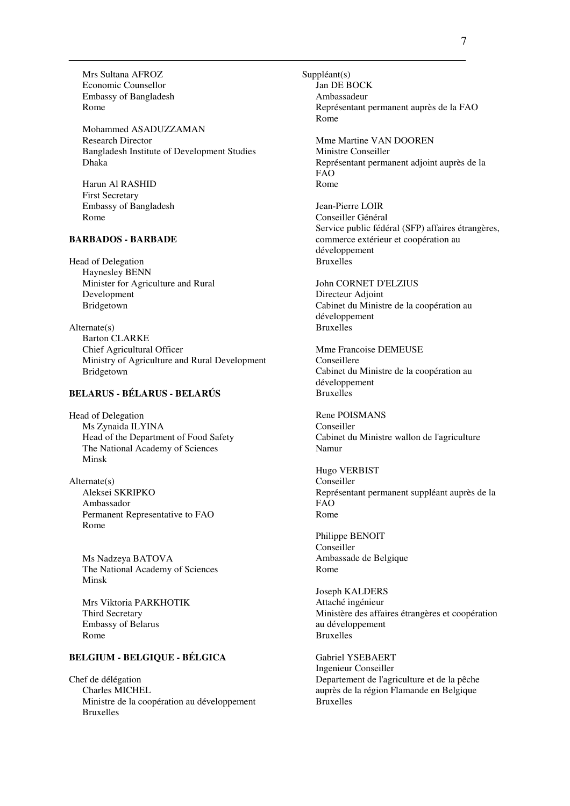Mrs Sultana AFROZ Economic Counsellor Embassy of Bangladesh Rome

Mohammed ASADUZZAMAN Research Director Bangladesh Institute of Development Studies Dhaka

Harun Al RASHID First Secretary Embassy of Bangladesh Rome

#### **BARBADOS - BARBADE**

Head of Delegation Haynesley BENN Minister for Agriculture and Rural Development Bridgetown

Alternate(s) Barton CLARKE Chief Agricultural Officer Ministry of Agriculture and Rural Development Bridgetown

# **BELARUS - BÉLARUS - BELARÚS**

Head of Delegation Ms Zynaida ILYINA Head of the Department of Food Safety The National Academy of Sciences Minsk

Alternate(s) Aleksei SKRIPKO Ambassador Permanent Representative to FAO Rome

Ms Nadzeya BATOVA The National Academy of Sciences Minsk

Mrs Viktoria PARKHOTIK Third Secretary Embassy of Belarus Rome

# **BELGIUM - BELGIQUE - BÉLGICA**

Chef de délégation Charles MICHEL Ministre de la coopération au développement Bruxelles

Suppléant(s) Jan DE BOCK Ambassadeur Représentant permanent auprès de la FAO Rome

Mme Martine VAN DOOREN Ministre Conseiller Représentant permanent adjoint auprès de la FAO Rome

Jean-Pierre LOIR Conseiller Général Service public fédéral (SFP) affaires étrangères, commerce extérieur et coopération au développement Bruxelles

John CORNET D'ELZIUS Directeur Adjoint Cabinet du Ministre de la coopération au développement Bruxelles

Mme Francoise DEMEUSE Conseillere Cabinet du Ministre de la coopération au développement Bruxelles

Rene POISMANS Conseiller Cabinet du Ministre wallon de l'agriculture Namur

Hugo VERBIST Conseiller Représentant permanent suppléant auprès de la FAO Rome

Philippe BENOIT Conseiller Ambassade de Belgique Rome

Joseph KALDERS Attaché ingénieur Ministère des affaires étrangères et coopération au développement Bruxelles

Gabriel YSEBAERT Ingenieur Conseiller Departement de l'agriculture et de la pêche auprès de la région Flamande en Belgique Bruxelles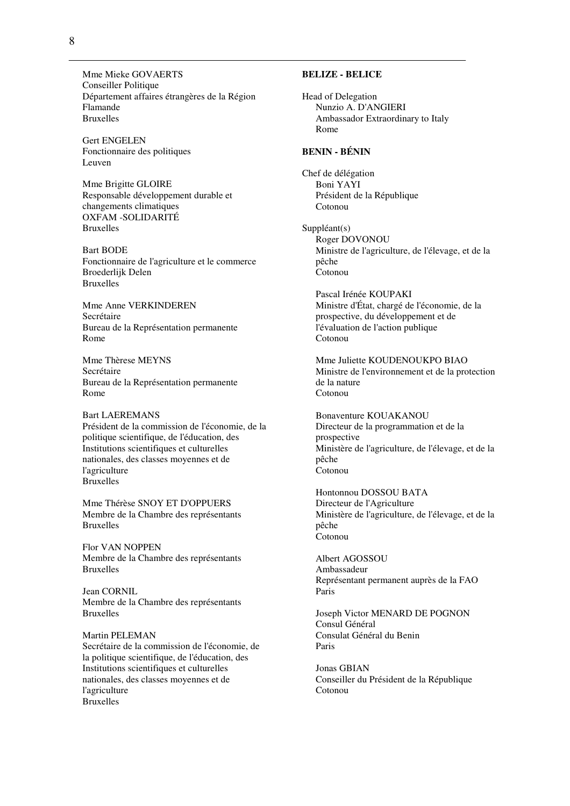Mme Mieke GOVAERTS Conseiller Politique Département affaires étrangères de la Région Flamande Bruxelles

Gert ENGELEN Fonctionnaire des politiques Leuven

Mme Brigitte GLOIRE Responsable développement durable et changements climatiques OXFAM -SOLIDARITÉ Bruxelles

Bart BODE Fonctionnaire de l'agriculture et le commerce Broederlijk Delen Bruxelles

Mme Anne VERKINDEREN Secrétaire Bureau de la Représentation permanente Rome

Mme Thèrese MEYNS Secrétaire Bureau de la Représentation permanente Rome

Bart LAEREMANS Président de la commission de l'économie, de la politique scientifique, de l'éducation, des Institutions scientifiques et culturelles nationales, des classes moyennes et de l'agriculture Bruxelles

Mme Thérèse SNOY ET D'OPPUERS Membre de la Chambre des représentants Bruxelles

Flor VAN NOPPEN Membre de la Chambre des représentants Bruxelles

Jean CORNIL Membre de la Chambre des représentants Bruxelles

Martin PELEMAN Secrétaire de la commission de l'économie, de la politique scientifique, de l'éducation, des Institutions scientifiques et culturelles nationales, des classes moyennes et de l'agriculture Bruxelles

#### **BELIZE - BELICE**

Head of Delegation Nunzio A. D'ANGIERI Ambassador Extraordinary to Italy Rome

### **BENIN - BÉNIN**

Chef de délégation Boni YAYI Président de la République Cotonou

Suppléant(s) Roger DOVONOU Ministre de l'agriculture, de l'élevage, et de la pêche Cotonou

Pascal Irénée KOUPAKI Ministre d'État, chargé de l'économie, de la prospective, du développement et de l'évaluation de l'action publique Cotonou

Mme Juliette KOUDENOUKPO BIAO Ministre de l'environnement et de la protection de la nature Cotonou

Bonaventure KOUAKANOU Directeur de la programmation et de la prospective Ministère de l'agriculture, de l'élevage, et de la pêche Cotonou

Hontonnou DOSSOU BATA Directeur de l'Agriculture Ministère de l'agriculture, de l'élevage, et de la pêche Cotonou

Albert AGOSSOU Ambassadeur Représentant permanent auprès de la FAO Paris

Joseph Victor MENARD DE POGNON Consul Général Consulat Général du Benin Paris

Jonas GBIAN Conseiller du Président de la République Cotonou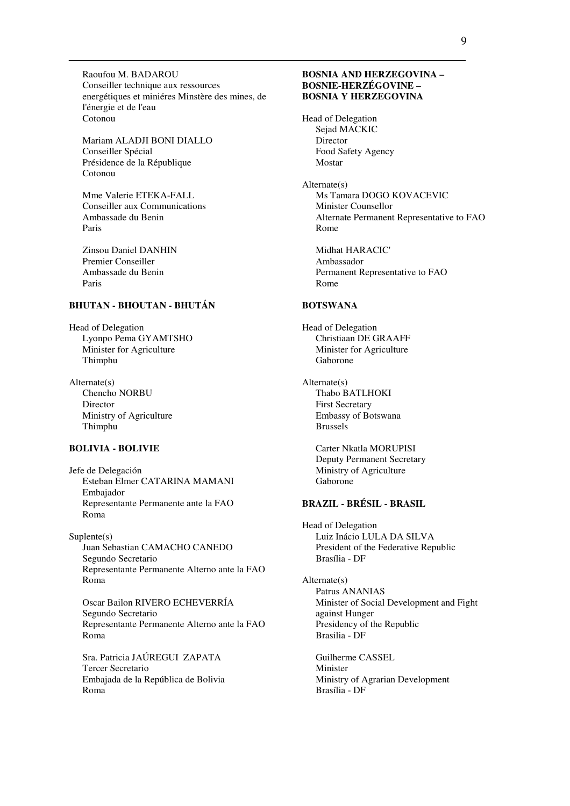Raoufou M. BADAROU Conseiller technique aux ressources energétiques et miniéres Minstère des mines, de l'énergie et de l'eau Cotonou

Mariam ALADJI BONI DIALLO Conseiller Spécial Présidence de la République Cotonou

Mme Valerie ETEKA-FALL Conseiller aux Communications Ambassade du Benin Paris

Zinsou Daniel DANHIN Premier Conseiller Ambassade du Benin Paris

# **BHUTAN - BHOUTAN - BHUTÁN**

Head of Delegation Lyonpo Pema GYAMTSHO Minister for Agriculture Thimphu

Alternate(s) Chencho NORBU Director Ministry of Agriculture Thimphu

#### **BOLIVIA - BOLIVIE**

Jefe de Delegación Esteban Elmer CATARINA MAMANI Embajador Representante Permanente ante la FAO Roma

Suplente(s) Juan Sebastian CAMACHO CANEDO Segundo Secretario Representante Permanente Alterno ante la FAO Roma

Oscar Bailon RIVERO ECHEVERRÍA Segundo Secretario Representante Permanente Alterno ante la FAO Roma

Sra. Patricia JAÚREGUI ZAPATA Tercer Secretario Embajada de la República de Bolivia Roma

#### **BOSNIA AND HERZEGOVINA – BOSNIE-HERZÉGOVINE – BOSNIA Y HERZEGOVINA**

Head of Delegation Sejad MACKIC Director Food Safety Agency Mostar

Alternate(s) Ms Tamara DOGO KOVACEVIC Minister Counsellor Alternate Permanent Representative to FAO Rome

Midhat HARACIC' Ambassador Permanent Representative to FAO Rome

#### **BOTSWANA**

Head of Delegation Christiaan DE GRAAFF Minister for Agriculture Gaborone

Alternate(s) Thabo BATLHOKI First Secretary Embassy of Botswana Brussels

> Carter Nkatla MORUPISI Deputy Permanent Secretary Ministry of Agriculture Gaborone

### **BRAZIL - BRÉSIL - BRASIL**

Head of Delegation Luiz Inácio LULA DA SILVA President of the Federative Republic Brasília - DF

Alternate(s) Patrus ANANIAS Minister of Social Development and Fight against Hunger Presidency of the Republic Brasilia - DF

Guilherme CASSEL Minister Ministry of Agrarian Development Brasília - DF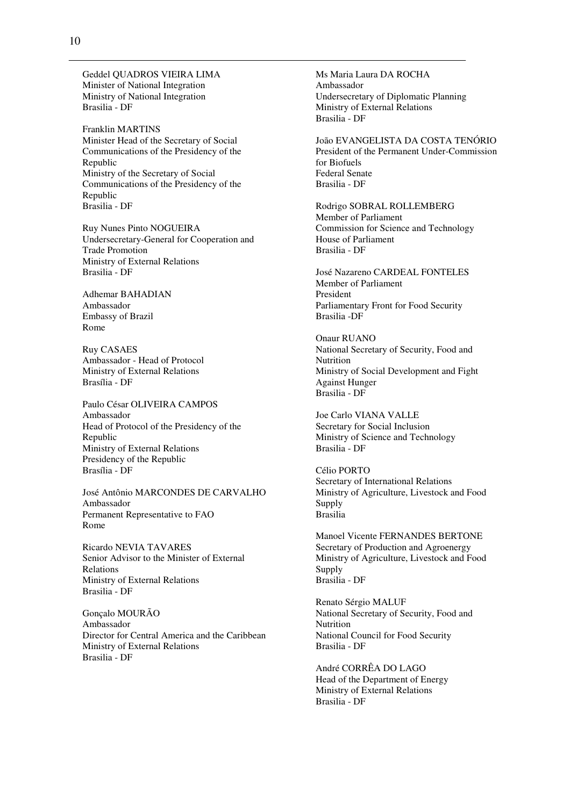Geddel QUADROS VIEIRA LIMA Minister of National Integration Ministry of National Integration Brasilia - DF

Franklin MARTINS Minister Head of the Secretary of Social Communications of the Presidency of the Republic Ministry of the Secretary of Social Communications of the Presidency of the Republic Brasilia - DF

Ruy Nunes Pinto NOGUEIRA Undersecretary-General for Cooperation and Trade Promotion Ministry of External Relations Brasilia - DF

Adhemar BAHADIAN Ambassador Embassy of Brazil Rome

Ruy CASAES Ambassador - Head of Protocol Ministry of External Relations Brasília - DF

Paulo César OLIVEIRA CAMPOS Ambassador Head of Protocol of the Presidency of the Republic Ministry of External Relations Presidency of the Republic Brasília - DF

José Antônio MARCONDES DE CARVALHO Ambassador Permanent Representative to FAO Rome

Ricardo NEVIA TAVARES Senior Advisor to the Minister of External Relations Ministry of External Relations Brasilia - DF

Gonçalo MOURÃO Ambassador Director for Central America and the Caribbean Ministry of External Relations Brasilia - DF

Ms Maria Laura DA ROCHA Ambassador Undersecretary of Diplomatic Planning Ministry of External Relations Brasilia - DF

João EVANGELISTA DA COSTA TENÓRIO President of the Permanent Under-Commission for Biofuels Federal Senate Brasilia - DF

Rodrigo SOBRAL ROLLEMBERG Member of Parliament Commission for Science and Technology House of Parliament Brasilia - DF

José Nazareno CARDEAL FONTELES Member of Parliament President Parliamentary Front for Food Security Brasilia -DF

Onaur RUANO National Secretary of Security, Food and Nutrition Ministry of Social Development and Fight Against Hunger Brasilia - DF

Joe Carlo VIANA VALLE Secretary for Social Inclusion Ministry of Science and Technology Brasilia - DF

Célio PORTO Secretary of International Relations Ministry of Agriculture, Livestock and Food Supply Brasilia

Manoel Vicente FERNANDES BERTONE Secretary of Production and Agroenergy Ministry of Agriculture, Livestock and Food Supply Brasilia - DF

Renato Sérgio MALUF National Secretary of Security, Food and Nutrition National Council for Food Security Brasilia - DF

André CORRÊA DO LAGO Head of the Department of Energy Ministry of External Relations Brasilia - DF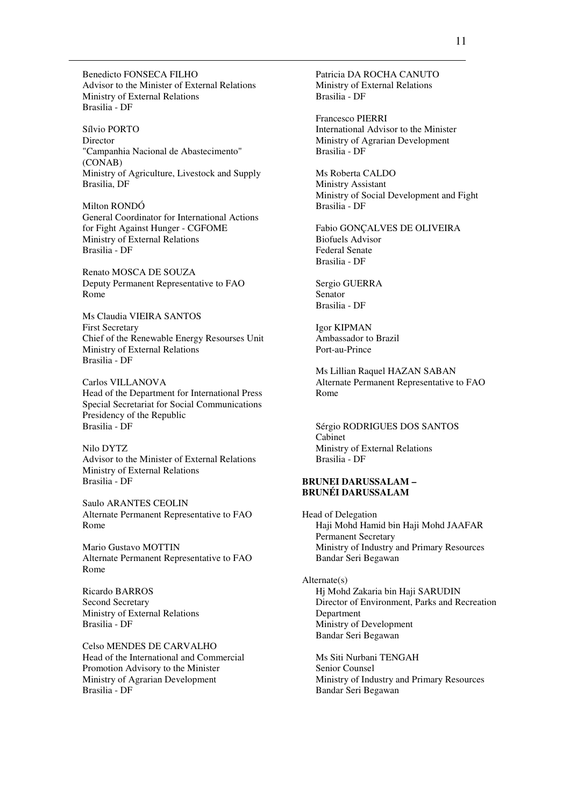Benedicto FONSECA FILHO Advisor to the Minister of External Relations Ministry of External Relations Brasilia - DF

Sílvio PORTO Director "Campanhia Nacional de Abastecimento" (CONAB) Ministry of Agriculture, Livestock and Supply Brasilia, DF

Milton RONDÓ General Coordinator for International Actions for Fight Against Hunger - CGFOME Ministry of External Relations Brasilia - DF

Renato MOSCA DE SOUZA Deputy Permanent Representative to FAO Rome

Ms Claudia VIEIRA SANTOS First Secretary Chief of the Renewable Energy Resourses Unit Ministry of External Relations Brasilia - DF

Carlos VILLANOVA Head of the Department for International Press Special Secretariat for Social Communications Presidency of the Republic Brasilia - DF

Nilo DYTZ Advisor to the Minister of External Relations Ministry of External Relations Brasilia - DF

Saulo ARANTES CEOLIN Alternate Permanent Representative to FAO Rome

Mario Gustavo MOTTIN Alternate Permanent Representative to FAO Rome

Ricardo BARROS Second Secretary Ministry of External Relations Brasilia - DF

Celso MENDES DE CARVALHO Head of the International and Commercial Promotion Advisory to the Minister Ministry of Agrarian Development Brasilia - DF

Patricia DA ROCHA CANUTO Ministry of External Relations Brasilia - DF

Francesco PIERRI International Advisor to the Minister Ministry of Agrarian Development Brasilia - DF

Ms Roberta CALDO Ministry Assistant Ministry of Social Development and Fight Brasilia - DF

Fabio GONÇALVES DE OLIVEIRA Biofuels Advisor Federal Senate Brasilia - DF

Sergio GUERRA Senator Brasilia - DF

Igor KIPMAN Ambassador to Brazil Port-au-Prince

Ms Lillian Raquel HAZAN SABAN Alternate Permanent Representative to FAO Rome

Sérgio RODRIGUES DOS SANTOS Cabinet Ministry of External Relations Brasilia - DF

#### **BRUNEI DARUSSALAM – BRUNÉI DARUSSALAM**

Head of Delegation Haji Mohd Hamid bin Haji Mohd JAAFAR Permanent Secretary Ministry of Industry and Primary Resources Bandar Seri Begawan

Alternate(s) Hj Mohd Zakaria bin Haji SARUDIN Director of Environment, Parks and Recreation Department Ministry of Development Bandar Seri Begawan

Ms Siti Nurbani TENGAH Senior Counsel Ministry of Industry and Primary Resources Bandar Seri Begawan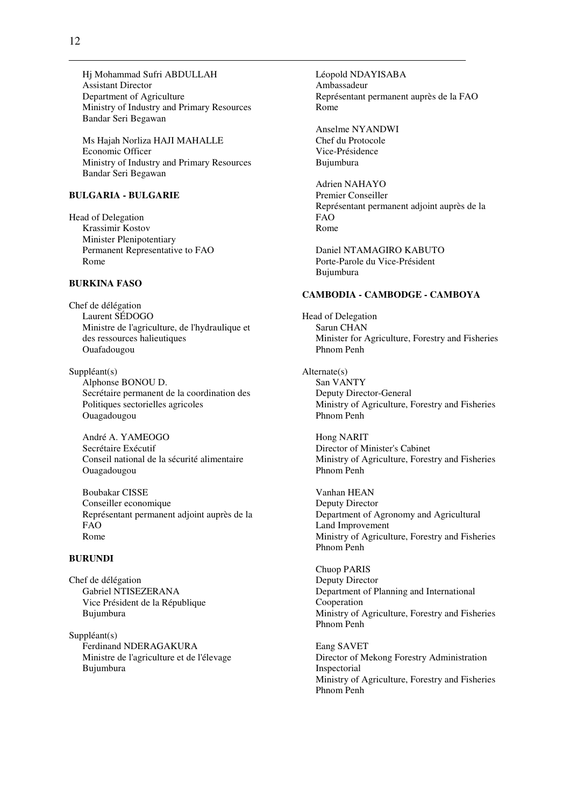Hj Mohammad Sufri ABDULLAH Assistant Director Department of Agriculture Ministry of Industry and Primary Resources Bandar Seri Begawan

Ms Hajah Norliza HAJI MAHALLE Economic Officer Ministry of Industry and Primary Resources Bandar Seri Begawan

### **BULGARIA - BULGARIE**

Head of Delegation Krassimir Kostov Minister Plenipotentiary Permanent Representative to FAO Rome

### **BURKINA FASO**

Chef de délégation Laurent SÉDOGO Ministre de l'agriculture, de l'hydraulique et des ressources halieutiques Ouafadougou

Suppléant(s) Alphonse BONOU D. Secrétaire permanent de la coordination des Politiques sectorielles agricoles Ouagadougou

André A. YAMEOGO Secrétaire Exécutif Conseil national de la sécurité alimentaire Ouagadougou

Boubakar CISSE Conseiller economique Représentant permanent adjoint auprès de la FAO Rome

#### **BURUNDI**

Chef de délégation Gabriel NTISEZERANA Vice Président de la République Bujumbura

Suppléant(s) Ferdinand NDERAGAKURA Ministre de l'agriculture et de l'élevage Bujumbura

Léopold NDAYISABA Ambassadeur Représentant permanent auprès de la FAO Rome

Anselme NYANDWI Chef du Protocole Vice-Présidence Bujumbura

Adrien NAHAYO Premier Conseiller Représentant permanent adjoint auprès de la FAO Rome

Daniel NTAMAGIRO KABUTO Porte-Parole du Vice-Président Bujumbura

#### **CAMBODIA - CAMBODGE - CAMBOYA**

Head of Delegation Sarun CHAN Minister for Agriculture, Forestry and Fisheries Phnom Penh

Alternate(s) San VANTY Deputy Director-General Ministry of Agriculture, Forestry and Fisheries Phnom Penh

Hong NARIT Director of Minister's Cabinet Ministry of Agriculture, Forestry and Fisheries Phnom Penh

Vanhan HEAN Deputy Director Department of Agronomy and Agricultural Land Improvement Ministry of Agriculture, Forestry and Fisheries Phnom Penh

Chuop PARIS Deputy Director Department of Planning and International Cooperation Ministry of Agriculture, Forestry and Fisheries Phnom Penh

Eang SAVET Director of Mekong Forestry Administration Inspectorial Ministry of Agriculture, Forestry and Fisheries Phnom Penh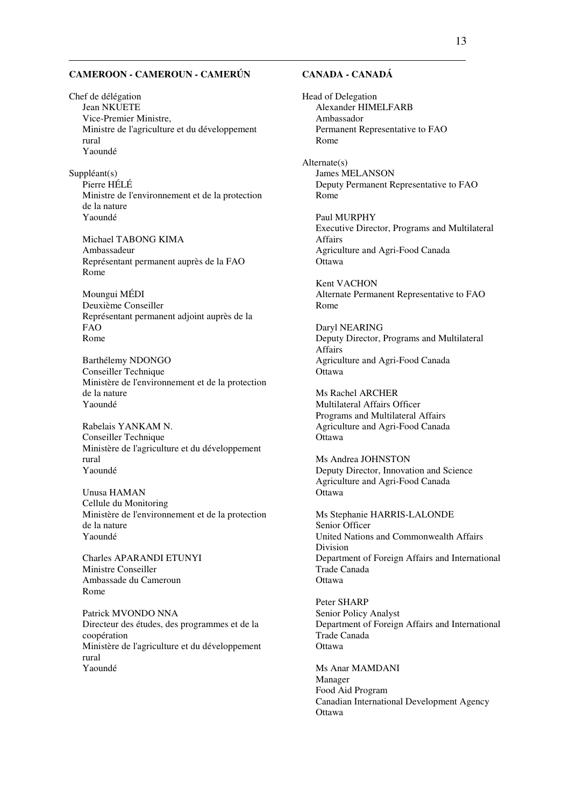# **CAMEROON - CAMEROUN - CAMERÚN**

Chef de délégation Jean NKUETE Vice-Premier Ministre, Ministre de l'agriculture et du développement rural Yaoundé

Suppléant(s) Pierre HÉLÉ Ministre de l'environnement et de la protection de la nature Yaoundé

Michael TABONG KIMA Ambassadeur Représentant permanent auprès de la FAO Rome

Moungui MÉDI Deuxième Conseiller Représentant permanent adjoint auprès de la FAO Rome

Barthélemy NDONGO Conseiller Technique Ministère de l'environnement et de la protection de la nature Yaoundé

Rabelais YANKAM N. Conseiller Technique Ministère de l'agriculture et du développement rural Yaoundé

Unusa HAMAN Cellule du Monitoring Ministère de l'environnement et de la protection de la nature Yaoundé

Charles APARANDI ETUNYI Ministre Conseiller Ambassade du Cameroun Rome

Patrick MVONDO NNA Directeur des études, des programmes et de la coopération Ministère de l'agriculture et du développement rural Yaoundé

# **CANADA - CANADÁ**

Head of Delegation Alexander HIMELFARB Ambassador Permanent Representative to FAO Rome

Alternate(s) James MELANSON Deputy Permanent Representative to FAO Rome

Paul MURPHY Executive Director, Programs and Multilateral Affairs Agriculture and Agri-Food Canada **Ottawa** 

Kent VACHON Alternate Permanent Representative to FAO Rome

Daryl NEARING Deputy Director, Programs and Multilateral Affairs Agriculture and Agri-Food Canada **Ottawa** 

Ms Rachel ARCHER Multilateral Affairs Officer Programs and Multilateral Affairs Agriculture and Agri-Food Canada **Ottawa** 

Ms Andrea JOHNSTON Deputy Director, Innovation and Science Agriculture and Agri-Food Canada **Ottawa** 

Ms Stephanie HARRIS-LALONDE Senior Officer United Nations and Commonwealth Affairs Division Department of Foreign Affairs and International Trade Canada **Ottawa** 

Peter SHARP Senior Policy Analyst Department of Foreign Affairs and International Trade Canada **Ottawa** 

Ms Anar MAMDANI Manager Food Aid Program Canadian International Development Agency **Ottawa**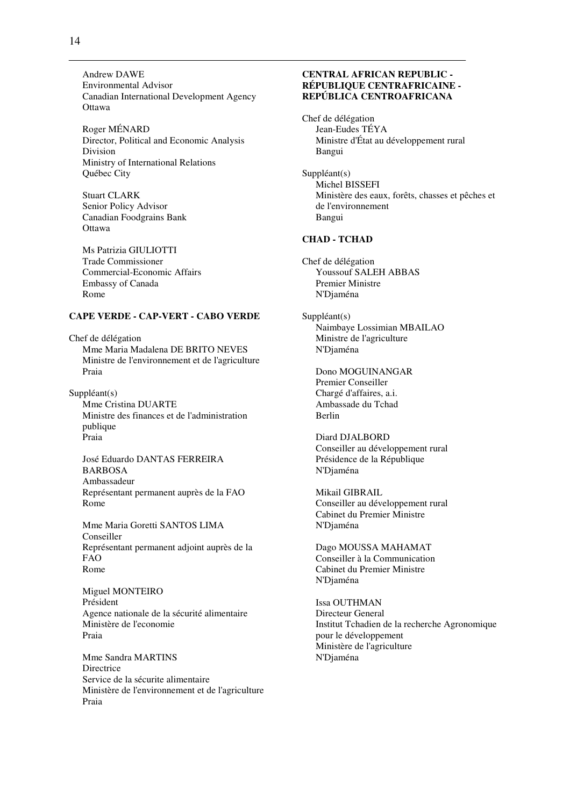Andrew DAWE Environmental Advisor Canadian International Development Agency **Ottawa** 

Roger MÉNARD Director, Political and Economic Analysis Division Ministry of International Relations Québec City

Stuart CLARK Senior Policy Advisor Canadian Foodgrains Bank **Ottawa** 

Ms Patrizia GIULIOTTI Trade Commissioner Commercial-Economic Affairs Embassy of Canada Rome

### **CAPE VERDE - CAP-VERT - CABO VERDE**

Chef de délégation Mme Maria Madalena DE BRITO NEVES Ministre de l'environnement et de l'agriculture Praia

Suppléant(s) Mme Cristina DUARTE Ministre des finances et de l'administration publique Praia

José Eduardo DANTAS FERREIRA BARBOSA Ambassadeur Représentant permanent auprès de la FAO Rome

Mme Maria Goretti SANTOS LIMA Conseiller Représentant permanent adjoint auprès de la FAO Rome

Miguel MONTEIRO Président Agence nationale de la sécurité alimentaire Ministère de l'economie Praia

Mme Sandra MARTINS **Directrice** Service de la sécurite alimentaire Ministère de l'environnement et de l'agriculture Praia

### **CENTRAL AFRICAN REPUBLIC - RÉPUBLIQUE CENTRAFRICAINE - REPÚBLICA CENTROAFRICANA**

Chef de délégation Jean-Eudes TÉYA Ministre d'État au développement rural Bangui

Suppléant(s) Michel BISSEFI Ministère des eaux, forêts, chasses et pêches et de l'environnement Bangui

### **CHAD - TCHAD**

Chef de délégation Youssouf SALEH ABBAS Premier Ministre N'Djaména

Suppléant(s) Naimbaye Lossimian MBAILAO Ministre de l'agriculture N'Djaména

Dono MOGUINANGAR Premier Conseiller Chargé d'affaires, a.i. Ambassade du Tchad Berlin

Diard DJALBORD Conseiller au développement rural Présidence de la République N'Djaména

Mikail GIBRAIL Conseiller au développement rural Cabinet du Premier Ministre N'Djaména

Dago MOUSSA MAHAMAT Conseiller à la Communication Cabinet du Premier Ministre N'Djaména

Issa OUTHMAN Directeur General Institut Tchadien de la recherche Agronomique pour le développement Ministère de l'agriculture N'Djaména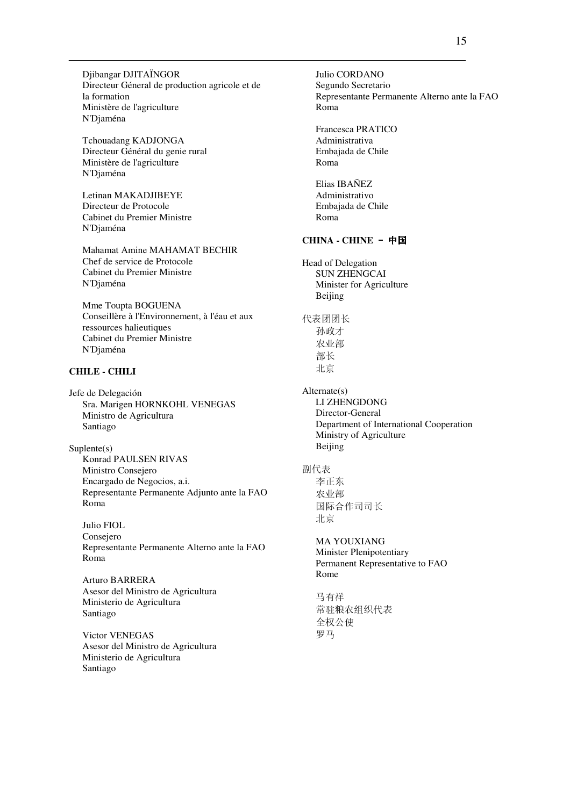Djibangar DJITAÏNGOR Directeur Géneral de production agricole et de la formation Ministère de l'agriculture N'Djaména

Tchouadang KADJONGA Directeur Général du genie rural Ministère de l'agriculture N'Djaména

Letinan MAKADJIBEYE Directeur de Protocole Cabinet du Premier Ministre N'Djaména

Mahamat Amine MAHAMAT BECHIR Chef de service de Protocole Cabinet du Premier Ministre N'Djaména

Mme Toupta BOGUENA Conseillère à l'Environnement, à l'éau et aux ressources halieutiques Cabinet du Premier Ministre N'Djaména

# **CHILE - CHILI**

Jefe de Delegación Sra. Marigen HORNKOHL VENEGAS Ministro de Agricultura Santiago

Suplente(s) Konrad PAULSEN RIVAS Ministro Consejero Encargado de Negocios, a.i. Representante Permanente Adjunto ante la FAO Roma

Julio FIOL Consejero Representante Permanente Alterno ante la FAO Roma

Arturo BARRERA Asesor del Ministro de Agricultura Ministerio de Agricultura Santiago

Victor VENEGAS Asesor del Ministro de Agricultura Ministerio de Agricultura Santiago

Julio CORDANO Segundo Secretario Representante Permanente Alterno ante la FAO Roma Francesca PRATICO Administrativa Embajada de Chile Roma Elias IBAÑEZ Administrativo Embajada de Chile Roma **CHINA - CHINE**-中国 Head of Delegation SUN ZHENGCAI Minister for Agriculture Beijing 代表团团长 孙政才 农业部 部长 北京 Alternate(s) LI ZHENGDONG Director-General Department of International Cooperation Ministry of Agriculture Beijing 副代表 李正东 农业部 国际合作司司长 北京 MA YOUXIANG Minister Plenipotentiary Permanent Representative to FAO Rome 马有祥 常驻粮农组织代表 全权公使 罗马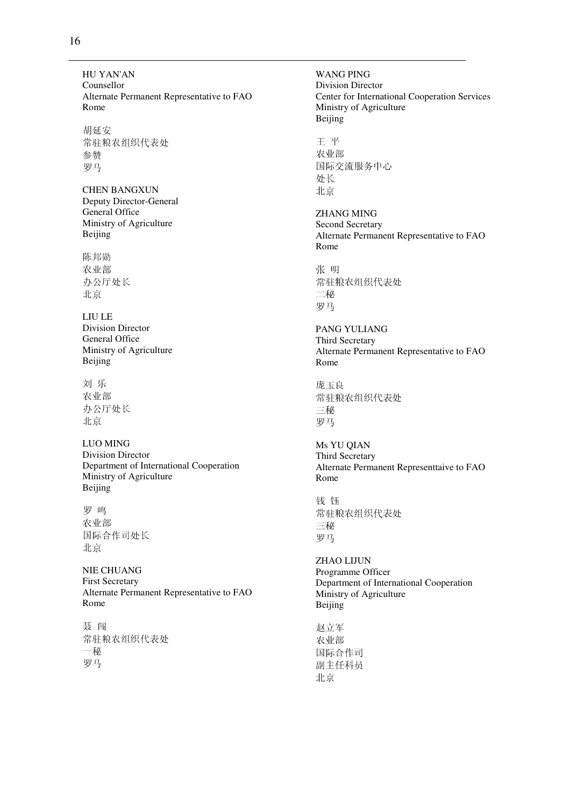HU YAN'AN Counsellor Alternate Permanent Representative to FAO Rome

胡延安 常驻粮农组织代表处 参赞 罗马

CHEN BANGXUN Deputy Director-General General Office Ministry of Agriculture Beijing

陈邦勋 农业部 办公厅处长 北京

LIU LE Division Director General Office Ministry of Agriculture Beijing

刘 乐 农业部 办公厅处长 北京

LUO MING Division Director Department of International Cooperation Ministry of Agriculture Beijing

罗 鸣 农业部 国际合作司处长 北京

NIE CHUANG First Secretary Alternate Permanent Representative to FAO Rome

聂 闯 常驻粮农组织代表处 一秘 罗马

WANG PING Division Director Center for International Cooperation Services Ministry of Agriculture Beijing 王 平 农业部 国际交流服务中心 处长 北京 ZHANG MING Second Secretary Alternate Permanent Representative to FAO Rome 张 明 常驻粮农组织代表处 二秘 罗马 PANG YULIANG Third Secretary Alternate Permanent Representative to FAO Rome 庞玉良 常驻粮农组织代表处 三秘 罗马 Ms YU QIAN Third Secretary Alternate Permanent Representtaive to FAO Rome 钱 钰 常驻粮农组织代表处 三秘 罗马 ZHAO LIJUN Programme Officer Department of International Cooperation Ministry of Agriculture **Beijing** 赵立军 农业部 国际合作司 副主任科员

北京

16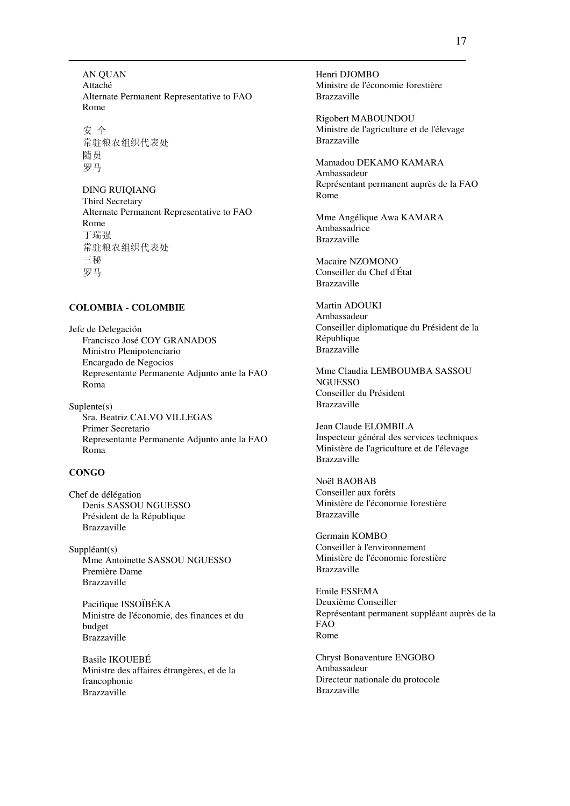AN QUAN Attaché Alternate Permanent Representative to FAO Rome

安 全 常驻粮农组织代表处 随员 罗马

DING RUIQIANG Third Secretary Alternate Permanent Representative to FAO Rome 丁瑞强 常驻粮农组织代表处 三秘 罗马

#### **COLOMBIA - COLOMBIE**

Jefe de Delegación Francisco José COY GRANADOS Ministro Plenipotenciario Encargado de Negocios Representante Permanente Adjunto ante la FAO Roma

Suplente(s) Sra. Beatriz CALVO VILLEGAS Primer Secretario Representante Permanente Adjunto ante la FAO Roma

#### **CONGO**

Chef de délégation Denis SASSOU NGUESSO Président de la République Brazzaville

Suppléant(s) Mme Antoinette SASSOU NGUESSO Première Dame Brazzaville

Pacifique ISSOÏBÉKA Ministre de l'économie, des finances et du budget Brazzaville

Basile IKOUEBÉ Ministre des affaires étrangères, et de la francophonie Brazzaville

Henri DJOMBO Ministre de l'économie forestière Brazzaville

Rigobert MABOUNDOU Ministre de l'agriculture et de l'élevage Brazzaville

Mamadou DEKAMO KAMARA Ambassadeur Représentant permanent auprès de la FAO Rome

Mme Angélique Awa KAMARA Ambassadrice Brazzaville

Macaire NZOMONO Conseiller du Chef d'État Brazzaville

Martin ADOUKI Ambassadeur Conseiller diplomatique du Président de la République Brazzaville

Mme Claudia LEMBOUMBA SASSOU **NGUESSO** Conseiller du Président Brazzaville

Jean Claude ELOMBILA Inspecteur général des services techniques Ministère de l'agriculture et de l'élevage Brazzaville

Noël BAOBAB Conseiller aux forêts Ministère de l'économie forestière Brazzaville

Germain KOMBO Conseiller à l'environnement Ministère de l'économie forestière Brazzaville

Emile ESSEMA Deuxième Conseiller Représentant permanent suppléant auprès de la FAO Rome

Chryst Bonaventure ENGOBO Ambassadeur Directeur nationale du protocole Brazzaville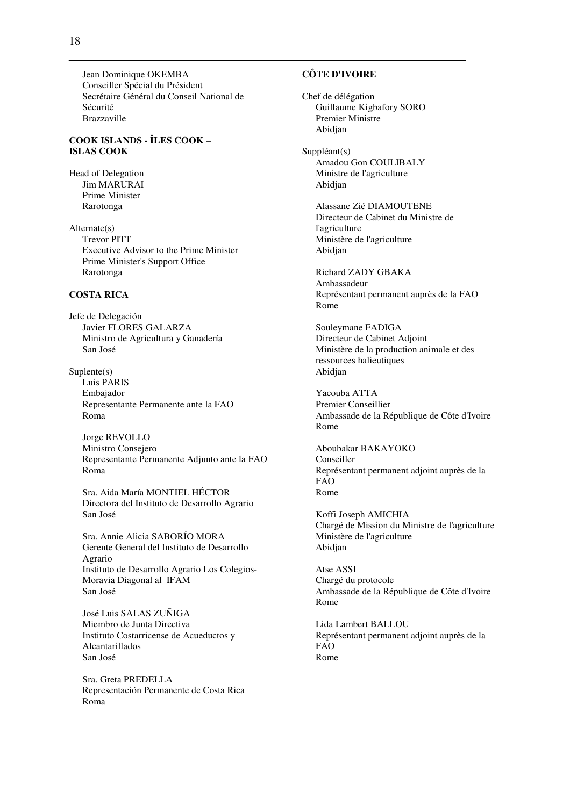Jean Dominique OKEMBA Conseiller Spécial du Président Secrétaire Général du Conseil National de Sécurité Brazzaville

### **COOK ISLANDS - ÎLES COOK – ISLAS COOK**

Head of Delegation Jim MARURAI Prime Minister Rarotonga

Alternate(s) Trevor PITT Executive Advisor to the Prime Minister Prime Minister's Support Office Rarotonga

### **COSTA RICA**

Jefe de Delegación Javier FLORES GALARZA Ministro de Agricultura y Ganadería San José

Suplente(s) Luis PARIS Embajador Representante Permanente ante la FAO Roma

Jorge REVOLLO Ministro Consejero Representante Permanente Adjunto ante la FAO Roma

Sra. Aida María MONTIEL HÉCTOR Directora del Instituto de Desarrollo Agrario San José

Sra. Annie Alicia SABORÍO MORA Gerente General del Instituto de Desarrollo Agrario Instituto de Desarrollo Agrario Los Colegios-Moravia Diagonal al IFAM San José

José Luis SALAS ZUÑIGA Miembro de Junta Directiva Instituto Costarricense de Acueductos y Alcantarillados San José

Sra. Greta PREDELLA Representación Permanente de Costa Rica Roma

# **CÔTE D'IVOIRE**

Chef de délégation Guillaume Kigbafory SORO Premier Ministre Abidjan

Suppléant(s) Amadou Gon COULIBALY Ministre de l'agriculture Abidjan

> Alassane Zié DIAMOUTENE Directeur de Cabinet du Ministre de l'agriculture Ministère de l'agriculture Abidjan

Richard ZADY GBAKA Ambassadeur Représentant permanent auprès de la FAO Rome

Souleymane FADIGA Directeur de Cabinet Adjoint Ministère de la production animale et des ressources halieutiques Abidjan

Yacouba ATTA Premier Conseillier Ambassade de la République de Côte d'Ivoire Rome

Aboubakar BAKAYOKO Conseiller Représentant permanent adjoint auprès de la FAO Rome

Koffi Joseph AMICHIA Chargé de Mission du Ministre de l'agriculture Ministère de l'agriculture Abidjan

Atse ASSI Chargé du protocole Ambassade de la République de Côte d'Ivoire Rome

Lida Lambert BALLOU Représentant permanent adjoint auprès de la FAO Rome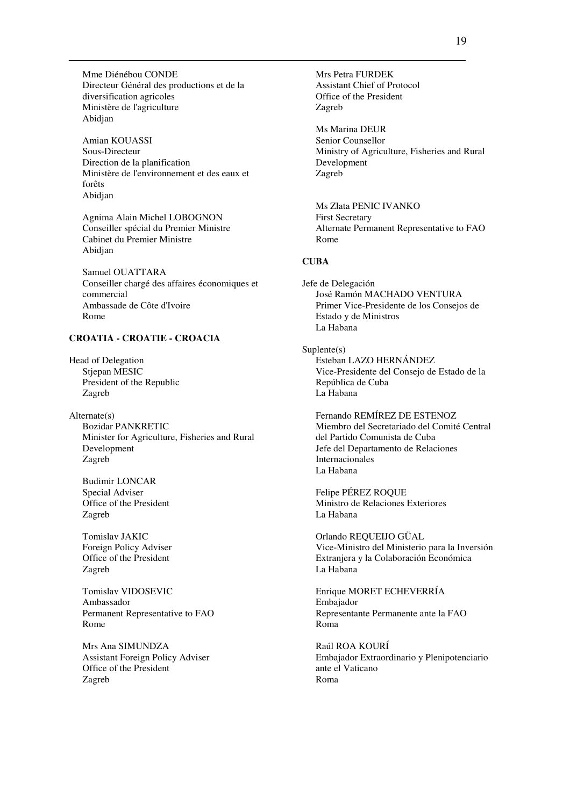Mme Diénébou CONDE Directeur Général des productions et de la diversification agricoles Ministère de l'agriculture Abidjan

Amian KOUASSI Sous-Directeur Direction de la planification Ministère de l'environnement et des eaux et forêts Abidjan

Agnima Alain Michel LOBOGNON Conseiller spécial du Premier Ministre Cabinet du Premier Ministre Abidjan

Samuel OUATTARA Conseiller chargé des affaires économiques et commercial Ambassade de Côte d'Ivoire Rome

#### **CROATIA - CROATIE - CROACIA**

Head of Delegation Stjepan MESIC President of the Republic Zagreb

Alternate(s) Bozidar PANKRETIC Minister for Agriculture, Fisheries and Rural Development Zagreb

Budimir LONCAR Special Adviser Office of the President Zagreb

Tomislav JAKIC Foreign Policy Adviser Office of the President Zagreb

Tomislav VIDOSEVIC Ambassador Permanent Representative to FAO Rome

Mrs Ana SIMUNDZA Assistant Foreign Policy Adviser Office of the President Zagreb

Mrs Petra FURDEK Assistant Chief of Protocol Office of the President Zagreb

Ms Marina DEUR Senior Counsellor Ministry of Agriculture, Fisheries and Rural Development Zagreb

Ms Zlata PENIC IVANKO First Secretary Alternate Permanent Representative to FAO Rome

### **CUBA**

Jefe de Delegación José Ramón MACHADO VENTURA Primer Vice-Presidente de los Consejos de Estado y de Ministros La Habana

Suplente(s) Esteban LAZO HERNÁNDEZ Vice-Presidente del Consejo de Estado de la República de Cuba La Habana

Fernando REMÍREZ DE ESTENOZ Miembro del Secretariado del Comité Central del Partido Comunista de Cuba Jefe del Departamento de Relaciones Internacionales La Habana

Felipe PÉREZ ROQUE Ministro de Relaciones Exteriores La Habana

Orlando REQUEIJO GÜAL Vice-Ministro del Ministerio para la Inversión Extranjera y la Colaboración Económica La Habana

Enrique MORET ECHEVERRÍA Embajador Representante Permanente ante la FAO Roma

Raúl ROA KOURÍ Embajador Extraordinario y Plenipotenciario ante el Vaticano Roma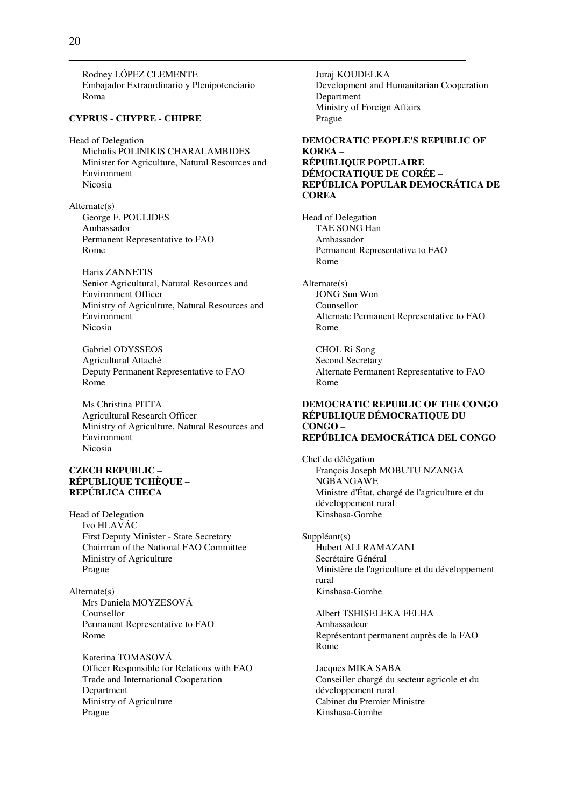Rodney LÓPEZ CLEMENTE Embajador Extraordinario y Plenipotenciario Roma

#### **CYPRUS - CHYPRE - CHIPRE**

Head of Delegation Michalis POLINIKIS CHARALAMBIDES Minister for Agriculture, Natural Resources and Environment Nicosia

Alternate(s) George F. POULIDES Ambassador Permanent Representative to FAO Rome

Haris ZANNETIS Senior Agricultural, Natural Resources and Environment Officer Ministry of Agriculture, Natural Resources and Environment Nicosia

Gabriel ODYSSEOS Agricultural Attaché Deputy Permanent Representative to FAO Rome

Ms Christina PITTA Agricultural Research Officer Ministry of Agriculture, Natural Resources and Environment Nicosia

#### **CZECH REPUBLIC – RÉPUBLIQUE TCHÈQUE – REPÚBLICA CHECA**

Head of Delegation Ivo HLAVÁC First Deputy Minister - State Secretary Chairman of the National FAO Committee Ministry of Agriculture Prague

Alternate(s) Mrs Daniela MOYZESOVÁ Counsellor Permanent Representative to FAO Rome

Katerina TOMASOVÁ Officer Responsible for Relations with FAO Trade and International Cooperation Department Ministry of Agriculture Prague

Juraj KOUDELKA Development and Humanitarian Cooperation Department Ministry of Foreign Affairs Prague

#### **DEMOCRATIC PEOPLE'S REPUBLIC OF KOREA – RÉPUBLIQUE POPULAIRE DÉMOCRATIQUE DE CORÉE – REPÚBLICA POPULAR DEMOCRÁTICA DE COREA**

Head of Delegation TAE SONG Han Ambassador Permanent Representative to FAO Rome

Alternate(s) JONG Sun Won Counsellor Alternate Permanent Representative to FAO Rome

CHOL Ri Song Second Secretary Alternate Permanent Representative to FAO Rome

#### **DEMOCRATIC REPUBLIC OF THE CONGO RÉPUBLIQUE DÉMOCRATIQUE DU CONGO – REPÚBLICA DEMOCRÁTICA DEL CONGO**

Chef de délégation François Joseph MOBUTU NZANGA NGBANGAWE Ministre d'État, chargé de l'agriculture et du développement rural Kinshasa-Gombe

Suppléant(s) Hubert ALI RAMAZANI Secrétaire Général Ministère de l'agriculture et du développement rural Kinshasa-Gombe

Albert TSHISELEKA FELHA Ambassadeur Représentant permanent auprès de la FAO Rome

Jacques MIKA SABA Conseiller chargé du secteur agricole et du développement rural Cabinet du Premier Ministre Kinshasa-Gombe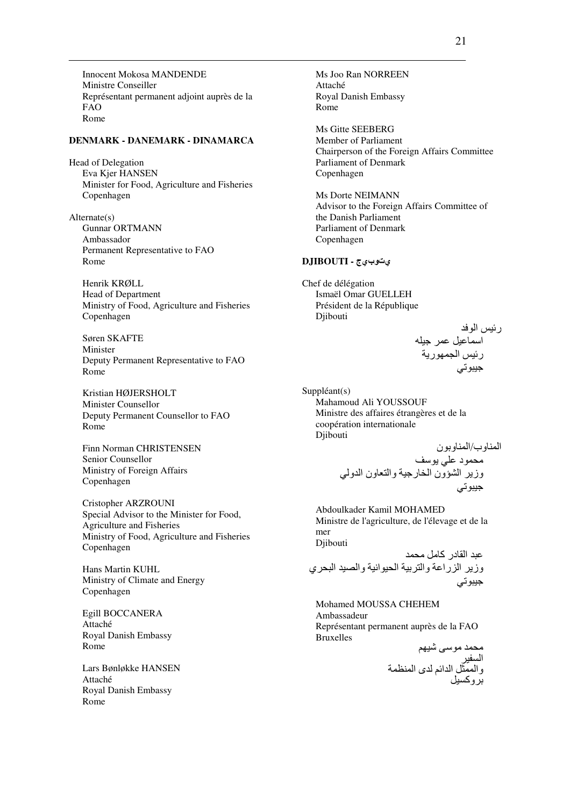Innocent Mokosa MANDENDE Ministre Conseiller Représentant permanent adjoint auprès de la FAO Rome

#### **DENMARK - DANEMARK - DINAMARCA**

Head of Delegation Eva Kjer HANSEN Minister for Food, Agriculture and Fisheries Copenhagen

Alternate(s) Gunnar ORTMANN Ambassador Permanent Representative to FAO Rome

Henrik KRØLL Head of Department Ministry of Food, Agriculture and Fisheries Copenhagen

Søren SKAFTE Minister Deputy Permanent Representative to FAO Rome

Kristian HØJERSHOLT Minister Counsellor Deputy Permanent Counsellor to FAO Rome

Finn Norman CHRISTENSEN Senior Counsellor Ministry of Foreign Affairs Copenhagen

Cristopher ARZROUNI Special Advisor to the Minister for Food, Agriculture and Fisheries Ministry of Food, Agriculture and Fisheries Copenhagen

Hans Martin KUHL Ministry of Climate and Energy Copenhagen

Egill BOCCANERA Attaché Royal Danish Embassy Rome

Lars Bønløkke HANSEN Attaché Royal Danish Embassy Rome

Ms Joo Ran NORREEN Attaché Royal Danish Embassy Rome

Ms Gitte SEEBERG Member of Parliament Chairperson of the Foreign Affairs Committee Parliament of Denmark Copenhagen

Ms Dorte NEIMANN Advisor to the Foreign Affairs Committee of the Danish Parliament Parliament of Denmark Copenhagen

#### يتوبيج **- DJIBOUTI**

Chef de délégation Ismaël Omar GUELLEH Président de la République Djibouti

> رئيس الوفد اسماعيل عمر جيله<br>رئيس الجمهورية جيبوتي

Suppléant(s) Mahamoud Ali YOUSSOUF Ministre des affaires étrangères et de la coopération internationale Djibouti

ا وب/ا ون #Dد 80; " وز ا A@ون ا :رB- وا ون ا و ; ;S/-B

Abdoulkader Kamil MOHAMED Ministre de l'agriculture, de l'élevage et de la mer Djibouti

عبد القادر كامل محمد وزير الزراعة والتربية الحيوانية والصيد البحري جيبوتي

Mohamed MOUSSA CHEHEM Ambassadeur Représentant permanent auprès de la FAO Bruxelles

'T-! L# D# ا -\$ وا &% ا ا' ى ا ( وآ%-\$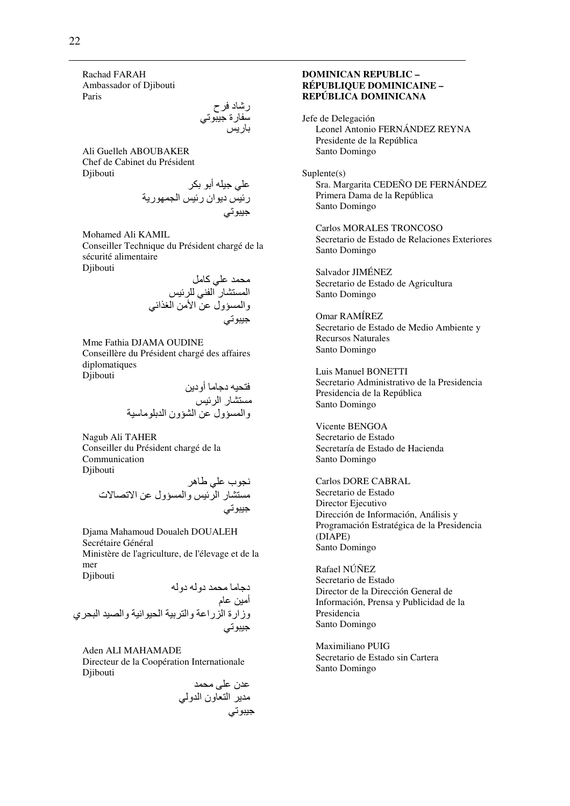Rachad FARAH Ambassador of Djibouti Paris

رشاد فرح سفار ة جيبوت*ي* باريس

Ali Guelleh ABOUBAKER Chef de Cabinet du Président Djibouti

> علي جيله أبو بكر رئيس ديوان رئيس الجمهورية جيبوتي

Mohamed Ali KAMIL Conseiller Technique du Président chargé de la sécurité alimentaire Djibouti

> محمد عل*ی* کامل المستشار الفني للرئيس والمسؤول عن الأمن الغذائي جيبوتي

Mme Fathia DJAMA OUDINE Conseillère du Président chargé des affaires diplomatiques Djibouti

> فتحيه دجاما أودين مستشار الرئيس والمسؤول عن الشؤون الدبلوماسية

Nagub Ali TAHER Conseiller du Président chargé de la Communication Djibouti

> نجوب على طاهر مستشار الرئيس والمسؤول عن الاتصالات جيبوتي

Djama Mahamoud Doualeh DOUALEH Secrétaire Général Ministère de l'agriculture, de l'élevage et de la mer

Djibouti دجاما محمد دوله دوله أمين عام وزارة الزراعة والتربية الحيوانية والصيد البحري يبوتي B

Aden ALI MAHAMADE Directeur de la Coopération Internationale Diibouti

D# L80 ن0 # ا ون ا و ; ;S/-B

### **DOMINICAN REPUBLIC – RÉPUBLIQUE DOMINICAINE – REPÚBLICA DOMINICANA**

Jefe de Delegación Leonel Antonio FERNÁNDEZ REYNA Presidente de la República Santo Domingo

Suplente(s) Sra. Margarita CEDEÑO DE FERNÁNDEZ Primera Dama de la República Santo Domingo

Carlos MORALES TRONCOSO Secretario de Estado de Relaciones Exteriores Santo Domingo

Salvador JIMÉNEZ Secretario de Estado de Agricultura Santo Domingo

Omar RAMÍREZ Secretario de Estado de Medio Ambiente y Recursos Naturales Santo Domingo

Luis Manuel BONETTI Secretario Administrativo de la Presidencia Presidencia de la República Santo Domingo

Vicente BENGOA Secretario de Estado Secretaría de Estado de Hacienda Santo Domingo

Carlos DORE CABRAL Secretario de Estado Director Ejecutivo Dirección de Información, Análisis y Programación Estratégica de la Presidencia (DIAPE) Santo Domingo

Rafael NÚÑEZ Secretario de Estado Director de la Dirección General de Información, Prensa y Publicidad de la Presidencia Santo Domingo

Maximiliano PUIG Secretario de Estado sin Cartera Santo Domingo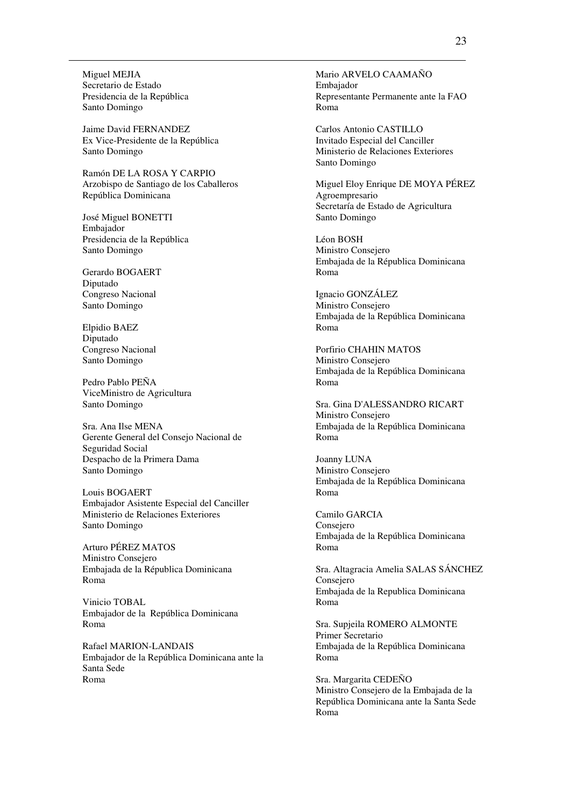Miguel MEJIA Secretario de Estado Presidencia de la República Santo Domingo

Jaime David FERNANDEZ Ex Vice-Presidente de la República Santo Domingo

Ramón DE LA ROSA Y CARPIO Arzobispo de Santiago de los Caballeros República Dominicana

José Miguel BONETTI Embajador Presidencia de la República Santo Domingo

Gerardo BOGAERT Diputado Congreso Nacional Santo Domingo

Elpidio BAEZ Diputado Congreso Nacional Santo Domingo

Pedro Pablo PEÑA ViceMinistro de Agricultura Santo Domingo

Sra. Ana Ilse MENA Gerente General del Consejo Nacional de Seguridad Social Despacho de la Primera Dama Santo Domingo

Louis BOGAERT Embajador Asistente Especial del Canciller Ministerio de Relaciones Exteriores Santo Domingo

Arturo PÉREZ MATOS Ministro Consejero Embajada de la Républica Dominicana Roma

Vinicio TOBAL Embajador de la República Dominicana Roma

Rafael MARION-LANDAIS Embajador de la República Dominicana ante la Santa Sede Roma

Mario ARVELO CAAMAÑO Embajador Representante Permanente ante la FAO Roma

Carlos Antonio CASTILLO Invitado Especial del Canciller Ministerio de Relaciones Exteriores Santo Domingo

Miguel Eloy Enrique DE MOYA PÉREZ Agroempresario Secretaría de Estado de Agricultura Santo Domingo

Léon BOSH Ministro Consejero Embajada de la Républica Dominicana Roma

Ignacio GONZÁLEZ Ministro Consejero Embajada de la República Dominicana Roma

Porfirio CHAHIN MATOS Ministro Consejero Embajada de la República Dominicana Roma

Sra. Gina D'ALESSANDRO RICART Ministro Consejero Embajada de la República Dominicana Roma

Joanny LUNA Ministro Consejero Embajada de la República Dominicana Roma

Camilo GARCIA Consejero Embajada de la República Dominicana Roma

Sra. Altagracia Amelia SALAS SÁNCHEZ Consejero Embajada de la Republica Dominicana Roma

Sra. Supjeila ROMERO ALMONTE Primer Secretario Embajada de la República Dominicana Roma

Sra. Margarita CEDEÑO Ministro Consejero de la Embajada de la República Dominicana ante la Santa Sede Roma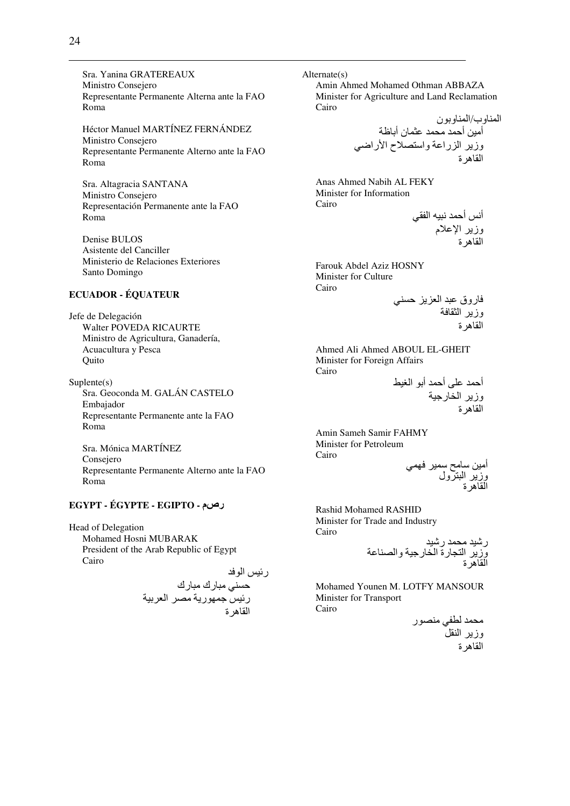Sra. Yanina GRATEREAUX Ministro Consejero Representante Permanente Alterna ante la FAO Roma

Héctor Manuel MARTÍNEZ FERNÁNDEZ Ministro Consejero Representante Permanente Alterno ante la FAO Roma

Sra. Altagracia SANTANA Ministro Consejero Representación Permanente ante la FAO Roma

Denise BULOS Asistente del Canciller Ministerio de Relaciones Exteriores Santo Domingo

# **ECUADOR - ÉQUATEUR**

Jefe de Delegación Walter POVEDA RICAURTE Ministro de Agricultura, Ganadería, Acuacultura y Pesca Quito

Suplente(s) Sra. Geoconda M. GALÁN CASTELO Embajador Representante Permanente ante la FAO Roma

Sra. Mónica MARTÍNEZ Consejero Representante Permanente Alterno ante la FAO Roma

#### **EGYPT - ÉGYPTE - EGIPTO -** رصم

Head of Delegation Mohamed Hosni MUBARAK President of the Arab Republic of Egypt Cairo

رئيس الوفد

\$; /#رك /#رك ر- BTر #\* ا - ا Uهة

Alternate(s) Amin Ahmed Mohamed Othman ABBAZA Minister for Agriculture and Land Reclamation Cairo

ا وب/ا ون أ,-# أ #D 0&ن أO وز ا را0 وا\*ح اHراG; ا Uهة

Anas Ahmed Nabih AL FEKY Minister for Information Cairo أنس أحمد نبيه الفقي

وز اJ0م ا Uهة

Farouk Abdel Aziz HOSNY Minister for Culture Cairo

روق /0 ا \$; وز ا &U ا Uهة

Ahmed Ali Ahmed ABOUL EL-GHEIT Minister for Foreign Affairs Cairo

أ 80L أ أ ا W-\ وز ا :رB-ا Uهة

Amin Sameh Samir FAHMY Minister for Petroleum Cairo

أ,-# #[ - T; وز ا /ول ا Uهة

Rashid Mohamed RASHID Minister for Trade and Industry Cairo

ر!- #D ر!-وز ا رة ا :رB- وا \*0 ا Uهة

Mohamed Younen M. LOTFY MANSOUR Minister for Transport Cairo

> محمد لطفي منصور وزير النقل القاهرة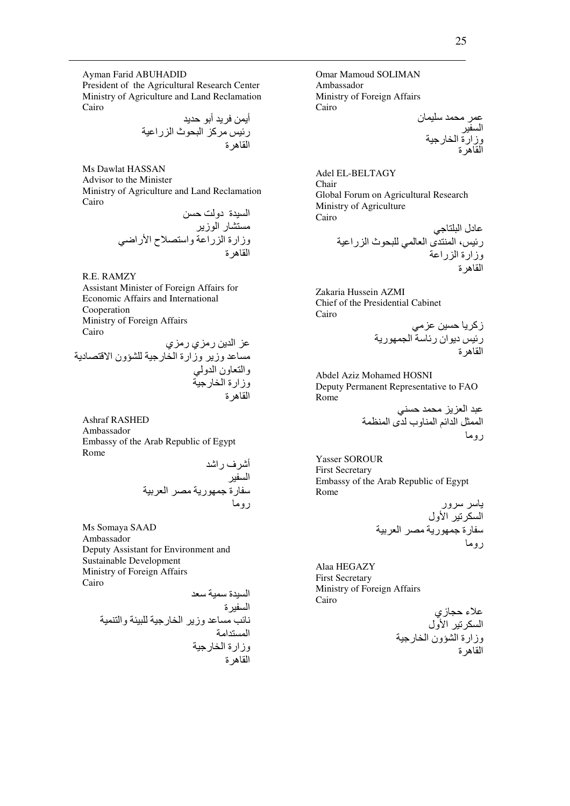Ayman Farid ABUHADID

President of the Agricultural Research Center Ministry of Agriculture and Land Reclamation Cairo

أ, أ ر- #آ ا /Dث ا را-0 ا Uهة

Ms Dawlat HASSAN Advisor to the Minister Ministry of Agriculture and Land Reclamation Cairo

> السيدة دولت حسن مستشار الوزير وزارة الزراعة واستصلاح الأراضي القاهر ة

R.E. RAMZY Assistant Minister of Foreign Affairs for Economic Affairs and International Cooperation Ministry of Foreign Affairs Cairo

عز الدين رمزي رمزي مساعد وزير وزارة الخارجية للشؤون الاقتصادية والنعاون الدولي وزارة الخارجية<br>القاهرة

Ashraf RASHED Ambassador Embassy of the Arab Republic of Egypt Rome

أ!ف را! ا -\$ رة BTر #\* ا - رو#

Ms Somaya SAAD Ambassador Deputy Assistant for Environment and Sustainable Development Ministry of Foreign Affairs Cairo

ا -\$ة -  ا -\$ة +> 0\$# وز ا :رB- -/8a وا - ا \$ا# وزارة ا :رB-ا Uهة

Omar Mamoud SOLIMAN Ambassador Ministry of Foreign Affairs Cairo

0 #D -8ن ا -\$ وزارة ا :رB-ا Uهة

Adel EL-BELTAGY Chair Global Forum on Agricultural Research Ministry of Agriculture Cairo  $0.01$ 

ر،- ا ى ا ; /8Dث ا را-0 وزارة ا را0 ا Uهة

Zakaria Hussein AZMI Chief of the Presidential Cabinet Cairo

زآ ,-\$ 0#; ر- دان ر ا Tر ا Uهة

Abdel Aziz Mohamed HOSNI Deputy Permanent Representative to FAO Rome

> عبد العزيز محمد حسني الممثل الدائم المناوب لدى المنظمة ر و ما

Yasser SOROUR First Secretary Embassy of the Arab Republic of Egypt Rome

 ور ا 6\$S- اHول رة BTر #\* ا - رو#

Alaa HEGAZY First Secretary Ministry of Foreign Affairs Cairo

> علاء حجازي السكرتير الأول وزارة الشؤون الخارجية<br>القاهرة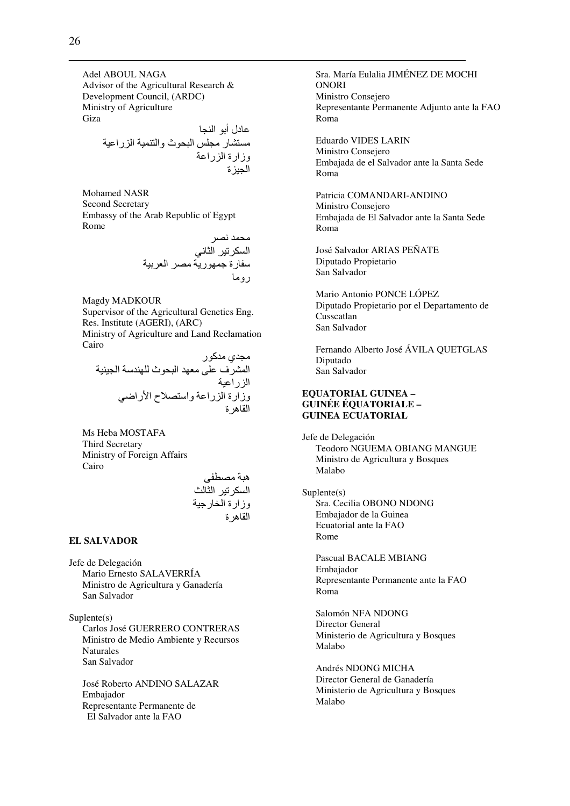Adel ABOUL NAGA Advisor of the Agricultural Research & Development Council, (ARDC) Ministry of Agriculture Giza

عادل أبو النجا مستشار مجلس البحوث والتنمية الزراعية وزارة الزراعة الجيزة

Mohamed NASR Second Secretary Embassy of the Arab Republic of Egypt Rome

> محمد نصر السكرتير الثاني سفارة جمهورية مصر العربية روما

Magdy MADKOUR

Supervisor of the Agricultural Genetics Eng. Res. Institute (AGERI), (ARC) Ministry of Agriculture and Land Reclamation Cairo

مجدي مدكور المشرف على معهد البحوث للهندسة الجينية<br>الزراعية وزارة الزراعة واستصلاح الأراضي القاهرة

Ms Heba MOSTAFA Third Secretary Ministry of Foreign Affairs Cairo

> هبة مصطفى السكرتير الثالث وزارة الخارجية القاهرة

#### **EL SALVADOR**

Jefe de Delegación Mario Ernesto SALAVERRÍA Ministro de Agricultura y Ganadería San Salvador

Suplente(s) Carlos José GUERRERO CONTRERAS Ministro de Medio Ambiente y Recursos Naturales San Salvador

José Roberto ANDINO SALAZAR Embajador Representante Permanente de El Salvador ante la FAO

Sra. María Eulalia JIMÉNEZ DE MOCHI ONORI Ministro Consejero Representante Permanente Adjunto ante la FAO Roma

Eduardo VIDES LARIN Ministro Consejero Embajada de el Salvador ante la Santa Sede Roma

Patricia COMANDARI-ANDINO Ministro Consejero Embajada de El Salvador ante la Santa Sede Roma

José Salvador ARIAS PEÑATE Diputado Propietario San Salvador

Mario Antonio PONCE LÓPEZ Diputado Propietario por el Departamento de Cusscatlan San Salvador

Fernando Alberto José ÁVILA QUETGLAS Diputado San Salvador

#### **EQUATORIAL GUINEA – GUINÉE ÉQUATORIALE – GUINEA ECUATORIAL**

Jefe de Delegación Teodoro NGUEMA OBIANG MANGUE Ministro de Agricultura y Bosques Malabo

#### Suplente(s)

Sra. Cecilia OBONO NDONG Embajador de la Guinea Ecuatorial ante la FAO Rome

Pascual BACALE MBIANG Embajador Representante Permanente ante la FAO Roma

Salomón NFA NDONG Director General Ministerio de Agricultura y Bosques Malabo

Andrés NDONG MICHA Director General de Ganadería Ministerio de Agricultura y Bosques Malabo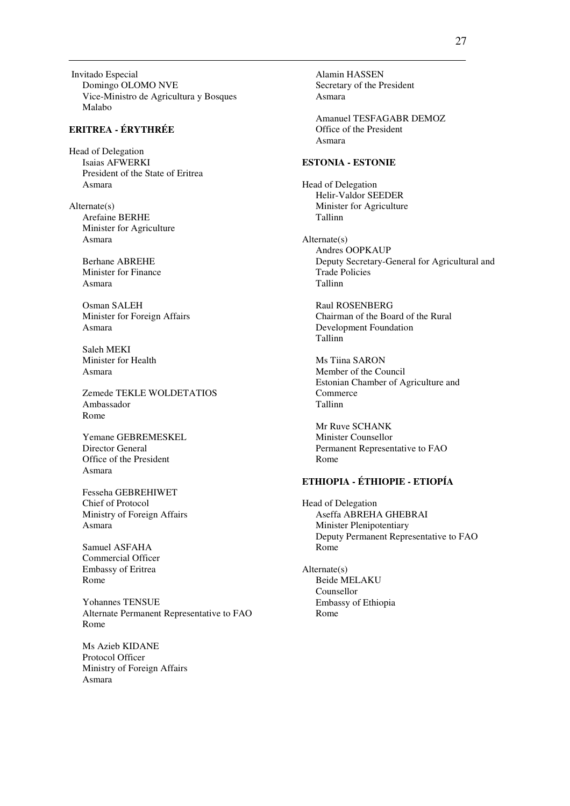Invitado Especial Domingo OLOMO NVE Vice-Ministro de Agricultura y Bosques Malabo

### **ERITREA - ÉRYTHRÉE**

Head of Delegation Isaias AFWERKI President of the State of Eritrea Asmara

Alternate(s) Arefaine BERHE Minister for Agriculture Asmara

> Berhane ABREHE Minister for Finance Asmara

Osman SALEH Minister for Foreign Affairs Asmara

Saleh MEKI Minister for Health Asmara

Zemede TEKLE WOLDETATIOS Ambassador Rome

Yemane GEBREMESKEL Director General Office of the President Asmara

Fesseha GEBREHIWET Chief of Protocol Ministry of Foreign Affairs Asmara

Samuel ASFAHA Commercial Officer Embassy of Eritrea Rome

Yohannes TENSUE Alternate Permanent Representative to FAO Rome

Ms Azieb KIDANE Protocol Officer Ministry of Foreign Affairs Asmara

Alamin HASSEN Secretary of the President Asmara

Amanuel TESFAGABR DEMOZ Office of the President Asmara

### **ESTONIA - ESTONIE**

Head of Delegation Helir-Valdor SEEDER Minister for Agriculture Tallinn

Alternate(s) Andres OOPKAUP Deputy Secretary-General for Agricultural and Trade Policies Tallinn

Raul ROSENBERG Chairman of the Board of the Rural Development Foundation Tallinn

Ms Tiina SARON Member of the Council Estonian Chamber of Agriculture and **Commerce** Tallinn

Mr Ruve SCHANK Minister Counsellor Permanent Representative to FAO Rome

# **ETHIOPIA - ÉTHIOPIE - ETIOPÍA**

Head of Delegation Aseffa ABREHA GHEBRAI Minister Plenipotentiary Deputy Permanent Representative to FAO Rome

Alternate(s) Beide MELAKU Counsellor Embassy of Ethiopia Rome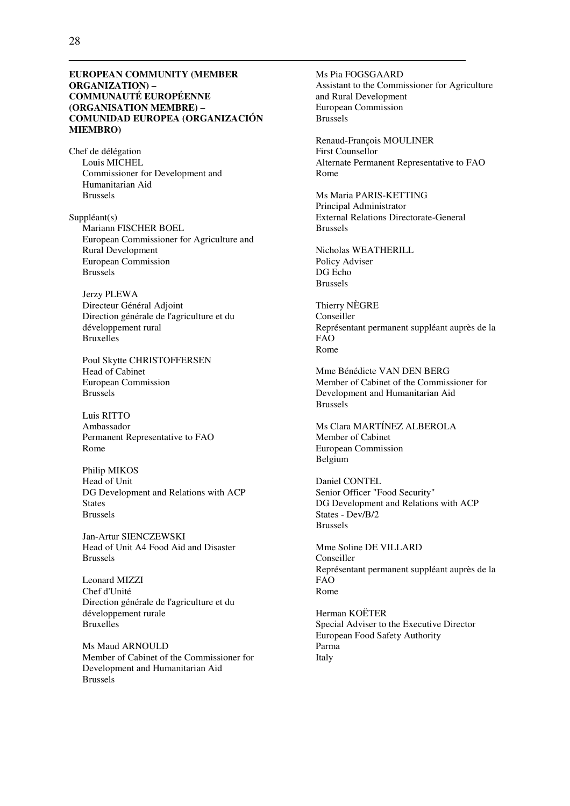#### **EUROPEAN COMMUNITY (MEMBER ORGANIZATION) – COMMUNAUTÉ EUROPÉENNE (ORGANISATION MEMBRE) – COMUNIDAD EUROPEA (ORGANIZACIÓN MIEMBRO)**

Chef de délégation Louis MICHEL Commissioner for Development and Humanitarian Aid Brussels

Suppléant(s) Mariann FISCHER BOEL European Commissioner for Agriculture and Rural Development European Commission Brussels

Jerzy PLEWA Directeur Général Adjoint Direction générale de l'agriculture et du développement rural Bruxelles

Poul Skytte CHRISTOFFERSEN Head of Cabinet European Commission Brussels

Luis RITTO Ambassador Permanent Representative to FAO Rome

Philip MIKOS Head of Unit DG Development and Relations with ACP **States** Brussels

Jan-Artur SIENCZEWSKI Head of Unit A4 Food Aid and Disaster Brussels

Leonard MIZZI Chef d'Unité Direction générale de l'agriculture et du développement rurale Bruxelles

Ms Maud ARNOULD Member of Cabinet of the Commissioner for Development and Humanitarian Aid Brussels

Ms Pia FOGSGAARD Assistant to the Commissioner for Agriculture and Rural Development European Commission Brussels

Renaud-François MOULINER First Counsellor Alternate Permanent Representative to FAO Rome

Ms Maria PARIS-KETTING Principal Administrator External Relations Directorate-General Brussels

Nicholas WEATHERILL Policy Adviser DG Echo Brussels

Thierry NÈGRE Conseiller Représentant permanent suppléant auprès de la FAO Rome

Mme Bénédicte VAN DEN BERG Member of Cabinet of the Commissioner for Development and Humanitarian Aid Brussels

Ms Clara MARTÍNEZ ALBEROLA Member of Cabinet European Commission Belgium

Daniel CONTEL Senior Officer "Food Security" DG Development and Relations with ACP States - Dev/B/2 Brussels

Mme Soline DE VILLARD Conseiller Représentant permanent suppléant auprès de la FAO Rome

Herman KOËTER Special Adviser to the Executive Director European Food Safety Authority Parma Italy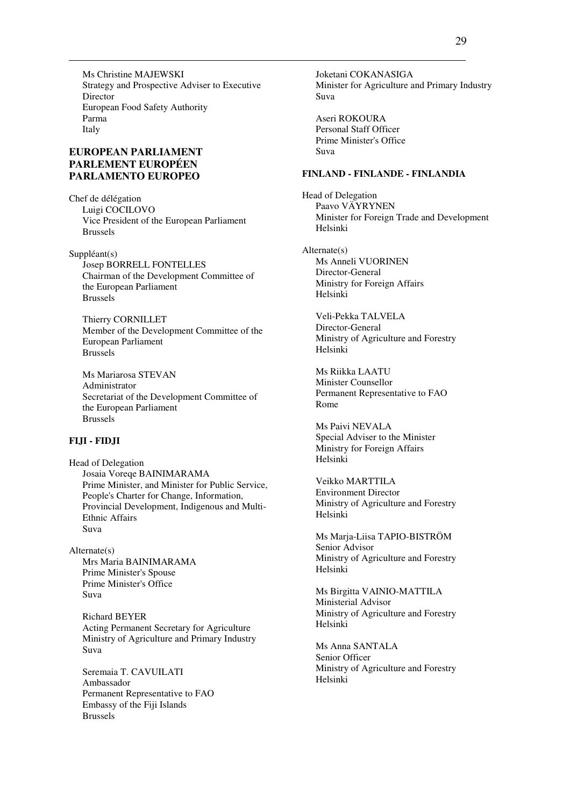Ms Christine MAJEWSKI Strategy and Prospective Adviser to Executive Director European Food Safety Authority Parma Italy

# **EUROPEAN PARLIAMENT PARLEMENT EUROPÉEN PARLAMENTO EUROPEO**

Chef de délégation Luigi COCILOVO Vice President of the European Parliament Brussels

Suppléant(s) Josep BORRELL FONTELLES Chairman of the Development Committee of the European Parliament Brussels

Thierry CORNILLET Member of the Development Committee of the European Parliament Brussels

Ms Mariarosa STEVAN Administrator Secretariat of the Development Committee of the European Parliament Brussels

#### **FIJI - FIDJI**

Head of Delegation Josaia Voreqe BAINIMARAMA Prime Minister, and Minister for Public Service, People's Charter for Change, Information, Provincial Development, Indigenous and Multi-Ethnic Affairs Suva

Alternate(s) Mrs Maria BAINIMARAMA Prime Minister's Spouse Prime Minister's Office Suva

> Richard BEYER Acting Permanent Secretary for Agriculture Ministry of Agriculture and Primary Industry Suva

Seremaia T. CAVUILATI Ambassador Permanent Representative to FAO Embassy of the Fiji Islands Brussels

Joketani COKANASIGA Minister for Agriculture and Primary Industry Suva

Aseri ROKOURA Personal Staff Officer Prime Minister's Office Suva

#### **FINLAND - FINLANDE - FINLANDIA**

Head of Delegation Paavo VÄYRYNEN Minister for Foreign Trade and Development Helsinki

Alternate(s) Ms Anneli VUORINEN Director-General Ministry for Foreign Affairs Helsinki

> Veli-Pekka TALVELA Director-General Ministry of Agriculture and Forestry Helsinki

Ms Riikka LAATU Minister Counsellor Permanent Representative to FAO Rome

Ms Paivi NEVALA Special Adviser to the Minister Ministry for Foreign Affairs Helsinki

Veikko MARTTILA Environment Director Ministry of Agriculture and Forestry Helsinki

Ms Marja-Liisa TAPIO-BISTRÖM Senior Advisor Ministry of Agriculture and Forestry Helsinki

Ms Birgitta VAINIO-MATTILA Ministerial Advisor Ministry of Agriculture and Forestry Helsinki

Ms Anna SANTALA Senior Officer Ministry of Agriculture and Forestry Helsinki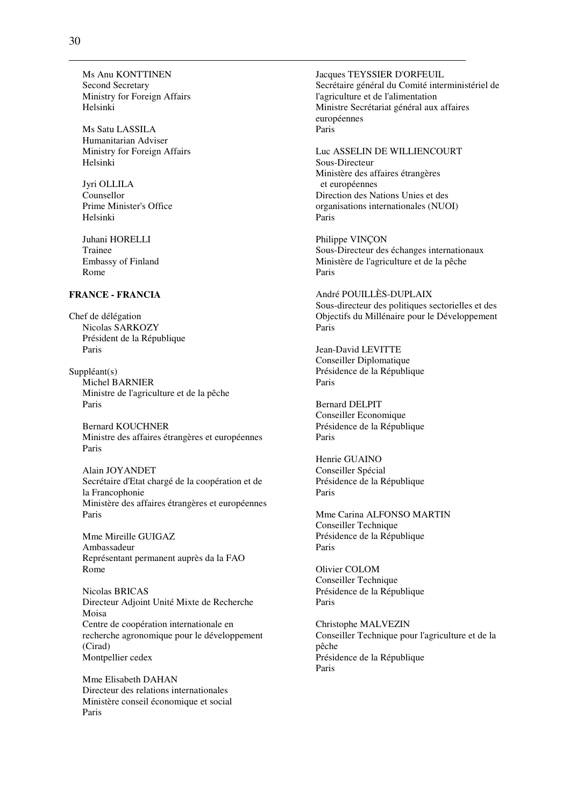Ms Anu KONTTINEN Second Secretary Ministry for Foreign Affairs Helsinki

Ms Satu LASSILA Humanitarian Adviser Ministry for Foreign Affairs Helsinki

Jyri OLLILA Counsellor Prime Minister's Office Helsinki

Juhani HORELLI Trainee Embassy of Finland Rome

### **FRANCE - FRANCIA**

Chef de délégation Nicolas SARKOZY Président de la République Paris

Suppléant(s) Michel BARNIER Ministre de l'agriculture et de la pêche Paris

Bernard KOUCHNER Ministre des affaires étrangères et européennes Paris

Alain JOYANDET Secrétaire d'Etat chargé de la coopération et de la Francophonie Ministère des affaires étrangères et européennes Paris

Mme Mireille GUIGAZ Ambassadeur Représentant permanent auprès da la FAO Rome

Nicolas BRICAS Directeur Adjoint Unité Mixte de Recherche Moisa Centre de coopération internationale en recherche agronomique pour le développement (Cirad) Montpellier cedex

Mme Elisabeth DAHAN Directeur des relations internationales Ministère conseil économique et social Paris

Jacques TEYSSIER D'ORFEUIL Secrétaire général du Comité interministériel de l'agriculture et de l'alimentation Ministre Secrétariat général aux affaires européennes Paris

Luc ASSELIN DE WILLIENCOURT Sous-Directeur Ministère des affaires étrangères et européennes Direction des Nations Unies et des organisations internationales (NUOI) Paris

Philippe VINÇON Sous-Directeur des échanges internationaux Ministère de l'agriculture et de la pêche Paris

André POUILLÈS-DUPLAIX Sous-directeur des politiques sectorielles et des Objectifs du Millénaire pour le Développement Paris

Jean-David LEVITTE Conseiller Diplomatique Présidence de la République Paris

Bernard DELPIT Conseiller Economique Présidence de la République Paris

Henrie GUAINO Conseiller Spécial Présidence de la République Paris

Mme Carina ALFONSO MARTIN Conseiller Technique Présidence de la République Paris

Olivier COLOM Conseiller Technique Présidence de la République Paris

Christophe MALVEZIN Conseiller Technique pour l'agriculture et de la pêche Présidence de la République Paris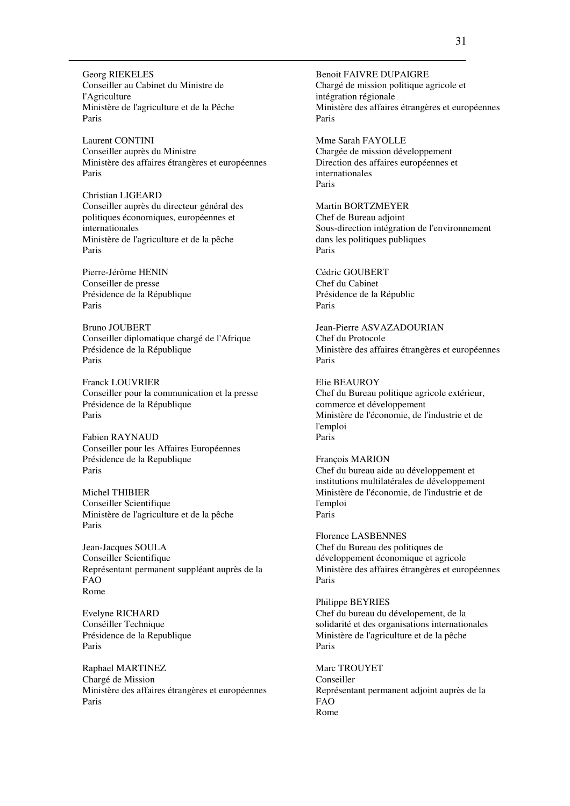Georg RIEKELES Conseiller au Cabinet du Ministre de l'Agriculture Ministère de l'agriculture et de la Pêche Paris

Laurent CONTINI Conseiller auprès du Ministre Ministère des affaires étrangères et européennes Paris

Christian LIGEARD Conseiller auprès du directeur général des politiques économiques, européennes et internationales Ministère de l'agriculture et de la pêche Paris

Pierre-Jérôme HENIN Conseiller de presse Présidence de la République Paris

Bruno JOUBERT Conseiller diplomatique chargé de l'Afrique Présidence de la République Paris

Franck LOUVRIER Conseiller pour la communication et la presse Présidence de la République Paris

Fabien RAYNAUD Conseiller pour les Affaires Européennes Présidence de la Republique Paris

Michel THIBIER Conseiller Scientifique Ministère de l'agriculture et de la pêche Paris

Jean-Jacques SOULA Conseiller Scientifique Représentant permanent suppléant auprès de la FAO Rome

Evelyne RICHARD Conséiller Technique Présidence de la Republique Paris

Raphael MARTINEZ Chargé de Mission Ministère des affaires étrangères et européennes Paris

Benoit FAIVRE DUPAIGRE Chargé de mission politique agricole et intégration régionale Ministère des affaires étrangères et européennes Paris

Mme Sarah FAYOLLE Chargée de mission développement Direction des affaires européennes et internationales Paris

Martin BORTZMEYER Chef de Bureau adjoint Sous-direction intégration de l'environnement dans les politiques publiques Paris

Cédric GOUBERT Chef du Cabinet Présidence de la Républic Paris

Jean-Pierre ASVAZADOURIAN Chef du Protocole Ministère des affaires étrangères et européennes Paris

Elie BEAUROY Chef du Bureau politique agricole extérieur, commerce et développement Ministère de l'économie, de l'industrie et de l'emploi Paris

François MARION Chef du bureau aide au développement et institutions multilatérales de développement Ministère de l'économie, de l'industrie et de l'emploi Paris

Florence LASBENNES Chef du Bureau des politiques de développement économique et agricole Ministère des affaires étrangères et européennes Paris

Philippe BEYRIES Chef du bureau du dévelopement, de la solidarité et des organisations internationales Ministère de l'agriculture et de la pêche Paris

Marc TROUYET Conseiller Représentant permanent adjoint auprès de la FAO Rome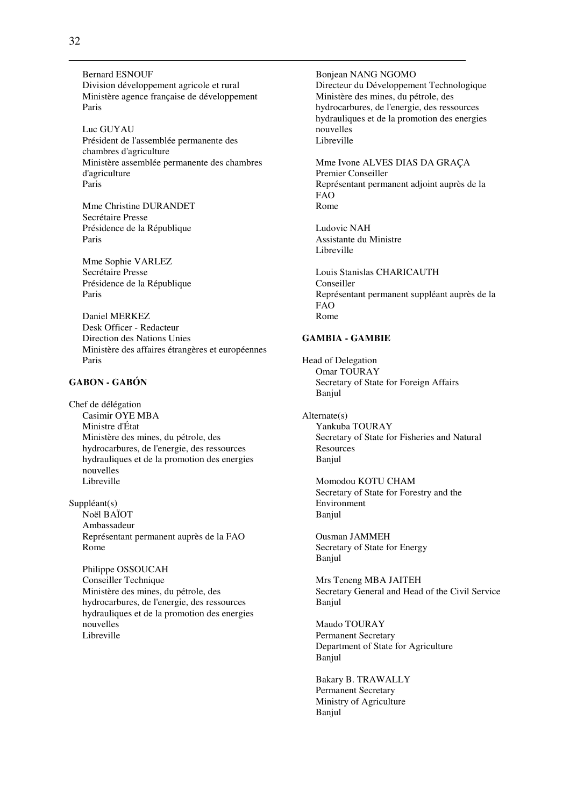Bernard ESNOUF Division développement agricole et rural Ministère agence française de développement Paris

Luc GUYAU Président de l'assemblée permanente des chambres d'agriculture Ministère assemblée permanente des chambres d'agriculture Paris

Mme Christine DURANDET Secrétaire Presse Présidence de la République Paris

Mme Sophie VARLEZ Secrétaire Presse Présidence de la République Paris

Daniel MERKEZ Desk Officer - Redacteur Direction des Nations Unies Ministère des affaires étrangères et européennes Paris

## **GABON - GABÓN**

Chef de délégation Casimir OYE MBA Ministre d'État Ministère des mines, du pétrole, des hydrocarbures, de l'energie, des ressources hydrauliques et de la promotion des energies nouvelles Libreville

Suppléant(s) Noël BAÏOT Ambassadeur Représentant permanent auprès de la FAO Rome

Philippe OSSOUCAH Conseiller Technique Ministère des mines, du pétrole, des hydrocarbures, de l'energie, des ressources hydrauliques et de la promotion des energies nouvelles Libreville

Bonjean NANG NGOMO Directeur du Développement Technologique Ministère des mines, du pétrole, des hydrocarbures, de l'energie, des ressources hydrauliques et de la promotion des energies nouvelles Libreville

Mme Ivone ALVES DIAS DA GRAÇA Premier Conseiller Représentant permanent adjoint auprès de la FAO Rome

Ludovic NAH Assistante du Ministre Libreville

Louis Stanislas CHARICAUTH Conseiller Représentant permanent suppléant auprès de la FAO Rome

#### **GAMBIA - GAMBIE**

Head of Delegation Omar TOURAY Secretary of State for Foreign Affairs Banjul

Alternate(s) Yankuba TOURAY Secretary of State for Fisheries and Natural **Resources** Banjul

Momodou KOTU CHAM Secretary of State for Forestry and the Environment Banjul

Ousman JAMMEH Secretary of State for Energy Banjul

Mrs Teneng MBA JAITEH Secretary General and Head of the Civil Service Banjul

Maudo TOURAY Permanent Secretary Department of State for Agriculture Banjul

Bakary B. TRAWALLY Permanent Secretary Ministry of Agriculture Banjul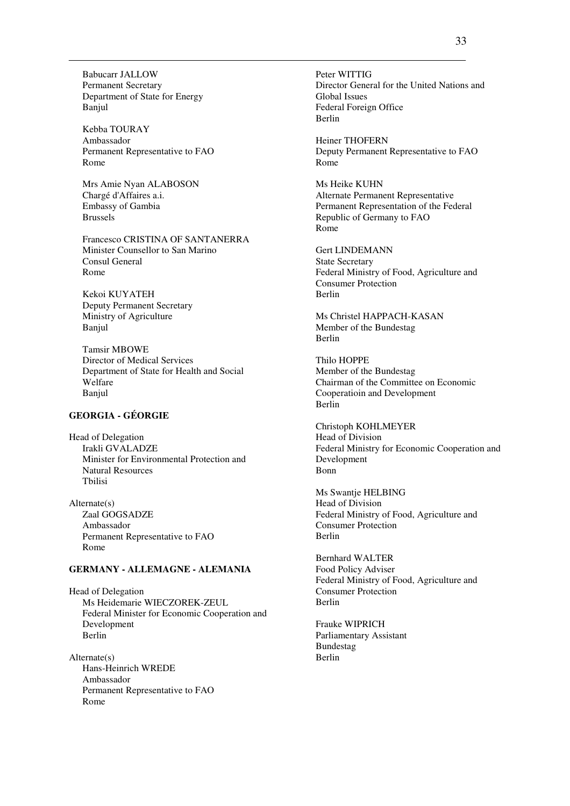Babucarr JALLOW Permanent Secretary Department of State for Energy Banjul

Kebba TOURAY Ambassador Permanent Representative to FAO Rome

Mrs Amie Nyan ALABOSON Chargé d'Affaires a.i. Embassy of Gambia Brussels

Francesco CRISTINA OF SANTANERRA Minister Counsellor to San Marino Consul General Rome

Kekoi KUYATEH Deputy Permanent Secretary Ministry of Agriculture Banjul

Tamsir MBOWE Director of Medical Services Department of State for Health and Social Welfare Banjul

# **GEORGIA - GÉORGIE**

Head of Delegation Irakli GVALADZE Minister for Environmental Protection and Natural Resources Tbilisi

Alternate(s) Zaal GOGSADZE Ambassador Permanent Representative to FAO Rome

### **GERMANY - ALLEMAGNE - ALEMANIA**

Head of Delegation Ms Heidemarie WIECZOREK-ZEUL Federal Minister for Economic Cooperation and Development Berlin

 $Alternate(e)$ Hans-Heinrich WREDE Ambassador Permanent Representative to FAO Rome

Peter WITTIG Director General for the United Nations and Global Issues Federal Foreign Office Berlin

Heiner THOFERN Deputy Permanent Representative to FAO Rome

Ms Heike KUHN Alternate Permanent Representative Permanent Representation of the Federal Republic of Germany to FAO Rome

Gert LINDEMANN State Secretary Federal Ministry of Food, Agriculture and Consumer Protection Berlin

Ms Christel HAPPACH-KASAN Member of the Bundestag Berlin

Thilo HOPPE Member of the Bundestag Chairman of the Committee on Economic Cooperatioin and Development Berlin

Christoph KOHLMEYER Head of Division Federal Ministry for Economic Cooperation and Development Bonn

Ms Swantje HELBING Head of Division Federal Ministry of Food, Agriculture and Consumer Protection Berlin

Bernhard WALTER Food Policy Adviser Federal Ministry of Food, Agriculture and Consumer Protection Berlin

Frauke WIPRICH Parliamentary Assistant Bundestag Berlin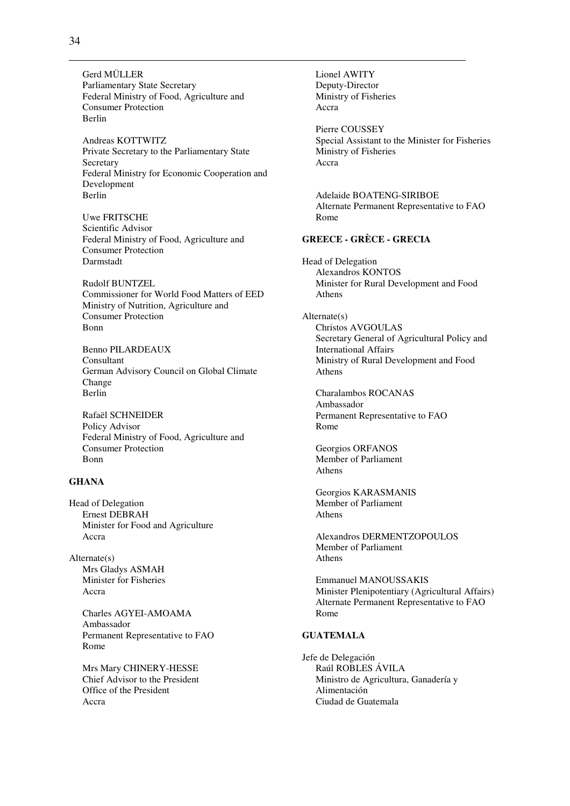Gerd MÜLLER Parliamentary State Secretary Federal Ministry of Food, Agriculture and Consumer Protection Berlin

Andreas KOTTWITZ Private Secretary to the Parliamentary State Secretary Federal Ministry for Economic Cooperation and Development Berlin

Uwe FRITSCHE Scientific Advisor Federal Ministry of Food, Agriculture and Consumer Protection Darmstadt

Rudolf BUNTZEL Commissioner for World Food Matters of EED Ministry of Nutrition, Agriculture and Consumer Protection Bonn

Benno PILARDEAUX Consultant German Advisory Council on Global Climate Change Berlin

Rafaël SCHNEIDER Policy Advisor Federal Ministry of Food, Agriculture and Consumer Protection Bonn

### **GHANA**

Head of Delegation Ernest DEBRAH Minister for Food and Agriculture Accra

Alternate(s) Mrs Gladys ASMAH Minister for Fisheries Accra

> Charles AGYEI-AMOAMA Ambassador Permanent Representative to FAO Rome

Mrs Mary CHINERY-HESSE Chief Advisor to the President Office of the President Accra

Lionel AWITY Deputy-Director Ministry of Fisheries Accra Pierre COUSSEY Special Assistant to the Minister for Fisheries Ministry of Fisheries Accra Adelaide BOATENG-SIRIBOE Alternate Permanent Representative to FAO Rome **GREECE - GRÈCE - GRECIA**  Head of Delegation Alexandros KONTOS Minister for Rural Development and Food Athens Alternate(s) Christos AVGOULAS Secretary General of Agricultural Policy and International Affairs Ministry of Rural Development and Food Athens Charalambos ROCANAS Ambassador Permanent Representative to FAO Rome Georgios ORFANOS Member of Parliament Athens Georgios KARASMANIS Member of Parliament Athens Alexandros DERMENTZOPOULOS Member of Parliament Athens Emmanuel MANOUSSAKIS Minister Plenipotentiary (Agricultural Affairs) Alternate Permanent Representative to FAO Rome **GUATEMALA**  Jefe de Delegación Raúl ROBLES ÁVILA Ministro de Agricultura, Ganadería y Alimentación

Ciudad de Guatemala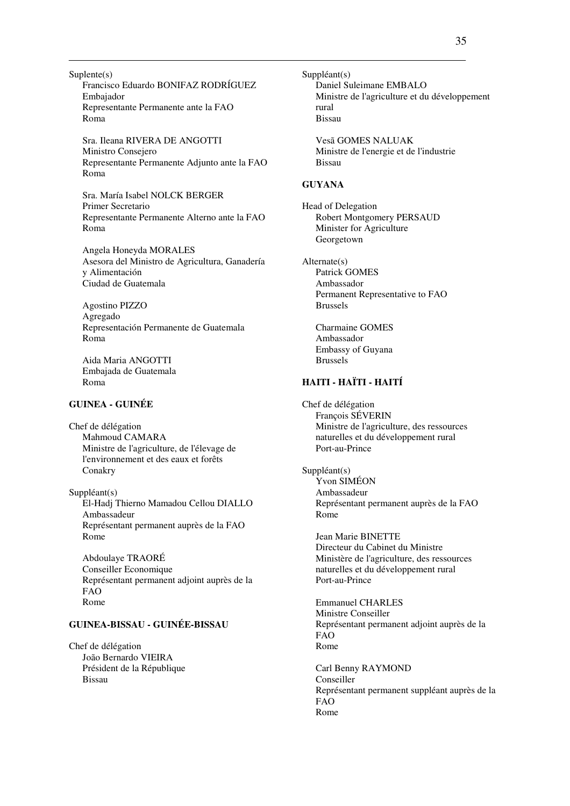Suplente(s) Francisco Eduardo BONIFAZ RODRÍGUEZ Embajador Representante Permanente ante la FAO Roma

Sra. Ileana RIVERA DE ANGOTTI Ministro Consejero Representante Permanente Adjunto ante la FAO Roma

Sra. María Isabel NOLCK BERGER Primer Secretario Representante Permanente Alterno ante la FAO Roma

Angela Honeyda MORALES Asesora del Ministro de Agricultura, Ganadería y Alimentación Ciudad de Guatemala

Agostino PIZZO Agregado Representación Permanente de Guatemala Roma

Aida Maria ANGOTTI Embajada de Guatemala Roma

### **GUINEA - GUINÉE**

Chef de délégation Mahmoud CAMARA Ministre de l'agriculture, de l'élevage de l'environnement et des eaux et forêts Conakry

Suppléant(s) El-Hadj Thierno Mamadou Cellou DIALLO Ambassadeur Représentant permanent auprès de la FAO Rome

Abdoulaye TRAORÉ Conseiller Economique Représentant permanent adjoint auprès de la FAO Rome

### **GUINEA-BISSAU - GUINÉE-BISSAU**

Chef de délégation João Bernardo VIEIRA Président de la République Bissau

Suppléant(s) Daniel Suleimane EMBALO Ministre de l'agriculture et du développement rural Bissau

Vesã GOMES NALUAK Ministre de l'energie et de l'industrie Bissau

#### **GUYANA**

Head of Delegation Robert Montgomery PERSAUD Minister for Agriculture Georgetown

Alternate(s) Patrick GOMES Ambassador Permanent Representative to FAO Brussels

Charmaine GOMES Ambassador Embassy of Guyana Brussels

### **HAITI - HAÏTI - HAITÍ**

Chef de délégation François SÉVERIN Ministre de l'agriculture, des ressources naturelles et du développement rural Port-au-Prince

Suppléant(s) Yvon SIMÉON Ambassadeur Représentant permanent auprès de la FAO Rome

Jean Marie BINETTE Directeur du Cabinet du Ministre Ministère de l'agriculture, des ressources naturelles et du développement rural Port-au-Prince

Emmanuel CHARLES Ministre Conseiller Représentant permanent adjoint auprès de la FAO Rome

Carl Benny RAYMOND Conseiller Représentant permanent suppléant auprès de la FAO Rome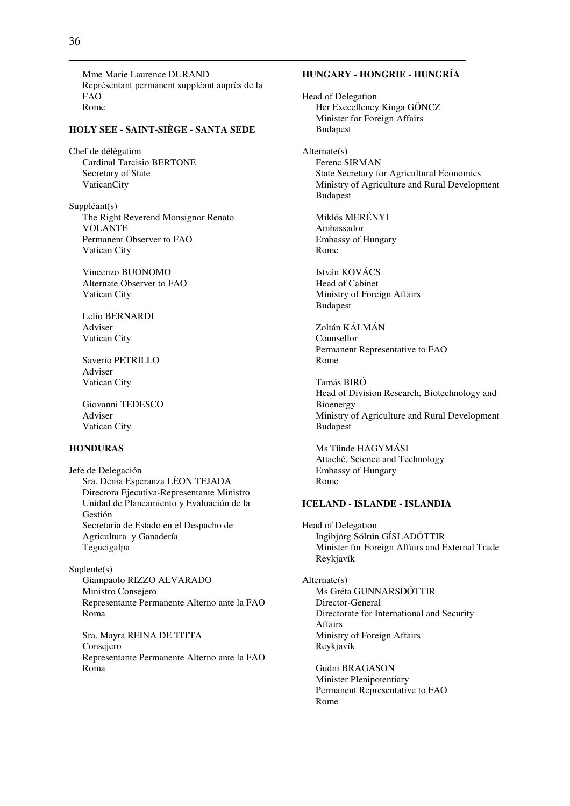Mme Marie Laurence DURAND Représentant permanent suppléant auprès de la FAO Rome

#### **HOLY SEE - SAINT-SIÈGE - SANTA SEDE**

Chef de délégation Cardinal Tarcisio BERTONE Secretary of State VaticanCity

Suppléant(s) The Right Reverend Monsignor Renato VOLANTE Permanent Observer to FAO Vatican City

Vincenzo BUONOMO Alternate Observer to FAO Vatican City

Lelio BERNARDI Adviser Vatican City

Saverio PETRILLO Adviser Vatican City

Giovanni TEDESCO Adviser Vatican City

### **HONDURAS**

Jefe de Delegación Sra. Denia Esperanza LÈON TEJADA Directora Ejecutiva-Representante Ministro Unidad de Planeamiento y Evaluación de la Gestión Secretaría de Estado en el Despacho de Agricultura y Ganadería Tegucigalpa

Suplente(s) Giampaolo RIZZO ALVARADO Ministro Consejero Representante Permanente Alterno ante la FAO Roma

Sra. Mayra REINA DE TITTA Consejero Representante Permanente Alterno ante la FAO Roma

# **HUNGARY - HONGRIE - HUNGRÍA**

Head of Delegation Her Execellency Kinga GÖNCZ Minister for Foreign Affairs Budapest

Alternate(s) Ferenc SIRMAN State Secretary for Agricultural Economics Ministry of Agriculture and Rural Development Budapest

Miklós MERÉNYI Ambassador Embassy of Hungary Rome

István KOVÁCS Head of Cabinet Ministry of Foreign Affairs Budapest

Zoltán KÁLMÁN Counsellor Permanent Representative to FAO Rome

Tamás BIRÓ Head of Division Research, Biotechnology and Bioenergy Ministry of Agriculture and Rural Development Budapest

Ms Tünde HAGYMÁSI Attaché, Science and Technology Embassy of Hungary Rome

### **ICELAND - ISLANDE - ISLANDIA**

Head of Delegation Ingibjörg Sólrún GÍSLADÓTTIR Minister for Foreign Affairs and External Trade Reykjavík

Alternate(s) Ms Gréta GUNNARSDÓTTIR Director-General Directorate for International and Security Affairs Ministry of Foreign Affairs Reykjavík

Gudni BRAGASON Minister Plenipotentiary Permanent Representative to FAO Rome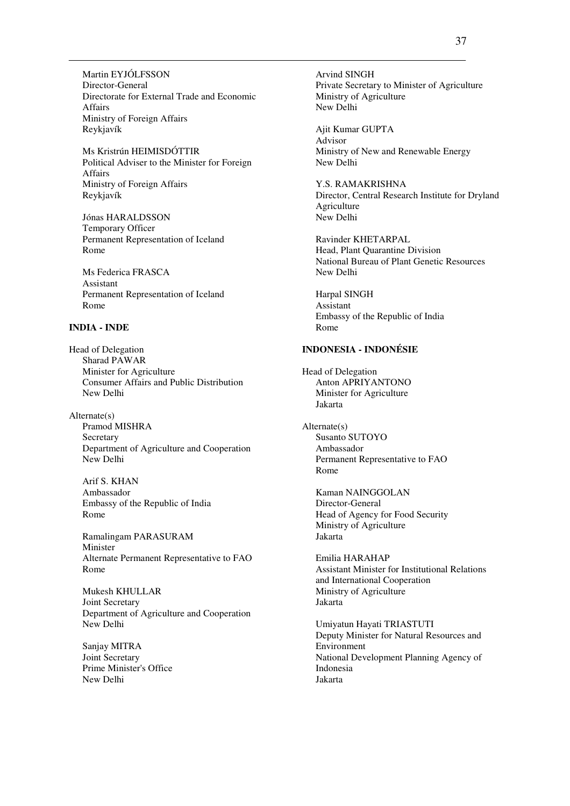Martin EYJÓLFSSON Director-General Directorate for External Trade and Economic Affairs Ministry of Foreign Affairs Reykjavík

Ms Kristrún HEIMISDÓTTIR Political Adviser to the Minister for Foreign Affairs Ministry of Foreign Affairs Reykjavík

Jónas HARALDSSON Temporary Officer Permanent Representation of Iceland Rome

Ms Federica FRASCA Assistant Permanent Representation of Iceland Rome

#### **INDIA - INDE**

Head of Delegation Sharad PAWAR Minister for Agriculture Consumer Affairs and Public Distribution New Delhi

Alternate(s) Pramod MISHRA Secretary Department of Agriculture and Cooperation New Delhi

Arif S. KHAN Ambassador Embassy of the Republic of India Rome

Ramalingam PARASURAM Minister Alternate Permanent Representative to FAO Rome

Mukesh KHULLAR Joint Secretary Department of Agriculture and Cooperation New Delhi

Sanjay MITRA Joint Secretary Prime Minister's Office New Delhi

Arvind SINGH Private Secretary to Minister of Agriculture Ministry of Agriculture New Delhi

Ajit Kumar GUPTA Advisor Ministry of New and Renewable Energy New Delhi

Y.S. RAMAKRISHNA Director, Central Research Institute for Dryland Agriculture New Delhi

Ravinder KHETARPAL Head, Plant Quarantine Division National Bureau of Plant Genetic Resources New Delhi

Harpal SINGH Assistant Embassy of the Republic of India Rome

# **INDONESIA - INDONÉSIE**

Head of Delegation Anton APRIYANTONO Minister for Agriculture Jakarta

Alternate(s) Susanto SUTOYO Ambassador Permanent Representative to FAO Rome

Kaman NAINGGOLAN Director-General Head of Agency for Food Security Ministry of Agriculture Jakarta

Emilia HARAHAP Assistant Minister for Institutional Relations and International Cooperation Ministry of Agriculture Jakarta

Umiyatun Hayati TRIASTUTI Deputy Minister for Natural Resources and Environment National Development Planning Agency of Indonesia Jakarta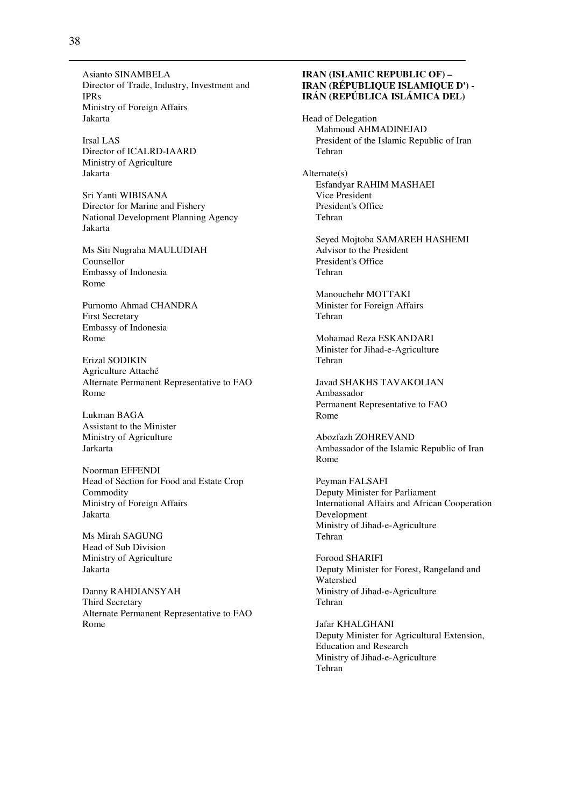Asianto SINAMBELA Director of Trade, Industry, Investment and IPRs Ministry of Foreign Affairs Jakarta

Irsal LAS Director of ICALRD-IAARD Ministry of Agriculture Jakarta

Sri Yanti WIBISANA Director for Marine and Fishery National Development Planning Agency Jakarta

Ms Siti Nugraha MAULUDIAH Counsellor Embassy of Indonesia Rome

Purnomo Ahmad CHANDRA First Secretary Embassy of Indonesia Rome

Erizal SODIKIN Agriculture Attaché Alternate Permanent Representative to FAO Rome

Lukman BAGA Assistant to the Minister Ministry of Agriculture Jarkarta

Noorman EFFENDI Head of Section for Food and Estate Crop Commodity Ministry of Foreign Affairs Jakarta

Ms Mirah SAGUNG Head of Sub Division Ministry of Agriculture Jakarta

Danny RAHDIANSYAH Third Secretary Alternate Permanent Representative to FAO Rome

## **IRAN (ISLAMIC REPUBLIC OF) – IRAN (RÉPUBLIQUE ISLAMIQUE D') - IRÁN (REPÚBLICA ISLÁMICA DEL)**

Head of Delegation Mahmoud AHMADINEJAD President of the Islamic Republic of Iran Tehran

Alternate(s) Esfandyar RAHIM MASHAEI Vice President President's Office Tehran

Seyed Mojtoba SAMAREH HASHEMI Advisor to the President President's Office Tehran

Manouchehr MOTTAKI Minister for Foreign Affairs Tehran

Mohamad Reza ESKANDARI Minister for Jihad-e-Agriculture Tehran

Javad SHAKHS TAVAKOLIAN Ambassador Permanent Representative to FAO Rome

Abozfazh ZOHREVAND Ambassador of the Islamic Republic of Iran Rome

Peyman FALSAFI Deputy Minister for Parliament International Affairs and African Cooperation Development Ministry of Jihad-e-Agriculture Tehran

Forood SHARIFI Deputy Minister for Forest, Rangeland and Watershed Ministry of Jihad-e-Agriculture Tehran

Jafar KHALGHANI Deputy Minister for Agricultural Extension, Education and Research Ministry of Jihad-e-Agriculture Tehran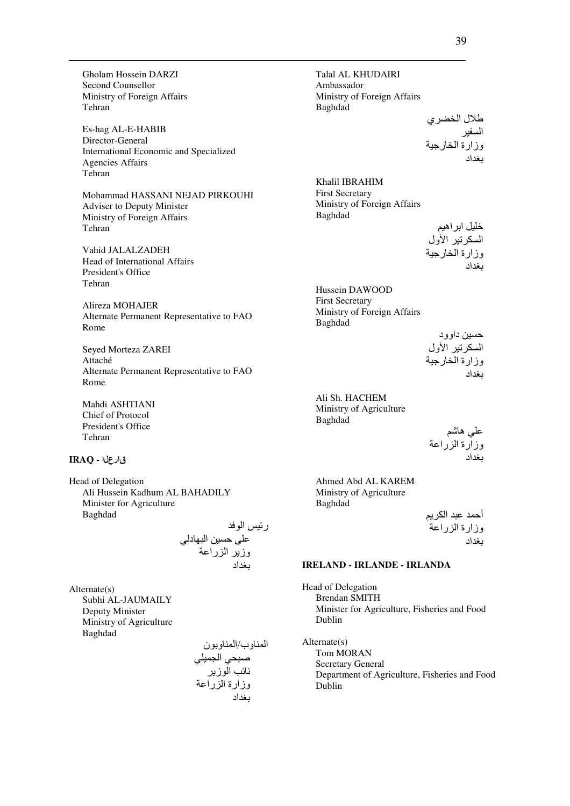Gholam Hossein DARZI Second Counsellor Ministry of Foreign Affairs Tehran

Es-hag AL-E-HABIB Director-General International Economic and Specialized Agencies Affairs Tehran

Mohammad HASSANI NEJAD PIRKOUHI Adviser to Deputy Minister Ministry of Foreign Affairs Tehran

Vahid JALALZADEH Head of International Affairs President's Office Tehran

Alireza MOHAJER Alternate Permanent Representative to FAO Rome

Seyed Morteza ZAREI Attaché Alternate Permanent Representative to FAO Rome

Mahdi ASHTIANI Chief of Protocol President's Office Tehran

# قارعلا **- IRAQ**

Head of Delegation Ali Hussein Kadhum AL BAHADILY Minister for Agriculture Baghdad

ر- ا 80L ,-\$ ا /Tد ; وز ا را0 Wاد

Alternate(s) Subhi AL-JAUMAILY Deputy Minister Ministry of Agriculture Baghdad

ا وب/ا ون ;8- ا; D/R +> ا ز وزارة ا را0 Wاد

Talal AL KHUDAIRI Ambassador Ministry of Foreign Affairs Baghdad

طلال الخضري السفير وزارة الخارجية<br>بغداد

Khalil IBRAHIM First Secretary Ministry of Foreign Affairs Baghdad

خلیل ابر اهیم السكرتير الأول وزارة الخارجية ىغداد

Hussein DAWOOD First Secretary Ministry of Foreign Affairs Baghdad

> حسين داوود السكرتير الأول وزارة الخارجية يغداد

Ali Sh. HACHEM Ministry of Agriculture Baghdad

علي هاشم وزارة الزراعة بغداد

Ahmed Abd AL KAREM Ministry of Agriculture Baghdad

أحمد عبد الكريم وزارة الزراعة يغداد

## **IRELAND - IRLANDE - IRLANDA**

Head of Delegation Brendan SMITH Minister for Agriculture, Fisheries and Food Dublin

Alternate(s) Tom MORAN Secretary General Department of Agriculture, Fisheries and Food Dublin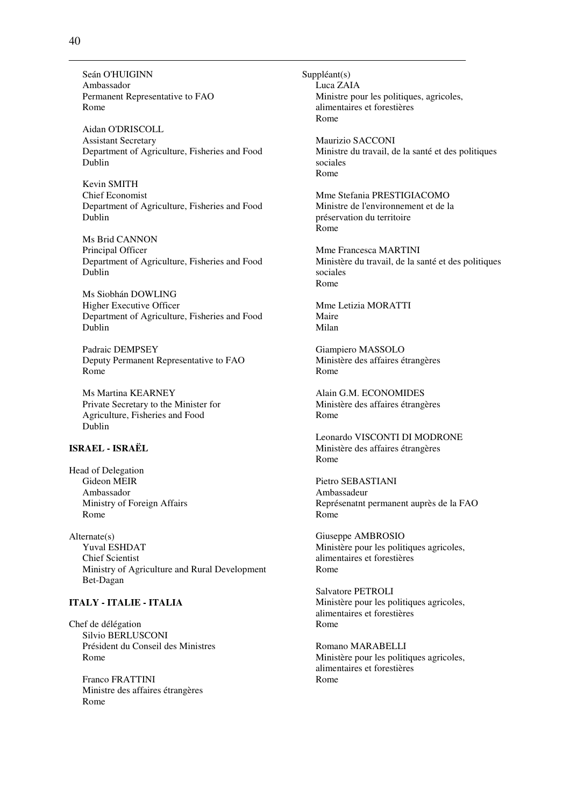Seán O'HUIGINN Ambassador Permanent Representative to FAO Rome

Aidan O'DRISCOLL Assistant Secretary Department of Agriculture, Fisheries and Food Dublin

Kevin SMITH Chief Economist Department of Agriculture, Fisheries and Food Dublin

Ms Brid CANNON Principal Officer Department of Agriculture, Fisheries and Food Dublin

Ms Siobhán DOWLING Higher Executive Officer Department of Agriculture, Fisheries and Food Dublin

Padraic DEMPSEY Deputy Permanent Representative to FAO Rome

Ms Martina KEARNEY Private Secretary to the Minister for Agriculture, Fisheries and Food Dublin

# **ISRAEL - ISRAËL**

Head of Delegation Gideon MEIR Ambassador Ministry of Foreign Affairs Rome

Alternate(s) Yuval ESHDAT Chief Scientist Ministry of Agriculture and Rural Development Bet-Dagan

# **ITALY - ITALIE - ITALIA**

Chef de délégation Silvio BERLUSCONI Président du Conseil des Ministres Rome

Franco FRATTINI Ministre des affaires étrangères Rome

Suppléant(s) Luca ZAIA Ministre pour les politiques, agricoles, alimentaires et forestières Rome

Maurizio SACCONI Ministre du travail, de la santé et des politiques sociales Rome

Mme Stefania PRESTIGIACOMO Ministre de l'environnement et de la préservation du territoire Rome

Mme Francesca MARTINI Ministère du travail, de la santé et des politiques sociales Rome

Mme Letizia MORATTI Maire Milan

Giampiero MASSOLO Ministère des affaires étrangères Rome

Alain G.M. ECONOMIDES Ministère des affaires étrangères Rome

Leonardo VISCONTI DI MODRONE Ministère des affaires étrangères Rome

Pietro SEBASTIANI Ambassadeur Représenatnt permanent auprès de la FAO Rome

Giuseppe AMBROSIO Ministère pour les politiques agricoles, alimentaires et forestières Rome

Salvatore PETROLI Ministère pour les politiques agricoles, alimentaires et forestières Rome

Romano MARABELLI Ministère pour les politiques agricoles, alimentaires et forestières Rome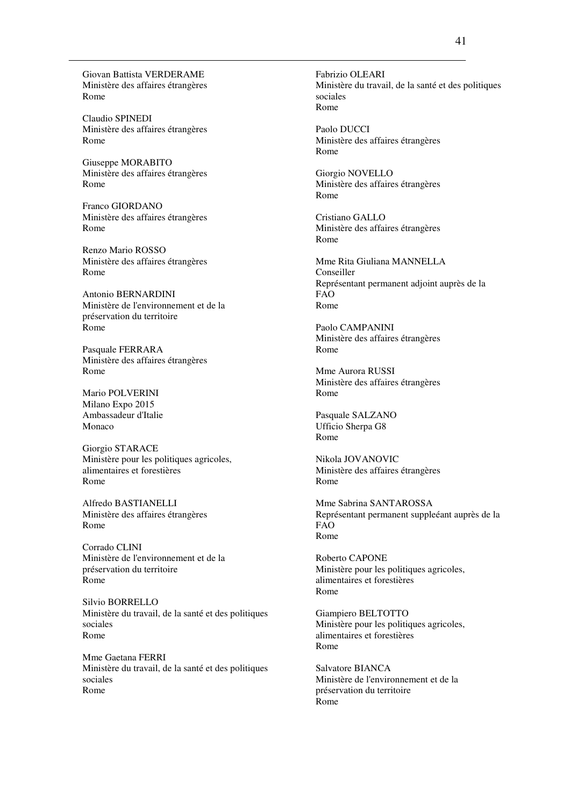Giovan Battista VERDERAME Ministère des affaires étrangères Rome

Claudio SPINEDI Ministère des affaires étrangères Rome

Giuseppe MORABITO Ministère des affaires étrangères Rome

Franco GIORDANO Ministère des affaires étrangères Rome

Renzo Mario ROSSO Ministère des affaires étrangères Rome

Antonio BERNARDINI Ministère de l'environnement et de la préservation du territoire Rome

Pasquale FERRARA Ministère des affaires étrangères Rome

Mario POLVERINI Milano Expo 2015 Ambassadeur d'Italie Monaco

Giorgio STARACE Ministère pour les politiques agricoles, alimentaires et forestières Rome

Alfredo BASTIANELLI Ministère des affaires étrangères Rome

Corrado CLINI Ministère de l'environnement et de la préservation du territoire Rome

Silvio BORRELLO Ministère du travail, de la santé et des politiques sociales Rome

Mme Gaetana FERRI Ministère du travail, de la santé et des politiques sociales Rome

Fabrizio OLEARI Ministère du travail, de la santé et des politiques sociales Rome

Paolo DUCCI Ministère des affaires étrangères Rome

Giorgio NOVELLO Ministère des affaires étrangères Rome

Cristiano GALLO Ministère des affaires étrangères Rome

Mme Rita Giuliana MANNELLA Conseiller Représentant permanent adjoint auprès de la FAO Rome

Paolo CAMPANINI Ministère des affaires étrangères Rome

Mme Aurora RUSSI Ministère des affaires étrangères Rome

Pasquale SALZANO Ufficio Sherpa G8 Rome

Nikola JOVANOVIC Ministère des affaires étrangères Rome

Mme Sabrina SANTAROSSA Représentant permanent suppleéant auprès de la FAO Rome

Roberto CAPONE Ministère pour les politiques agricoles, alimentaires et forestières Rome

Giampiero BELTOTTO Ministère pour les politiques agricoles, alimentaires et forestières Rome

Salvatore BIANCA Ministère de l'environnement et de la préservation du territoire Rome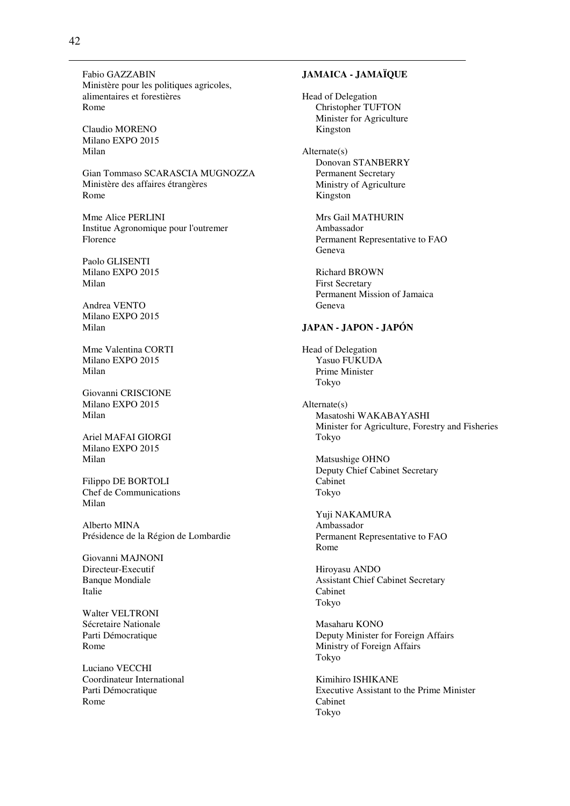Fabio GAZZABIN Ministère pour les politiques agricoles, alimentaires et forestières Rome

Claudio MORENO Milano EXPO 2015 Milan

Gian Tommaso SCARASCIA MUGNOZZA Ministère des affaires étrangères Rome

Mme Alice PERLINI Institue Agronomique pour l'outremer Florence

Paolo GLISENTI Milano EXPO 2015 Milan

Andrea VENTO Milano EXPO 2015 Milan

Mme Valentina CORTI Milano EXPO 2015 Milan

Giovanni CRISCIONE Milano EXPO 2015 Milan

Ariel MAFAI GIORGI Milano EXPO 2015 Milan

Filippo DE BORTOLI Chef de Communications Milan

Alberto MINA Présidence de la Région de Lombardie

Giovanni MAJNONI Directeur-Executif Banque Mondiale Italie

Walter VELTRONI Sécretaire Nationale Parti Démocratique Rome

Luciano VECCHI Coordinateur International Parti Démocratique Rome

# **JAMAICA - JAMAÏQUE**

Head of Delegation Christopher TUFTON Minister for Agriculture Kingston

Alternate(s) Donovan STANBERRY Permanent Secretary Ministry of Agriculture Kingston

> Mrs Gail MATHURIN Ambassador Permanent Representative to FAO Geneva

Richard BROWN First Secretary Permanent Mission of Jamaica Geneva

## **JAPAN - JAPON - JAPÓN**

Head of Delegation Yasuo FUKUDA Prime Minister Tokyo

Alternate(s) Masatoshi WAKABAYASHI Minister for Agriculture, Forestry and Fisheries Tokyo

Matsushige OHNO Deputy Chief Cabinet Secretary Cabinet Tokyo

Yuji NAKAMURA Ambassador Permanent Representative to FAO Rome

Hiroyasu ANDO Assistant Chief Cabinet Secretary Cabinet Tokyo

Masaharu KONO Deputy Minister for Foreign Affairs Ministry of Foreign Affairs Tokyo

Kimihiro ISHIKANE Executive Assistant to the Prime Minister Cabinet Tokyo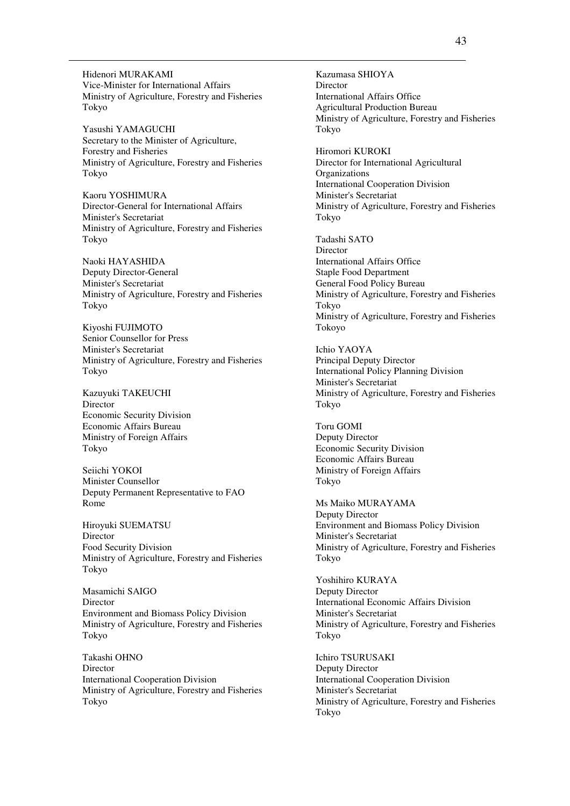Hidenori MURAKAMI Vice-Minister for International Affairs Ministry of Agriculture, Forestry and Fisheries Tokyo

Yasushi YAMAGUCHI Secretary to the Minister of Agriculture, Forestry and Fisheries Ministry of Agriculture, Forestry and Fisheries Tokyo

Kaoru YOSHIMURA Director-General for International Affairs Minister's Secretariat Ministry of Agriculture, Forestry and Fisheries Tokyo

Naoki HAYASHIDA Deputy Director-General Minister's Secretariat Ministry of Agriculture, Forestry and Fisheries Tokyo

Kiyoshi FUJIMOTO Senior Counsellor for Press Minister's Secretariat Ministry of Agriculture, Forestry and Fisheries Tokyo

Kazuyuki TAKEUCHI Director Economic Security Division Economic Affairs Bureau Ministry of Foreign Affairs Tokyo

Seiichi YOKOI Minister Counsellor Deputy Permanent Representative to FAO Rome

Hiroyuki SUEMATSU Director Food Security Division Ministry of Agriculture, Forestry and Fisheries Tokyo

Masamichi SAIGO Director Environment and Biomass Policy Division Ministry of Agriculture, Forestry and Fisheries Tokyo

Takashi OHNO Director International Cooperation Division Ministry of Agriculture, Forestry and Fisheries Tokyo

Kazumasa SHIOYA Director International Affairs Office Agricultural Production Bureau Ministry of Agriculture, Forestry and Fisheries Tokyo

Hiromori KUROKI Director for International Agricultural **Organizations** International Cooperation Division Minister's Secretariat Ministry of Agriculture, Forestry and Fisheries Tokyo

Tadashi SATO **Director** International Affairs Office Staple Food Department General Food Policy Bureau Ministry of Agriculture, Forestry and Fisheries Tokyo Ministry of Agriculture, Forestry and Fisheries Tokoyo

Ichio YAOYA Principal Deputy Director International Policy Planning Division Minister's Secretariat Ministry of Agriculture, Forestry and Fisheries Tokyo

Toru GOMI Deputy Director Economic Security Division Economic Affairs Bureau Ministry of Foreign Affairs Tokyo

Ms Maiko MURAYAMA Deputy Director Environment and Biomass Policy Division Minister's Secretariat Ministry of Agriculture, Forestry and Fisheries Tokyo

Yoshihiro KURAYA Deputy Director International Economic Affairs Division Minister's Secretariat Ministry of Agriculture, Forestry and Fisheries Tokyo

Ichiro TSURUSAKI Deputy Director International Cooperation Division Minister's Secretariat Ministry of Agriculture, Forestry and Fisheries Tokyo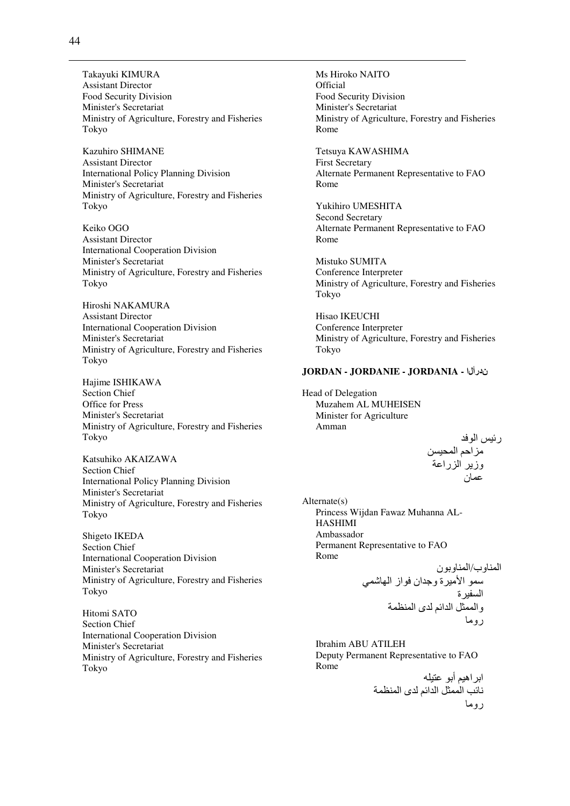Takayuki KIMURA **Assistant Director** Food Security Division Minister's Secretariat Ministry of Agriculture, Forestry and Fisheries Tokyo

Kazuhiro SHIMANE **Assistant Director International Policy Planning Division** Minister's Secretariat Ministry of Agriculture, Forestry and Fisheries Tokyo

Keiko OGO **Assistant Director International Cooperation Division** Minister's Secretariat Ministry of Agriculture, Forestry and Fisheries Tokyo

Hiroshi NAKAMURA **Assistant Director International Cooperation Division** Minister's Secretariat Ministry of Agriculture, Forestry and Fisheries Tokyo

Hajime ISHIKAWA Section Chief Office for Press Minister's Secretariat Ministry of Agriculture, Forestry and Fisheries Tokyo

Katsuhiko AKAIZAWA **Section Chief International Policy Planning Division** Minister's Secretariat Ministry of Agriculture, Forestry and Fisheries Tokyo

Shigeto IKEDA **Section Chief International Cooperation Division** Minister's Secretariat Ministry of Agriculture, Forestry and Fisheries Tokyo

Hitomi SATO **Section Chief International Cooperation Division** Minister's Secretariat Ministry of Agriculture, Forestry and Fisheries Tokvo

Ms Hiroko NAITO Official Food Security Division Minister's Secretariat Ministry of Agriculture, Forestry and Fisheries Rome

Tetsuya KAWASHIMA **First Secretary** Alternate Permanent Representative to FAO Rome

Yukihiro UMESHITA **Second Secretary** Alternate Permanent Representative to FAO Rome

Mistuko SUMITA Conference Interpreter Ministry of Agriculture, Forestry and Fisheries Tokyo

Hisao IKEUCHI Conference Interpreter Ministry of Agriculture, Forestry and Fisheries Tokyo

# JORDAN - JORDANIE - JORDANIA - ندرأل ا

Head of Delegation Muzahem AL MUHEISEN Minister for Agriculture Amman

> رئيس الوفد ں ہرے<br>مزاحم المحبسن<br>وزیر الزراعة

 $Alternate(s)$ Princess Wijdan Fawaz Muhanna AL-**HASHIMI** Ambassador Permanent Representative to FAO Rome

المناوب/المناوبون <sub>ئ</sub>ب,سموربر<br>سمو الأميرة وجدان فواز الهاشمي السفيرة<br>والممثل الدائم لدى المنظمة روما

**Ibrahim ABU ATILEH** Deputy Permanent Representative to FAO Rome

ابر اهيم أبو عتبله .<br>نائب الممثل الدائم لدى المنظمة روما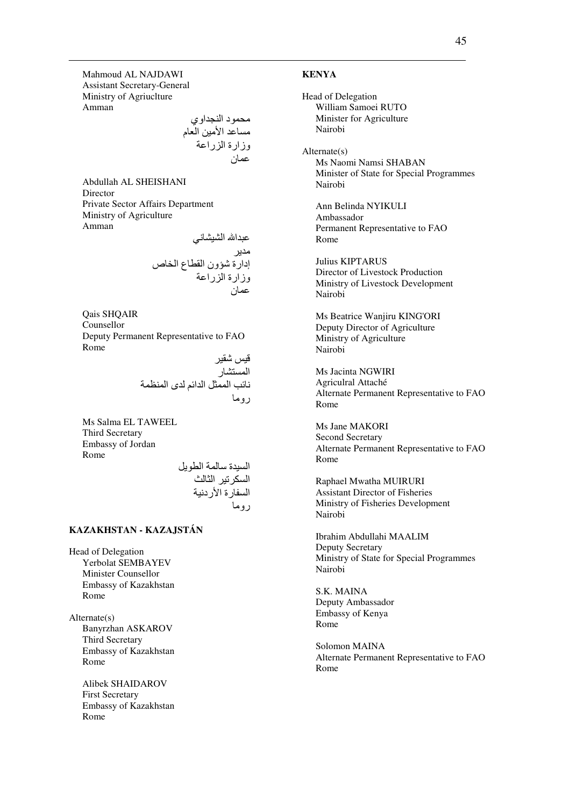Mahmoud AL NAJDAWI Assistant Secretary-General Ministry of Agriuclture Amman

#Dد ا اوي 0\$# اH,-# ا م وزارة ا را0 0ن

Abdullah AL SHEISHANI Director Private Sector Affairs Department Ministry of Agriculture Amman

> عبدالله الشيشاني مدير إدارة شؤون القطاع الخاص وزارة الزراعة عمان

Qais SHQAIR Counsellor Deputy Permanent Representative to FAO Rome

> قيس شقير المستشار نائب الممثل الدائم لدى المنظمة روما

Ms Salma EL TAWEEL Third Secretary Embassy of Jordan Rome

السيدة سالمة الطويل السكرتير الثالث السفارة الأردنية روما

# **KAZAKHSTAN - KAZAJSTÁN**

Head of Delegation Yerbolat SEMBAYEV Minister Counsellor Embassy of Kazakhstan Rome

Alternate(s) Banyrzhan ASKAROV Third Secretary Embassy of Kazakhstan Rome

> Alibek SHAIDAROV First Secretary Embassy of Kazakhstan Rome

### **KENYA**

Head of Delegation William Samoei RUTO Minister for Agriculture Nairobi Alternate(s) Ms Naomi Namsi SHABAN Minister of State for Special Programmes Nairobi Ann Belinda NYIKULI Ambassador Permanent Representative to FAO Rome Julius KIPTARUS Director of Livestock Production Ministry of Livestock Development Nairobi Ms Beatrice Wanjiru KING'ORI Deputy Director of Agriculture Ministry of Agriculture Nairobi Ms Jacinta NGWIRI Agriculral Attaché Alternate Permanent Representative to FAO Rome Ms Jane MAKORI Second Secretary Alternate Permanent Representative to FAO Rome Raphael Mwatha MUIRURI Assistant Director of Fisheries Ministry of Fisheries Development Nairobi Ibrahim Abdullahi MAALIM Deputy Secretary Ministry of State for Special Programmes Nairobi S.K. MAINA Deputy Ambassador Embassy of Kenya Rome Solomon MAINA Alternate Permanent Representative to FAO Rome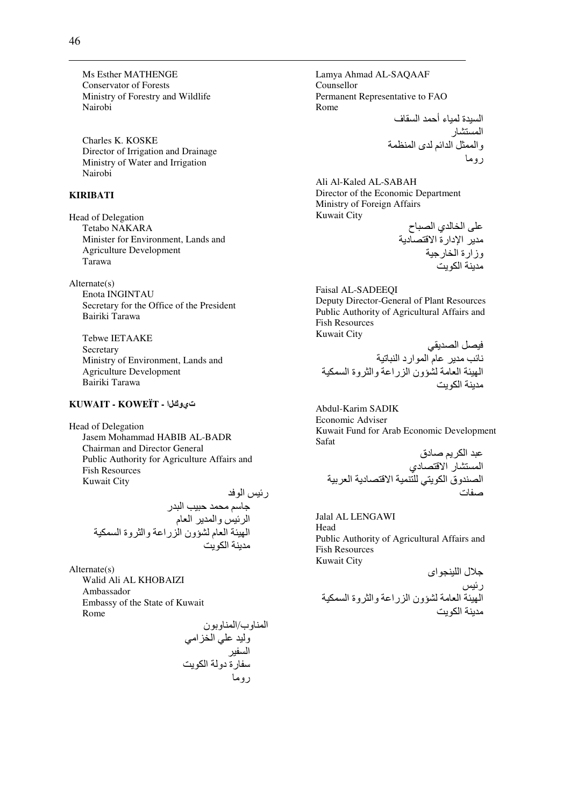Ms Esther MATHENGE **Conservator of Forests** Ministry of Forestry and Wildlife Nairobi

Charles K. KOSKE Director of Irrigation and Drainage Ministry of Water and Irrigation Nairobi

# **KIRIBATI**

**Head of Delegation** Tetabo NAKARA Minister for Environment, Lands and **Agriculture Development** Tarawa

 $Alternate(s)$ Enota INGINTAU Secretary for the Office of the President Bairiki Tarawa

Tebwe IETAAKE Secretary Ministry of Environment, Lands and **Agriculture Development** Bairiki Tarawa

# تيوانا - KUWAIT - KOWEÏT

**Head of Delegation** Jasem Mohammad HABIB AL-BADR **Chairman and Director General** Public Authority for Agriculture Affairs and **Fish Resources Kuwait City** 

رئيس الوفد<br>جاسم محمد حبيب البدر<br>الرئيس والمدير العام<br>الهيئة العام لشؤون الزراعة والثروة السمكية مدىنة الكويت

 $Alternate(s)$ Walid Ali AL KHOBAIZI Ambassador Embassy of the State of Kuwait Rome

Lamya Ahmad AL-SAQAAF Counsellor Permanent Representative to FAO Rome السيدة لمياء أحمد السقاف<br>المستشار<br>والممثل الدائم لدي المنظمة

Ali Al-Kaled AL-SABAH Director of the Economic Department Ministry of Foreign Affairs Kuwait City  $\mathbf{u}$   $\mathbf{u}$ ,  $\mathbf{u}$ 

**Faisal AL-SADEEOI** Deputy Director-General of Plant Resources Public Authority of Agricultural Affairs and **Fish Resources Kuwait City** 

فيصل الصديقي<br>نائب مدير عام الموارد النباتية<br>الهيئة العامة لشؤون الزراعة والثروة السمكية مدبنة الكويت

Abdul-Karim SADIK Economic Adviser Kuwait Fund for Arab Economic Development Safat

Jalal AL LENGAWI Head Public Authority of Agricultural Affairs and Fish Resources **Kuwait City** 

جلال اللينجواي رسس<br>الـهيئة الـعامة لشؤون الزراعة والثروة السمكية مدينة الكويت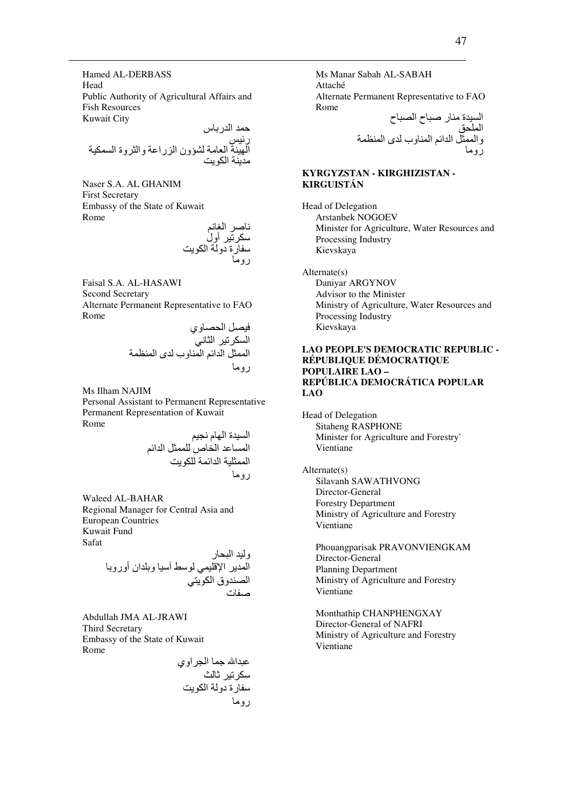Hamed AL-DERBASS Head Public Authority of Agricultural Affairs and **Fish Resources Kuwait City** 

Naser S.A. AL GHANIM **First Secretary** Embassy of the State of Kuwait Rome

ناصر الغانم<br>سكرتير أول<br>سفارة دولة الكويت<br>مده

Faisal S.A. AL-HASAWI **Second Secretary** Alternate Permanent Representative to FAO Rome

فيصل الحصــاوي<br>السكرتير الثـاني<br>الممثل الدائم المنـاوب لدى المنظمة

Ms Ilham NAJIM

Personal Assistant to Permanent Representative Permanent Representation of Kuwait Rome

السيدة الهام نجيم<br>المساعد الخاص للممثل الدائم<br>الممثلية الدائمة للكويت روما

Waleed AL-BAHAR Regional Manager for Central Asia and **European Countries** Kuwait Fund Safat

رب سبحار<br>المدير الإقليمي لوسط أسيا وبلدان أوروبا<br>الصندوق الكويتي

Abdullah JMA AL-JRAWI **Third Secretary** Embassy of the State of Kuwait Rome

Ms Manar Sabah AL-SABAH Attaché Alternate Permanent Representative to FAO Rome  $\mathbf{r} = \mathbf{r} \cdot \mathbf{r}$ 

## KYRGYZSTAN - KIRGHIZISTAN -KIRGUISTÁN

Head of Delegation Arstanbek NOGOEV Minister for Agriculture, Water Resources and Processing Industry Kievskava

Alternate(s) Daniyar ARGYNOV Advisor to the Minister Ministry of Agriculture, Water Resources and Processing Industry Kievskaya

#### **LAO PEOPLE'S DEMOCRATIC REPUBLIC -**RÉPUBLIQUE DÉMOCRATIQUE **POPULAIRE LAO -**REPÚBLICA DEMOCRÁTICA POPULAR LAO

Head of Delegation **Sitaheng RASPHONE** Minister for Agriculture and Forestry Vientiane

 $Alternate(s)$ Silavanh SAWATHVONG Director-General **Forestry Department** Ministry of Agriculture and Forestry Vientiane

Phouangparisak PRAVONVIENGKAM Director-General **Planning Department** Ministry of Agriculture and Forestry Vientiane

Monthathip CHANPHENGXAY Director-General of NAFRI Ministry of Agriculture and Forestry Vientiane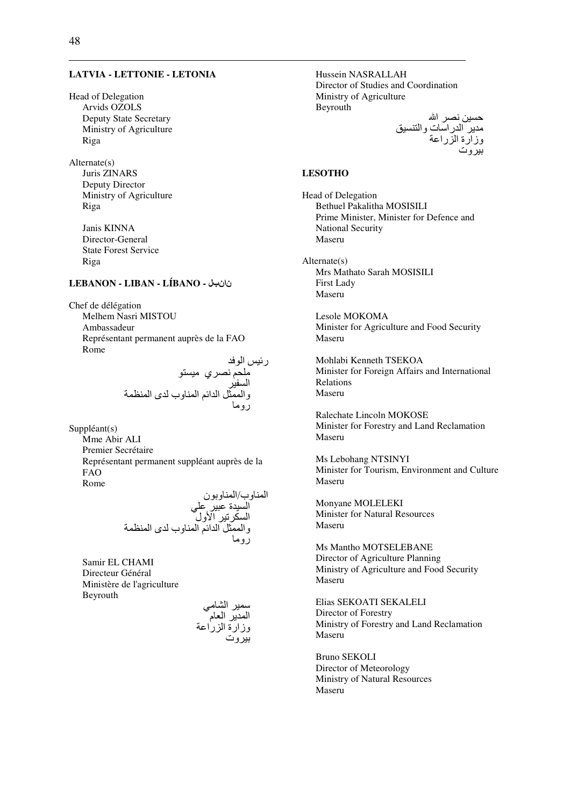#### **LATVIA - LETTONIE - LETONIA**

Head of Delegation Arvids OZOLS **Deputy State Secretary** Ministry of Agriculture Riga

 $Alternate(s)$ Juris ZINARS Deputy Director Ministry of Agriculture Riga

> Janis KINNA Director-General **State Forest Service** Riga

# نانجال - LEBANON - LIBAN - LÍBANO

Chef de délégation Melhem Nasri MISTOU Ambassadeur Représentant permanent auprès de la FAO Rome

رئيس الوفد<br>ملحم نصري ميستو<br>السفير<br>و الممثل الدائم المناوب لدى المنظمة<br>روما

 $Suppléant(s)$ 

Mme Abir ALI Premier Secrétaire Représentant permanent suppléant auprès de la **FAO** Rome

Samir EL CHAMI Directeur Général Ministère de l'agriculture Beyrouth

سمير الشامي<br>المدير العام<br>وزارة الزراعة<br>بيروت

Hussein NASRALLAH Director of Studies and Coordination Ministry of Agriculture Beyrouth حسين نصر الله<br>مدير الدراسات والتنسيق<br>وزارة الزراعة

## **LESOTHO**

**Head of Delegation Bethuel Pakalitha MOSISILI** Prime Minister, Minister for Defence and **National Security** Maseru

 $Alternate(s)$ Mrs Mathato Sarah MOSISILI **First Lady** Maseru

Lesole MOKOMA Minister for Agriculture and Food Security Maseru

Mohlabi Kenneth TSEKOA Minister for Foreign Affairs and International Relations Maseru

Ralechate Lincoln MOKOSE Minister for Forestry and Land Reclamation Maseru

Ms Lebohang NTSINYI Minister for Tourism, Environment and Culture Maseru

Monvane MOLELEKI **Minister for Natural Resources** Maseru

Ms Mantho MOTSELEBANE Director of Agriculture Planning Ministry of Agriculture and Food Security Maseru

Elias SEKOATI SEKALELI Director of Forestry Ministry of Forestry and Land Reclamation Maseru

**Bruno SEKOLI** Director of Meteorology **Ministry of Natural Resources** Maseru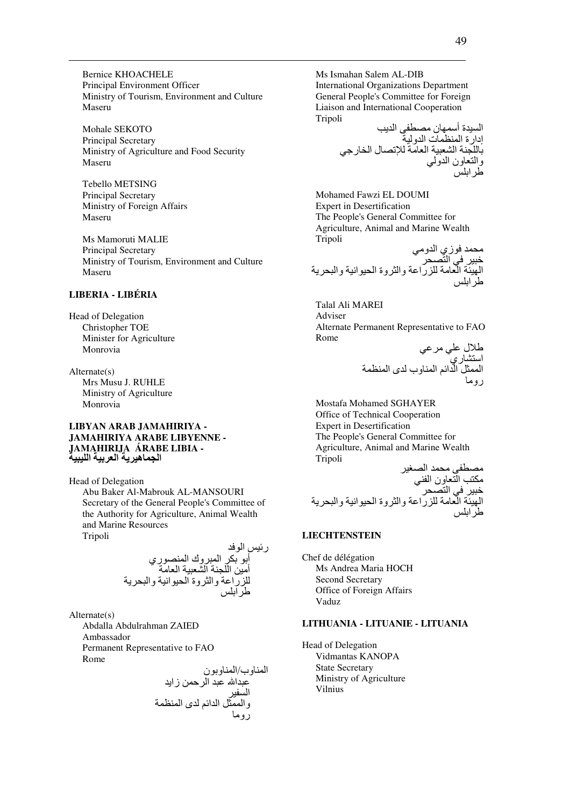**Bernice KHOACHELE** Principal Environment Officer Ministry of Tourism, Environment and Culture Maseru

Mohale SEKOTO Principal Secretary Ministry of Agriculture and Food Security Maseru

Tebello METSING **Principal Secretary** Ministry of Foreign Affairs Maseru

Ms Mamoruti MALIE **Principal Secretary** Ministry of Tourism, Environment and Culture Maseru

# **LIBERIA - LIBÉRIA**

**Head of Delegation** Christopher TOE Minister for Agriculture Monrovia

 $Alternate(s)$ Mrs Musu J. RUHLE Ministry of Agriculture Monrovia

#### LIBYAN ARAB JAMAHIRIYA -JAMAHIRIYA ARABE LIBYENNE -JAMĄHIRIJA ÁRABE LIBIA -الجماهيرية العربية الليبية

**Head of Delegation** Abu Baker Al-Mabrouk AL-MANSOURI Secretary of the General People's Committee of the Authority for Agriculture, Animal Wealth and Marine Resources Tripoli

<sub>ل الو</sub>ت<br>أبو بكر المبروك المنصور*ي*<br>أمين اللجنة الشعبية العامة<br>للزراعة والثروة الحيوانية والبحرية

 $Alternate(s)$ 

Abdalla Abdulrahman ZAIED Ambassador Permanent Representative to FAO Rome

Ms Ismahan Salem AL-DIB **International Organizations Department** General People's Committee for Foreign Liaison and International Cooperation Tripoli  $\mathbf{u} = \mathbf{v}$  $\mathbf{u} = \mathbf{u}$ 

Mohamed Fawzi EL DOUMI **Expert in Desertification** The People's General Committee for Agriculture, Animal and Marine Wealth Tripoli د في زير الد

**Talal Ali MAREI** Adviser Alternate Permanent Representative to FAO Rome

طلال علي مر عي<br>استشار ي<br>الممثل الدائم المناوب لدى المنظمة<br>روما

Mostafa Mohamed SGHAYER Office of Technical Cooperation **Expert in Desertification** The People's General Committee for Agriculture, Animal and Marine Wealth Tripoli  $\ddot{ }$ 

# **LIECHTENSTEIN**

Chef de délégation Ms Andrea Maria HOCH Second Secretary Office of Foreign Affairs Vaduz

### LITHUANIA - LITUANIE - LITUANIA

Head of Delegation Vidmantas KANOPA **State Secretary** Ministry of Agriculture **Vilnius**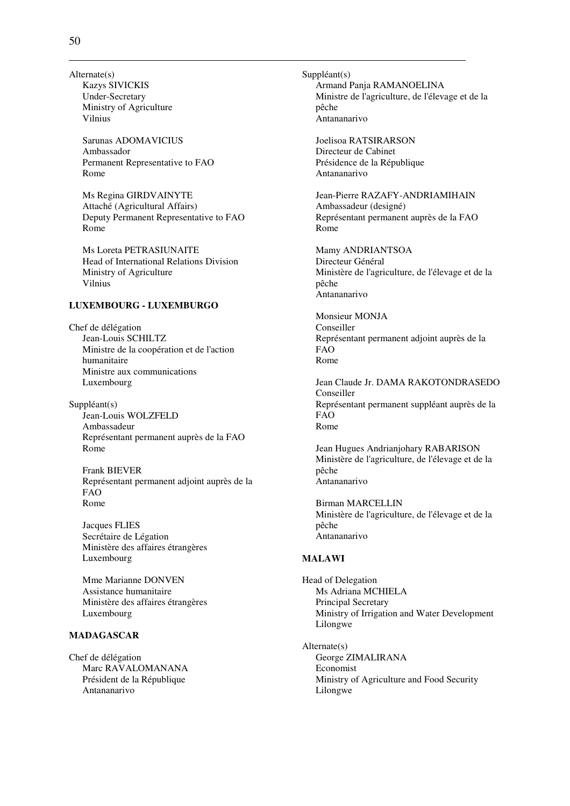Alternate(s) Kazys SIVICKIS Under-Secretary Ministry of Agriculture Vilnius

> Sarunas ADOMAVICIUS Ambassador Permanent Representative to FAO Rome

Ms Regina GIRDVAINYTE Attaché (Agricultural Affairs) Deputy Permanent Representative to FAO Rome

Ms Loreta PETRASIUNAITE Head of International Relations Division Ministry of Agriculture Vilnius

# **LUXEMBOURG - LUXEMBURGO**

Chef de délégation Jean-Louis SCHILTZ Ministre de la coopération et de l'action humanitaire Ministre aux communications Luxembourg

Suppléant(s) Jean-Louis WOLZFELD Ambassadeur Représentant permanent auprès de la FAO Rome

Frank BIEVER Représentant permanent adjoint auprès de la FAO Rome

Jacques FLIES Secrétaire de Légation Ministère des affaires étrangères Luxembourg

Mme Marianne DONVEN Assistance humanitaire Ministère des affaires étrangères Luxembourg

### **MADAGASCAR**

Chef de délégation Marc RAVALOMANANA Président de la République Antananarivo

Suppléant(s) Armand Panja RAMANOELINA Ministre de l'agriculture, de l'élevage et de la pêche Antananarivo

Joelisoa RATSIRARSON Directeur de Cabinet Présidence de la République Antananarivo

Jean-Pierre RAZAFY-ANDRIAMIHAIN Ambassadeur (designé) Représentant permanent auprès de la FAO Rome

Mamy ANDRIANTSOA Directeur Général Ministère de l'agriculture, de l'élevage et de la pêche Antananarivo

Monsieur MONJA Conseiller Représentant permanent adjoint auprès de la FAO Rome

Jean Claude Jr. DAMA RAKOTONDRASEDO Conseiller Représentant permanent suppléant auprès de la FAO Rome

Jean Hugues Andrianjohary RABARISON Ministère de l'agriculture, de l'élevage et de la pêche Antananarivo

Birman MARCELLIN Ministère de l'agriculture, de l'élevage et de la pêche Antananarivo

### **MALAWI**

Head of Delegation Ms Adriana MCHIELA Principal Secretary Ministry of Irrigation and Water Development Lilongwe

Alternate(s) George ZIMALIRANA Economist Ministry of Agriculture and Food Security Lilongwe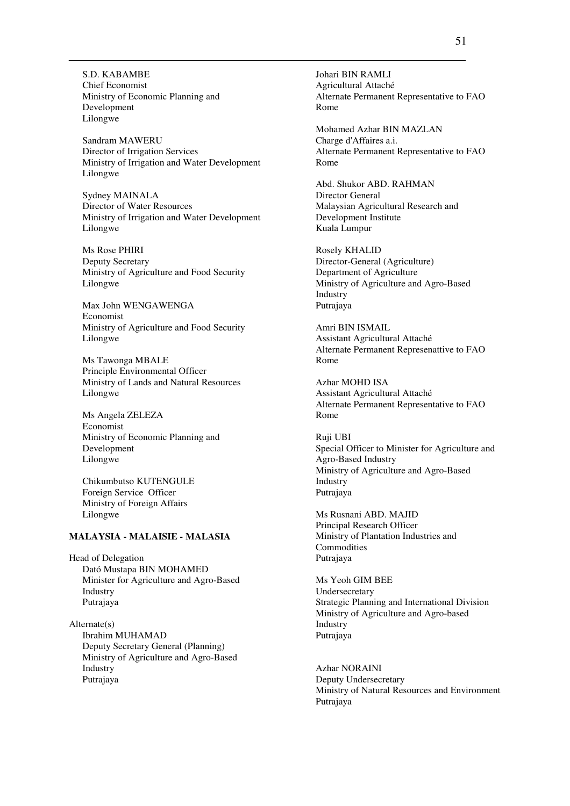S.D. KABAMBE Chief Economist Ministry of Economic Planning and Development Lilongwe

Sandram MAWERU Director of Irrigation Services Ministry of Irrigation and Water Development Lilongwe

Sydney MAINALA Director of Water Resources Ministry of Irrigation and Water Development Lilongwe

Ms Rose PHIRI Deputy Secretary Ministry of Agriculture and Food Security Lilongwe

Max John WENGAWENGA Economist Ministry of Agriculture and Food Security Lilongwe

Ms Tawonga MBALE Principle Environmental Officer Ministry of Lands and Natural Resources Lilongwe

Ms Angela ZELEZA Economist Ministry of Economic Planning and Development Lilongwe

Chikumbutso KUTENGULE Foreign Service Officer Ministry of Foreign Affairs Lilongwe

## **MALAYSIA - MALAISIE - MALASIA**

Head of Delegation Dató Mustapa BIN MOHAMED Minister for Agriculture and Agro-Based Industry Putrajaya

Alternate(s) Ibrahim MUHAMAD Deputy Secretary General (Planning) Ministry of Agriculture and Agro-Based Industry Putrajaya

Johari BIN RAMLI Agricultural Attaché Alternate Permanent Representative to FAO Rome

Mohamed Azhar BIN MAZLAN Charge d'Affaires a.i. Alternate Permanent Representative to FAO Rome

Abd. Shukor ABD. RAHMAN Director General Malaysian Agricultural Research and Development Institute Kuala Lumpur

Rosely KHALID Director-General (Agriculture) Department of Agriculture Ministry of Agriculture and Agro-Based Industry Putrajaya

Amri BIN ISMAIL Assistant Agricultural Attaché Alternate Permanent Represenattive to FAO Rome

Azhar MOHD ISA Assistant Agricultural Attaché Alternate Permanent Representative to FAO Rome

Ruji UBI Special Officer to Minister for Agriculture and Agro-Based Industry Ministry of Agriculture and Agro-Based Industry Putrajaya

Ms Rusnani ABD. MAJID Principal Research Officer Ministry of Plantation Industries and Commodities Putrajaya

Ms Yeoh GIM BEE Undersecretary Strategic Planning and International Division Ministry of Agriculture and Agro-based Industry Putrajaya

Azhar NORAINI Deputy Undersecretary Ministry of Natural Resources and Environment Putrajaya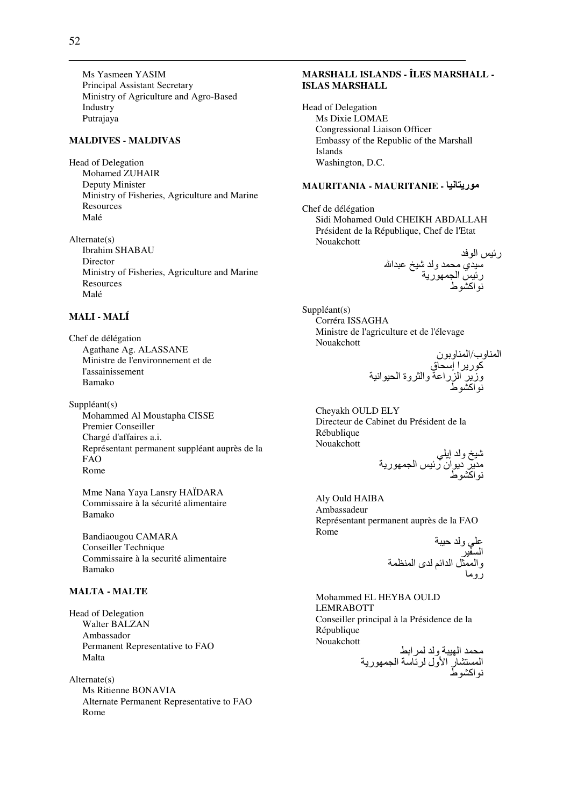Ms Yasmeen YASIM Principal Assistant Secretary Ministry of Agriculture and Agro-Based Industry Putrajaya

### **MALDIVES - MALDIVAS**

Head of Delegation Mohamed ZUHAIR Deputy Minister Ministry of Fisheries, Agriculture and Marine **Resources** Malé

 $Alternate(s)$ **Ibrahim SHABAU** Director Ministry of Fisheries, Agriculture and Marine Resources Malé

## **MALI - MALÍ**

Chef de délégation Agathane Ag. ALASSANE Ministre de l'environnement et de l'assainissement Bamako

 $Suppléant(s)$ Mohammed Al Moustapha CISSE Premier Conseiller Chargé d'affaires a.i. Représentant permanent suppléant auprès de la **FAO** Rome

Mme Nana Yava Lansry HAÏDARA Commissaire à la sécurité alimentaire Bamako

Bandiaougou CAMARA Conseiller Technique Commissaire à la securité alimentaire Bamako

# **MALTA - MALTE**

Head of Delegation Walter BALZAN Ambassador Permanent Representative to FAO Malta

 $Alternate(s)$ Ms Ritienne BONAVIA Alternate Permanent Representative to FAO Rome

# MARSHALL ISLANDS - ÎLES MARSHALL -**ISLAS MARSHALL**

**Head of Delegation** Ms Dixie LOMAE **Congressional Liaison Officer** Embassy of the Republic of the Marshall **Islands** Washington, D.C.

# MAURITANIA - MAURITANIE - موريتانيا

Chef de délégation Sidi Mohamed Ould CHEIKH ABDALLAH Président de la République, Chef de l'Etat Nouakchott

 $Suppléant(s)$ Corréra ISSAGHA Ministre de l'agriculture et de l'élevage Nouakchott

المناوب/المناوبون<br>كوريرا إسحاق<br>وزيرٍ الزراعة والثروة الحيوانية

Cheyakh OULD ELY Directeur de Cabinet du Président de la Rébublique Nouakchott

Aly Ould HAIBA Ambassadeur Représentant permanent auprès de la FAO Rome

علي ولد حيبة<br>السفير<br>والممثل الدائم لدى المنظمة<br>روما

Mohammed EL HEYBA OULD **LEMRABOTT** Conseiller principal à la Présidence de la République Nouakchott  $1.1.1312...1.1$  $\ddot{a}$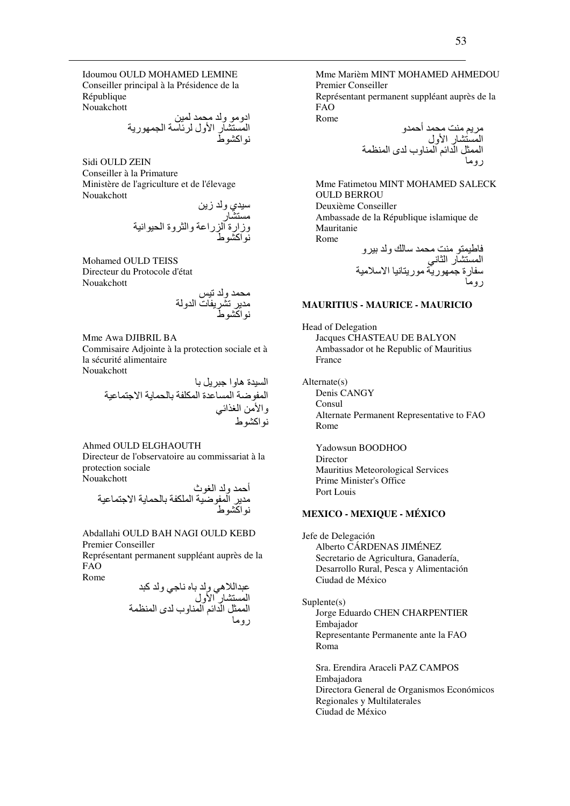Idoumou OULD MOHAMED LEMINE Conseiller principal à la Présidence de la République Nouakchott

Sidi OULD ZEIN Conseiller à la Primature Ministère de l'agriculture et de l'élevage Nouakchott

Mohamed OULD TEISS Directeur du Protocole d'état Nouakchott

Mme Awa DJIBRIL BA Commisaire Adjointe à la protection sociale et à la sécurité alimentaire Nouakchott

> السيدة هاو ا جبر بل با المفوضة المساعدة المكلفة بالحماية الاجتماعية والأمن الغذائبي نو اکشو ط

```
Ahmed OULD ELGHAOUTH
Directeur de l'observatoire au commissariat à la
protection sociale
Nouakchott
```
Abdallahi OULD BAH NAGI OULD KEBD Premier Conseiller

Représentant permanent suppléant auprès de la **FAO** 

Mme Marièm MINT MOHAMED AHMEDOU **Premier Conseiller** 

Représentant permanent suppléant auprès de la **FAO** Rome

Mme Fatimetou MINT MOHAMED SALECK **OULD BERROU** Deuxième Conseiller Ambassade de la République islamique de Mauritanie Rome فاطرهته مذت مجهن ببدلاك وادردد

## **MAURITIUS - MAURICE - MAURICIO**

Head of Delegation **Jacques CHASTEAU DE BALYON** Ambassador ot he Republic of Mauritius France

 $Alternate(s)$ Denis CANGY Consul Alternate Permanent Representative to FAO Rome

Yadowsun BOODHOO Director Mauritius Meteorological Services Prime Minister's Office Port Louis

# **MEXICO - MEXIQUE - MÉXICO**

Jefe de Delegación Alberto CÁRDENAS JIMÉNEZ Secretario de Agricultura, Ganadería, Desarrollo Rural, Pesca y Alimentación Ciudad de México

#### $Suplente(s)$

Jorge Eduardo CHEN CHARPENTIER Embajador Representante Permanente ante la FAO  $Roma$ 

Sra. Erendira Araceli PAZ CAMPOS Embajadora Directora General de Organismos Económicos Regionales y Multilaterales Ciudad de México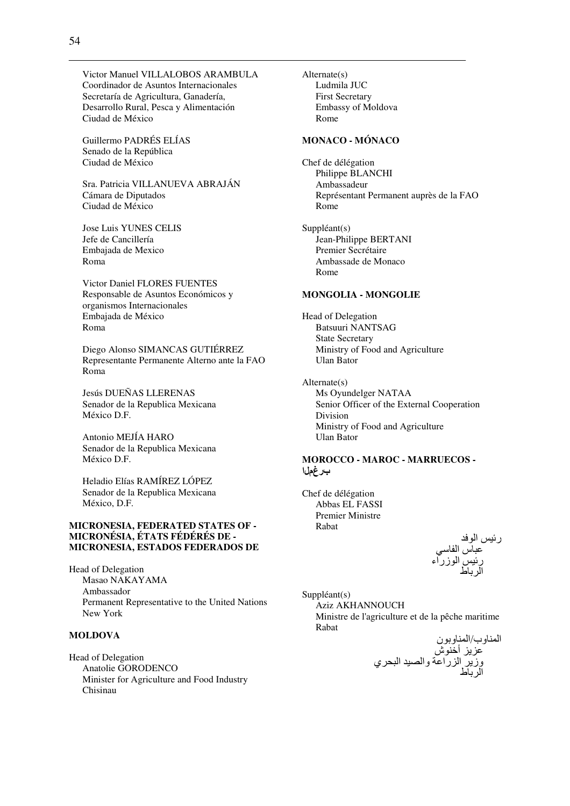Victor Manuel VILLALOBOS ARAMBULA Coordinador de Asuntos Internacionales Secretaría de Agricultura, Ganadería, Desarrollo Rural, Pesca y Alimentación Ciudad de México

Guillermo PADRÉS ELÍAS Senado de la República Ciudad de México

Sra. Patricia VILLANUEVA ABRAJÁN Cámara de Diputados Ciudad de México

Jose Luis YUNES CELIS Jefe de Cancillería Embajada de Mexico Roma

Victor Daniel FLORES FUENTES Responsable de Asuntos Económicos y organismos Internacionales Embajada de México Roma

Diego Alonso SIMANCAS GUTIÉRREZ Representante Permanente Alterno ante la FAO Roma

Jesús DUEÑAS LLERENAS Senador de la Republica Mexicana México D.F.

Antonio MEJÍA HARO Senador de la Republica Mexicana México D.F.

Heladio Elías RAMÍREZ LÓPEZ Senador de la Republica Mexicana México, D.F.

### **MICRONESIA, FEDERATED STATES OF - MICRONÉSIA, ÉTATS FÉDÉRÉS DE - MICRONESIA, ESTADOS FEDERADOS DE**

Head of Delegation Masao NAKAYAMA Ambassador Permanent Representative to the United Nations New York

# **MOLDOVA**

Head of Delegation Anatolie GORODENCO Minister for Agriculture and Food Industry Chisinau

Alternate(s) Ludmila JUC First Secretary Embassy of Moldova Rome

#### **MONACO - MÓNACO**

Chef de délégation Philippe BLANCHI Ambassadeur Représentant Permanent auprès de la FAO Rome

Suppléant(s) Jean-Philippe BERTANI Premier Secrétaire Ambassade de Monaco Rome

### **MONGOLIA - MONGOLIE**

Head of Delegation Batsuuri NANTSAG State Secretary Ministry of Food and Agriculture Ulan Bator

Alternate(s) Ms Oyundelger NATAA Senior Officer of the External Cooperation Division Ministry of Food and Agriculture Ulan Bator

## **MOROCCO - MAROC - MARRUECOS -**  برغملا

Chef de délégation Abbas EL FASSI Premier Ministre Rabat

> رئيس الوفد عباس الفاسي رئيس نيس الوزراء الرباط

Suppléant(s) Aziz AKHANNOUCH Ministre de l'agriculture et de la pêche maritime Rabat

ا وب/ا ون 0 أFش وز ا را0 وا \*- ا /Dي ا ط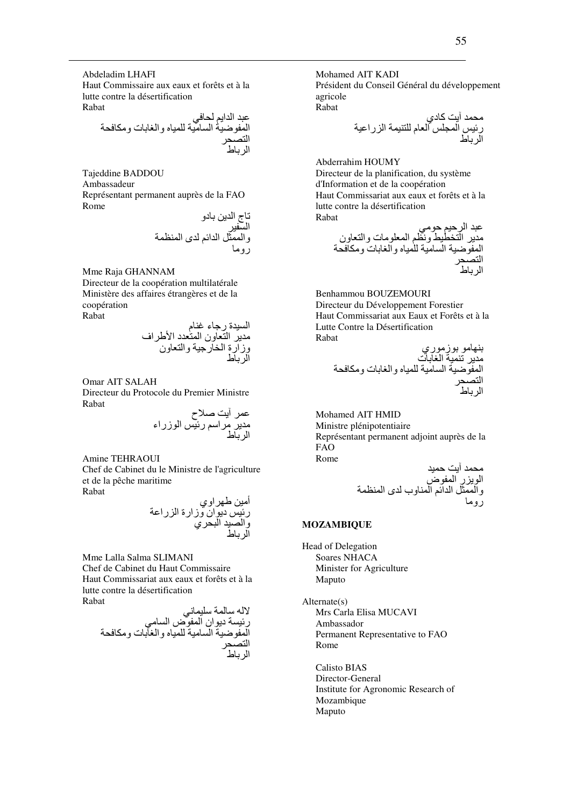Abdeladim LHAFI Haut Commissaire aux eaux et forêts et à la lutte contre la désertification Rabat

 /0 ا ا' D; ا G- ا -#\$ -8I وا Wت و6#D ا \*D ا ط

Tajeddine BADDOU Ambassadeur Représentant permanent auprès de la FAO Rome

Sج ا , دو ا -\$ وا &% ا ا' ى ا ( رو#

Mme Raja GHANNAM

Directeur de la coopération multilatérale Ministère des affaires étrangères et de la coopération Rabat

ا -\$ة رBء pم # ا ون ا د اYHاف وزارة ا :رB- وا ون ا ط

Omar AIT SALAH

Directeur du Protocole du Premier Ministre Rabat

> عمر أيت صلاح مدير مراسم رئيس الوزراء الرباط

Amine TEHRAOUI

Chef de Cabinet du le Ministre de l'agriculture et de la pêche maritime Rabat

أ,-# TYاوي ر- دان وزارة ا را0 وا \*- ا /Dي ا ط

Mme Lalla Salma SLIMANI Chef de Cabinet du Haut Commissaire Haut Commissariat aux eaux et forêts et à la lutte contre la désertification Rabat

;+-8  7 ? ر\$- دان ا ض ا #\$; ا G- ا -#\$ -8I وا Wت و6#D ا \*D ا ط

Mohamed AIT KADI Président du Conseil Général du développement agricole Rabat

#D 23 آدي ر- ا 8 ا م -8 ا را-0 ا ط

Abderrahim HOUMY Directeur de la planification, du système

d'Information et de la coopération Haut Commissariat aux eaux et forêts et à la lutte contre la désertification Rabat  $\mathbf{u}$ 

' #; # ا :^-\ و+(' ا #8ت وا ون ا G- ا -#\$ -8I وا Wت و6#D ا \*D ا ط

Benhammou BOUZEMOURI Directeur du Développement Forestier Haut Commissariat aux Eaux et Forêts et à la Lutte Contre la Désertification Rabat

T# ز#ري # S- ا Wت ا G- ا #\$ - -8I وا Wت و6#D ا \*D ا ط

Mohamed AIT HMID Ministre plénipotentiaire Représentant permanent adjoint auprès de la FAO Rome

- 23 D# ا ر ا ض وا &% ا ا' ا وب ى ا ( رو#

### **MOZAMBIQUE**

Head of Delegation Soares NHACA Minister for Agriculture Maputo

Alternate(s) Mrs Carla Elisa MUCAVI Ambassador Permanent Representative to FAO Rome

Calisto BIAS Director-General Institute for Agronomic Research of Mozambique Maputo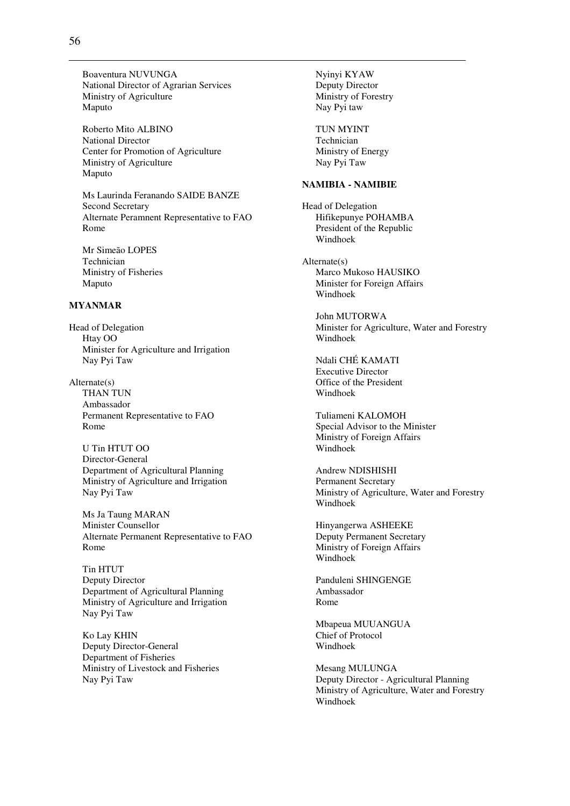Boaventura NUVUNGA National Director of Agrarian Services Ministry of Agriculture Maputo

Roberto Mito ALBINO National Director Center for Promotion of Agriculture Ministry of Agriculture Maputo

Ms Laurinda Feranando SAIDE BANZE Second Secretary Alternate Peramnent Representative to FAO Rome

Mr Simeão LOPES Technician Ministry of Fisheries Maputo

#### **MYANMAR**

Head of Delegation Htay OO Minister for Agriculture and Irrigation Nay Pyi Taw

Alternate(s) THAN TUN Ambassador Permanent Representative to FAO Rome

U Tin HTUT OO Director-General Department of Agricultural Planning Ministry of Agriculture and Irrigation Nay Pyi Taw

Ms Ja Taung MARAN Minister Counsellor Alternate Permanent Representative to FAO Rome

Tin HTUT Deputy Director Department of Agricultural Planning Ministry of Agriculture and Irrigation Nay Pyi Taw

Ko Lay KHIN Deputy Director-General Department of Fisheries Ministry of Livestock and Fisheries Nay Pyi Taw

Nyinyi KYAW Deputy Director Ministry of Forestry Nay Pyi taw TUN MYINT Technician Ministry of Energy Nay Pyi Taw **NAMIBIA - NAMIBIE**  Head of Delegation Hifikepunye POHAMBA President of the Republic Windhoek Alternate(s) Marco Mukoso HAUSIKO Minister for Foreign Affairs Windhoek John MUTORWA Minister for Agriculture, Water and Forestry Windhoek Ndali CHÉ KAMATI Executive Director Office of the President Windhoek Tuliameni KALOMOH Special Advisor to the Minister Ministry of Foreign Affairs Windhoek Andrew NDISHISHI Permanent Secretary Ministry of Agriculture, Water and Forestry Windhoek Hinyangerwa ASHEEKE Deputy Permanent Secretary Ministry of Foreign Affairs Windhoek Panduleni SHINGENGE Ambassador Rome Mbapeua MUUANGUA Chief of Protocol

Mesang MULUNGA Deputy Director - Agricultural Planning Ministry of Agriculture, Water and Forestry Windhoek

Windhoek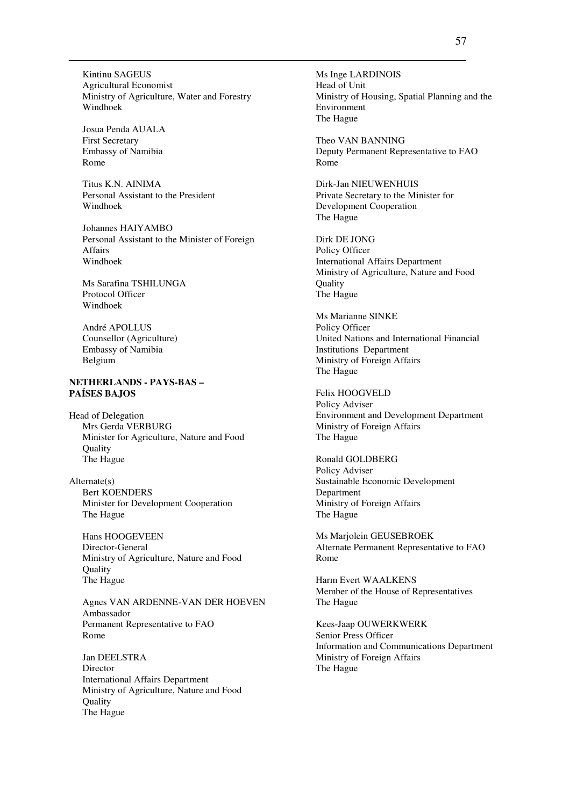Kintinu SAGEUS Agricultural Economist Ministry of Agriculture, Water and Forestry Windhoek

Josua Penda AUALA First Secretary Embassy of Namibia Rome

Titus K.N. AINIMA Personal Assistant to the President Windhoek

Johannes HAIYAMBO Personal Assistant to the Minister of Foreign Affairs Windhoek

Ms Sarafina TSHILUNGA Protocol Officer Windhoek

André APOLLUS Counsellor (Agriculture) Embassy of Namibia Belgium

# **NETHERLANDS - PAYS-BAS – PAÍSES BAJOS**

Head of Delegation Mrs Gerda VERBURG Minister for Agriculture, Nature and Food **Ouality** The Hague

Alternate(s) Bert KOENDERS Minister for Development Cooperation The Hague

Hans HOOGEVEEN Director-General Ministry of Agriculture, Nature and Food **Quality** The Hague

Agnes VAN ARDENNE-VAN DER HOEVEN Ambassador Permanent Representative to FAO Rome

Jan DEELSTRA Director International Affairs Department Ministry of Agriculture, Nature and Food **Ouality** The Hague

Ms Inge LARDINOIS Head of Unit Ministry of Housing, Spatial Planning and the Environment The Hague

Theo VAN BANNING Deputy Permanent Representative to FAO Rome

Dirk-Jan NIEUWENHUIS Private Secretary to the Minister for Development Cooperation The Hague

Dirk DE JONG Policy Officer International Affairs Department Ministry of Agriculture, Nature and Food Quality The Hague

Ms Marianne SINKE Policy Officer United Nations and International Financial Institutions Department Ministry of Foreign Affairs The Hague

Felix HOOGVELD Policy Adviser Environment and Development Department Ministry of Foreign Affairs The Hague

Ronald GOLDBERG Policy Adviser Sustainable Economic Development Department Ministry of Foreign Affairs The Hague

Ms Marjolein GEUSEBROEK Alternate Permanent Representative to FAO Rome

Harm Evert WAALKENS Member of the House of Representatives The Hague

Kees-Jaap OUWERKWERK Senior Press Officer Information and Communications Department Ministry of Foreign Affairs The Hague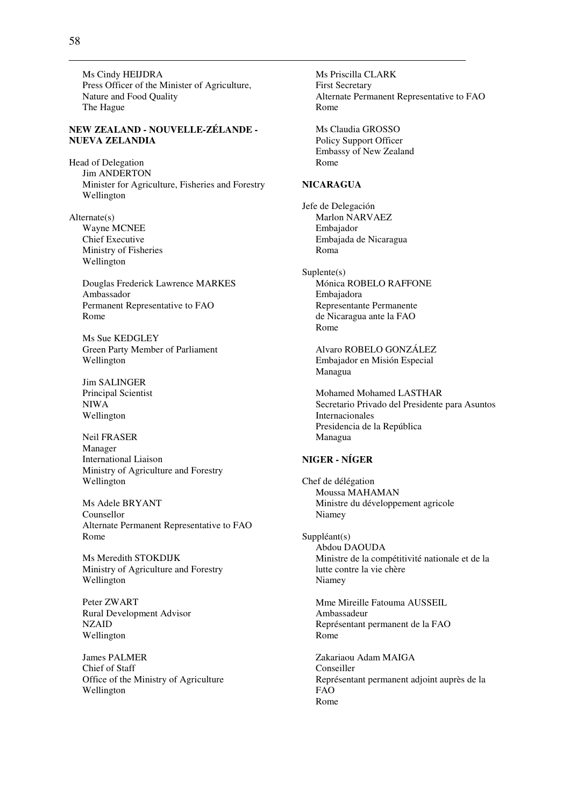Ms Cindy HEIJDRA Press Officer of the Minister of Agriculture, Nature and Food Quality The Hague

### **NEW ZEALAND - NOUVELLE-ZÉLANDE - NUEVA ZELANDIA**

Head of Delegation Jim ANDERTON Minister for Agriculture, Fisheries and Forestry Wellington

Alternate(s) Wayne MCNEE Chief Executive Ministry of Fisheries Wellington

> Douglas Frederick Lawrence MARKES Ambassador Permanent Representative to FAO Rome

Ms Sue KEDGLEY Green Party Member of Parliament Wellington

Jim SALINGER Principal Scientist NIWA Wellington

Neil FRASER Manager International Liaison Ministry of Agriculture and Forestry Wellington

Ms Adele BRYANT Counsellor Alternate Permanent Representative to FAO Rome

Ms Meredith STOKDIJK Ministry of Agriculture and Forestry Wellington

Peter ZWART Rural Development Advisor NZAID Wellington

James PALMER Chief of Staff Office of the Ministry of Agriculture Wellington

Ms Priscilla CLARK First Secretary Alternate Permanent Representative to FAO Rome

Ms Claudia GROSSO Policy Support Officer Embassy of New Zealand Rome

#### **NICARAGUA**

Jefe de Delegación Marlon NARVAEZ Embajador Embajada de Nicaragua Roma

Suplente(s) Mónica ROBELO RAFFONE Embajadora Representante Permanente de Nicaragua ante la FAO Rome

> Alvaro ROBELO GONZÁLEZ Embajador en Misión Especial Managua

Mohamed Mohamed LASTHAR Secretario Privado del Presidente para Asuntos Internacionales Presidencia de la República Managua

# **NIGER - NÍGER**

Chef de délégation Moussa MAHAMAN Ministre du développement agricole Niamey

Suppléant(s) Abdou DAOUDA Ministre de la compétitivité nationale et de la lutte contre la vie chère Niamey

Mme Mireille Fatouma AUSSEIL Ambassadeur Représentant permanent de la FAO Rome

Zakariaou Adam MAIGA Conseiller Représentant permanent adjoint auprès de la FAO Rome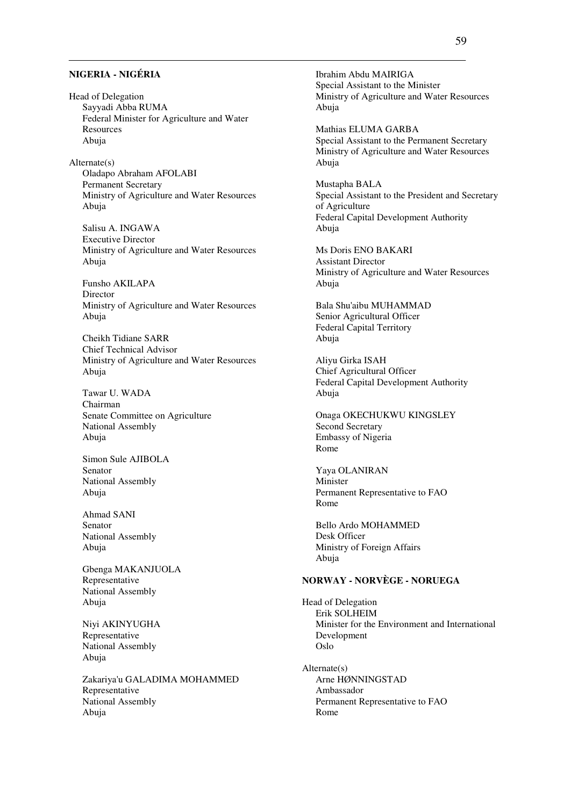# **NIGERIA - NIGÉRIA**

Head of Delegation Sayyadi Abba RUMA Federal Minister for Agriculture and Water Resources Abuja

Alternate(s) Oladapo Abraham AFOLABI Permanent Secretary Ministry of Agriculture and Water Resources Abuja

Salisu A. INGAWA Executive Director Ministry of Agriculture and Water Resources Abuja

Funsho AKILAPA Director Ministry of Agriculture and Water Resources Abuja

Cheikh Tidiane SARR Chief Technical Advisor Ministry of Agriculture and Water Resources Abuja

Tawar U. WADA Chairman Senate Committee on Agriculture National Assembly Abuja

Simon Sule AJIBOLA Senator National Assembly Abuja

Ahmad SANI Senator National Assembly Abuja

Gbenga MAKANJUOLA Representative National Assembly Abuja

Niyi AKINYUGHA Representative National Assembly Abuja

Zakariya'u GALADIMA MOHAMMED Representative National Assembly Abuja

Ibrahim Abdu MAIRIGA Special Assistant to the Minister Ministry of Agriculture and Water Resources Abuja

Mathias ELUMA GARBA Special Assistant to the Permanent Secretary Ministry of Agriculture and Water Resources Abuja

Mustapha BALA Special Assistant to the President and Secretary of Agriculture Federal Capital Development Authority Abuja

Ms Doris ENO BAKARI Assistant Director Ministry of Agriculture and Water Resources Abuja

Bala Shu'aibu MUHAMMAD Senior Agricultural Officer Federal Capital Territory Abuja

Aliyu Girka ISAH Chief Agricultural Officer Federal Capital Development Authority Abuja

Onaga OKECHUKWU KINGSLEY Second Secretary Embassy of Nigeria Rome

Yaya OLANIRAN Minister Permanent Representative to FAO Rome

Bello Ardo MOHAMMED Desk Officer Ministry of Foreign Affairs Abuja

### **NORWAY - NORVÈGE - NORUEGA**

Head of Delegation Erik SOLHEIM Minister for the Environment and International Development Oslo

Alternate(s) Arne HØNNINGSTAD Ambassador Permanent Representative to FAO Rome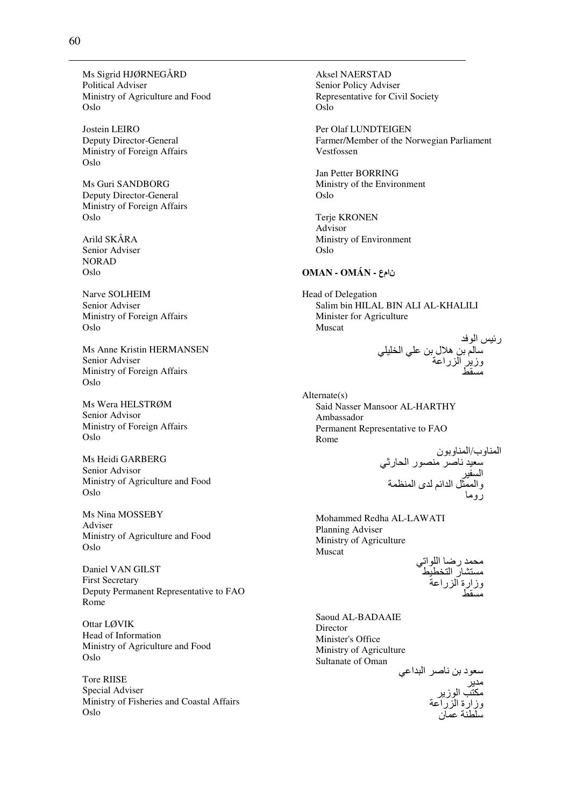Ms Sigrid HJØRNEGÅRD **Political Adviser** Ministry of Agriculture and Food Oslo

Jostein LEIRO Deputy Director-General Ministry of Foreign Affairs Oslo

Ms Guri SANDBORG Deputy Director-General Ministry of Foreign Affairs Oslo

Arild SKÅRA Senior Adviser **NORAD** Oslo

Narve SOLHEIM Senior Adviser Ministry of Foreign Affairs Oslo

Ms Anne Kristin HERMANSEN Senior Adviser Ministry of Foreign Affairs Oslo

Ms Wera HELSTRØM Senior Advisor Ministry of Foreign Affairs Oslo

Ms Heidi GARBERG Senior Advisor Ministry of Agriculture and Food Oslo

Ms Nina MOSSEBY Adviser Ministry of Agriculture and Food Oslo

Daniel VAN GILST **First Secretary** Deputy Permanent Representative to FAO Rome

Ottar LØVIK Head of Information Ministry of Agriculture and Food Oslo

**Tore RIISE** Special Adviser Ministry of Fisheries and Coastal Affairs Oslo

**Aksel NAERSTAD** Senior Policy Adviser Representative for Civil Society Oslo

Per Olaf LUNDTEIGEN Farmer/Member of the Norwegian Parliament Vestfossen

Jan Petter BORRING Ministry of the Environment Oslo

**Terie KRONEN** Advisor Ministry of Environment Oslo

### نامع - OMÁN - OMÁN

Head of Delegation Salim bin HILAL BIN ALI AL-KHALILI Minister for Agriculture Muscat

رئيس الوفد<br>سالم بن هلال بن علي الخليلي<br>وزير الزراعة

 $Alternate(s)$ Said Nasser Mansoor AL-HARTHY Ambassador Permanent Representative to FAO Rome

Mohammed Redha AL-LAWATI Planning Adviser Ministry of Agriculture Muscat

محمد رضا اللواتي<br>مستشار التخطيط<br>وزارة الزراعة<br>مسقط

Saoud AL-BADAAIE Director Minister's Office Ministry of Agriculture Sultanate of Oman

سعود بن ناصر البداعي<br>مدير<br>مكتب الوزير<br>وزارة الزراعة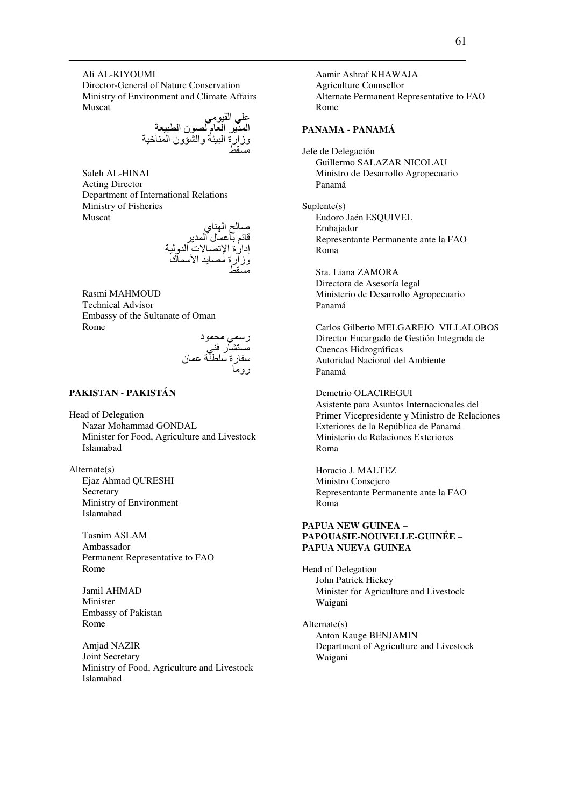Ali AL-KIYOUMI Director-General of Nature Conservation Ministry of Environment and Climate Affairs Muscat

على القيومي المدير العام لصون الطبيعة وزارة البيئة والشؤون المناخية<br>مسقط

Saleh AL-HINAI Acting Director Department of International Relations Ministry of Fisheries Muscat

صالح الهناي قائم بآعمال المدير إدارة الإتصالات الدولية<br>وزارة مصايد الأسماك مسقط

Rasmi MAHMOUD Technical Advisor Embassy of the Sultanate of Oman Rome

رسمي محمود مستشآر فن*ی* سفارة سلطنّة عمان روما

# **PAKISTAN - PAKISTÁN**

Head of Delegation Nazar Mohammad GONDAL Minister for Food, Agriculture and Livestock Islamabad

Alternate(s) Ejaz Ahmad QURESHI **Secretary** Ministry of Environment Islamabad

> Tasnim ASLAM Ambassador Permanent Representative to FAO Rome

Jamil AHMAD Minister Embassy of Pakistan Rome

Amjad NAZIR Joint Secretary Ministry of Food, Agriculture and Livestock Islamabad

Aamir Ashraf KHAWAJA Agriculture Counsellor Alternate Permanent Representative to FAO Rome

### **PANAMA - PANAMÁ**

Jefe de Delegación Guillermo SALAZAR NICOLAU Ministro de Desarrollo Agropecuario Panamá

Suplente(s) Eudoro Jaén ESQUIVEL Embajador Representante Permanente ante la FAO Roma

Sra. Liana ZAMORA Directora de Asesoría legal Ministerio de Desarrollo Agropecuario Panamá

Carlos Gilberto MELGAREJO VILLALOBOS Director Encargado de Gestión Integrada de Cuencas Hidrográficas Autoridad Nacional del Ambiente Panamá

Demetrio OLACIREGUI Asistente para Asuntos Internacionales del Primer Vicepresidente y Ministro de Relaciones Exteriores de la República de Panamá Ministerio de Relaciones Exteriores Roma

Horacio J. MALTEZ Ministro Consejero Representante Permanente ante la FAO Roma

#### **PAPUA NEW GUINEA – PAPOUASIE-NOUVELLE-GUINÉE – PAPUA NUEVA GUINEA**

Head of Delegation John Patrick Hickey Minister for Agriculture and Livestock Waigani

Alternate(s) Anton Kauge BENJAMIN Department of Agriculture and Livestock Waigani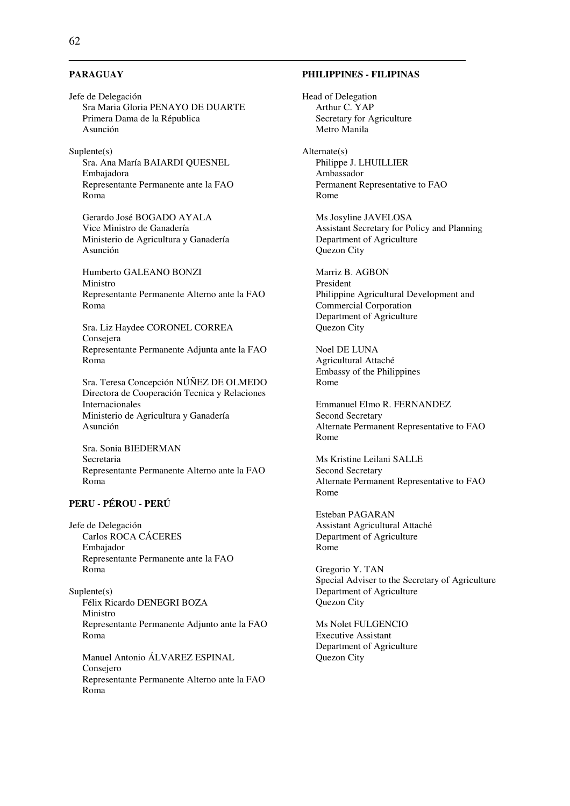#### **PARAGUAY**

Jefe de Delegación Sra Maria Gloria PENAYO DE DUARTE Primera Dama de la Républica Asunción

Suplente(s) Sra. Ana María BAIARDI QUESNEL Embajadora Representante Permanente ante la FAO Roma

Gerardo José BOGADO AYALA Vice Ministro de Ganadería Ministerio de Agricultura y Ganadería Asunción

Humberto GALEANO BONZI Ministro Representante Permanente Alterno ante la FAO Roma

Sra. Liz Haydee CORONEL CORREA Consejera Representante Permanente Adjunta ante la FAO Roma

Sra. Teresa Concepción NÚÑEZ DE OLMEDO Directora de Cooperación Tecnica y Relaciones Internacionales Ministerio de Agricultura y Ganadería Asunción

Sra. Sonia BIEDERMAN Secretaria Representante Permanente Alterno ante la FAO Roma

# **PERU - PÉROU - PERÚ**

Jefe de Delegación Carlos ROCA CÁCERES Embajador Representante Permanente ante la FAO Roma

Suplente(s) Félix Ricardo DENEGRI BOZA Ministro Representante Permanente Adjunto ante la FAO Roma

Manuel Antonio ÁLVAREZ ESPINAL Consejero Representante Permanente Alterno ante la FAO Roma

### **PHILIPPINES - FILIPINAS**

Head of Delegation Arthur C. YAP Secretary for Agriculture Metro Manila

Alternate(s) Philippe J. LHUILLIER Ambassador Permanent Representative to FAO Rome

Ms Josyline JAVELOSA Assistant Secretary for Policy and Planning Department of Agriculture Quezon City

Marriz B. AGBON President Philippine Agricultural Development and Commercial Corporation Department of Agriculture Quezon City

Noel DE LUNA Agricultural Attaché Embassy of the Philippines Rome

Emmanuel Elmo R. FERNANDEZ Second Secretary Alternate Permanent Representative to FAO Rome

Ms Kristine Leilani SALLE Second Secretary Alternate Permanent Representative to FAO Rome

Esteban PAGARAN Assistant Agricultural Attaché Department of Agriculture Rome

Gregorio Y. TAN Special Adviser to the Secretary of Agriculture Department of Agriculture Quezon City

Ms Nolet FULGENCIO Executive Assistant Department of Agriculture Quezon City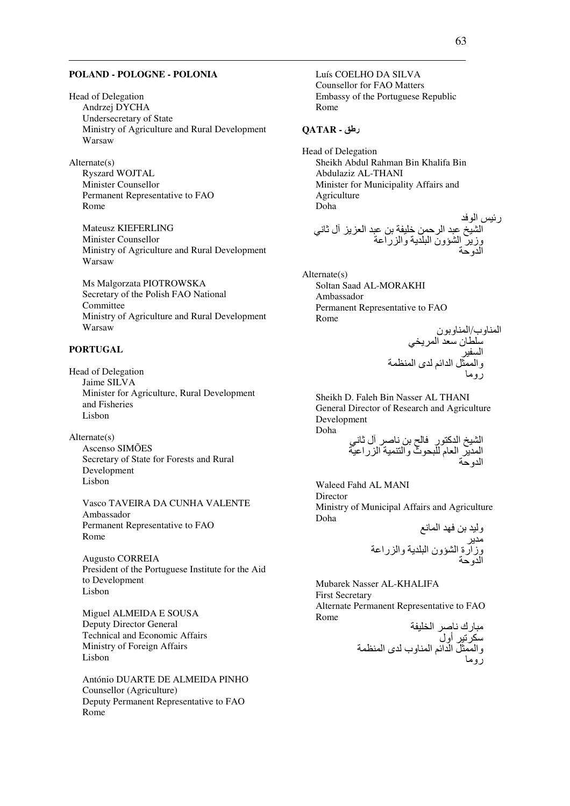### POLAND - POLOGNE - POLONIA

**Head of Delegation** Andrzej DYCHA Undersecretary of State Ministry of Agriculture and Rural Development Warsaw

 $Alternate(s)$ **Ryszard WOJTAL** Minister Counsellor Permanent Representative to FAO Rome

**Mateusz KIEFERLING** Minister Counsellor Ministry of Agriculture and Rural Development Warsaw

Ms Malgorzata PIOTROWSKA Secretary of the Polish FAO National Committee Ministry of Agriculture and Rural Development Warsaw

### **PORTUGAL**

Head of Delegation Jaime SILVA Minister for Agriculture, Rural Development and Fisheries Lisbon

 $Alternate(s)$ Ascenso SIMÕES Secretary of State for Forests and Rural Development Lisbon

Vasco TAVEIRA DA CUNHA VALENTE Ambassador Permanent Representative to FAO Rome

Augusto CORREIA President of the Portuguese Institute for the Aid to Development Lisbon

Miguel ALMEIDA E SOUSA Deputy Director General **Technical and Economic Affairs** Ministry of Foreign Affairs Lisbon

António DUARTE DE ALMEIDA PINHO Counsellor (Agriculture) Deputy Permanent Representative to FAO Rome

Luís COELHO DA SILVA **Counsellor for FAO Matters** Embassy of the Portuguese Republic Rome

#### رطق - QATAR

Head of Delegation Sheikh Abdul Rahman Bin Khalifa Bin Abdulaziz AL-THANI Minister for Municipality Affairs and Agriculture Doha رئيس الوفد<br>الشيخ عبد الرحمن خليفة بن عبد العزيز آل ثاني<br>وزير الشؤون البلدية والزراعة<br>الدمحة

 $Alternate(s)$ Soltan Saad AL-MORAKHI Ambassador Permanent Representative to FAO Rome

Sheikh D. Faleh Bin Nasser AL THANI General Director of Research and Agriculture Development Doha  $\mathbb{R}^3$  ,  $\mathbb{R}^3$  ,  $\mathbb{R}^3$  ,  $\mathbb{R}^3$  ,  $\mathbb{R}^3$  ,  $\mathbb{R}^3$  ,  $\mathbb{R}^3$ 

Waleed Fahd AL MANI Director Ministry of Municipal Affairs and Agriculture Doha  $\mathbf{a}$  to  $\mathbf{a}$  and  $\mathbf{a}$  $\ddot{\phantom{a}}$ 

Mubarek Nasser AL-KHALIFA **First Secretary** Alternate Permanent Representative to FAO Rome **Protection of the Atlantic**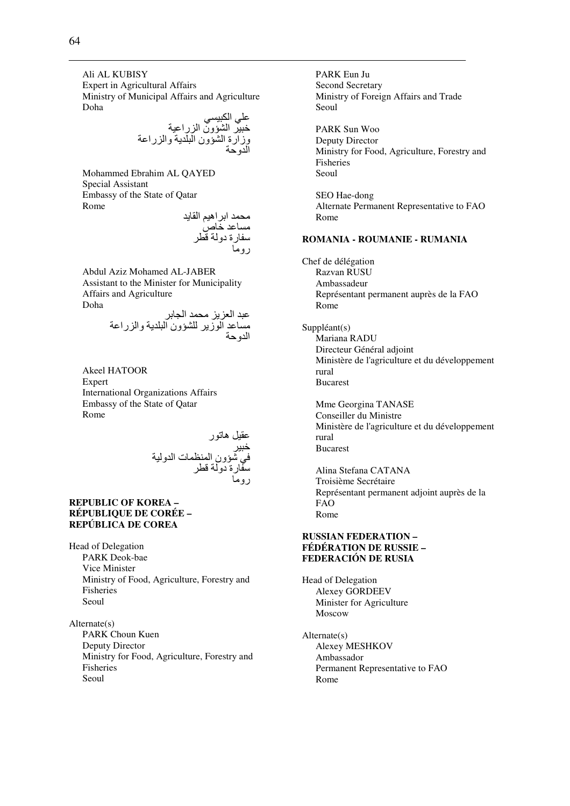Ali AL KUBISY Expert in Agricultural Affairs Ministry of Municipal Affairs and Agriculture Doha  $\overline{a}$ 

/6; F-/ ا A@ون ا را-0 وزا رة ا A@ون ا 8/ وا را0 ا و

Mohammed Ebrahim AL QAYED Special Assistant Embassy of the State of Qatar Rome

محمد ابر اهيم القايد مساعد خاص سفارة دولة قطر روما

Abdul Aziz Mohamed AL-JABER Assistant to the Minister for Municipality Affairs and Agriculture Doha

 /0 ا #D ا 0\$# ا ز 8 A@ون ا 8/ وا را0 ا و

Akeel HATOOR Expert International Organizations Affairs Embassy of the State of Qatar Rome

0U%- هSر -/F ; !@ون ا (ت ا و -رة دو K^ رو#

## **REPUBLIC OF KOREA – RÉPUBLIQUE DE CORÉE – REPÚBLICA DE COREA**

Head of Delegation PARK Deok-bae Vice Minister Ministry of Food, Agriculture, Forestry and Fisheries Seoul

Alternate(s) PARK Choun Kuen Deputy Director Ministry for Food, Agriculture, Forestry and Fisheries Seoul

PARK Eun Ju Second Secretary Ministry of Foreign Affairs and Trade Seoul PARK Sun Woo Deputy Director Ministry for Food, Agriculture, Forestry and Fisheries Seoul SEO Hae-dong Alternate Permanent Representative to FAO Rome **ROMANIA - ROUMANIE - RUMANIA**  Chef de délégation Razvan RUSU Ambassadeur Représentant permanent auprès de la FAO Rome Suppléant(s) Mariana RADU Directeur Général adjoint Ministère de l'agriculture et du développement rural Bucarest Mme Georgina TANASE Conseiller du Ministre Ministère de l'agriculture et du développement rural Bucarest Alina Stefana CATANA Troisième Secrétaire Représentant permanent adjoint auprès de la FAO Rome

#### **RUSSIAN FEDERATION – FÉDÉRATION DE RUSSIE – FEDERACIÓN DE RUSIA**

Head of Delegation Alexey GORDEEV Minister for Agriculture Moscow

Alternate(s) Alexey MESHKOV Ambassador Permanent Representative to FAO Rome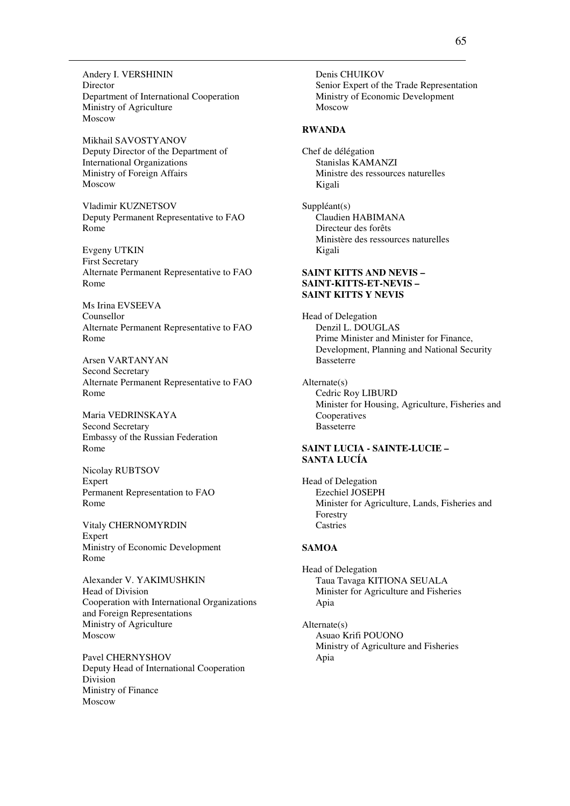Andery I. VERSHININ Director Department of International Cooperation Ministry of Agriculture Moscow

Mikhail SAVOSTYANOV Deputy Director of the Department of International Organizations Ministry of Foreign Affairs Moscow

Vladimir KUZNETSOV Deputy Permanent Representative to FAO Rome

Evgeny UTKIN First Secretary Alternate Permanent Representative to FAO Rome

Ms Irina EVSEEVA Counsellor Alternate Permanent Representative to FAO Rome

Arsen VARTANYAN Second Secretary Alternate Permanent Representative to FAO Rome

Maria VEDRINSKAYA Second Secretary Embassy of the Russian Federation Rome

Nicolay RUBTSOV Expert Permanent Representation to FAO Rome

Vitaly CHERNOMYRDIN Expert Ministry of Economic Development Rome

Alexander V. YAKIMUSHKIN Head of Division Cooperation with International Organizations and Foreign Representations Ministry of Agriculture Moscow

Pavel CHERNYSHOV Deputy Head of International Cooperation Division Ministry of Finance Moscow

Denis CHUIKOV Senior Expert of the Trade Representation Ministry of Economic Development Moscow

#### **RWANDA**

Chef de délégation Stanislas KAMANZI Ministre des ressources naturelles Kigali

Suppléant(s) Claudien HABIMANA Directeur des forêts Ministère des ressources naturelles Kigali

### **SAINT KITTS AND NEVIS – SAINT-KITTS-ET-NEVIS – SAINT KITTS Y NEVIS**

Head of Delegation Denzil L. DOUGLAS Prime Minister and Minister for Finance, Development, Planning and National Security Basseterre

Alternate(s) Cedric Roy LIBURD Minister for Housing, Agriculture, Fisheries and Cooperatives Basseterre

## **SAINT LUCIA - SAINTE-LUCIE – SANTA LUCÍA**

Head of Delegation Ezechiel JOSEPH Minister for Agriculture, Lands, Fisheries and Forestry Castries

#### **SAMOA**

Head of Delegation Taua Tavaga KITIONA SEUALA Minister for Agriculture and Fisheries Apia

Alternate(s) Asuao Krifi POUONO Ministry of Agriculture and Fisheries Apia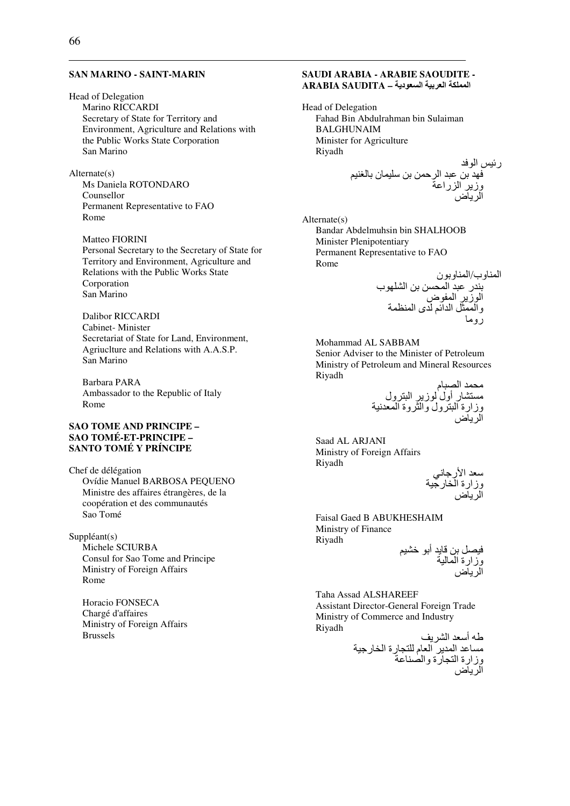#### **SAN MARINO - SAINT-MARIN**

#### **Head of Delegation**

Marino RICCARDI Secretary of State for Territory and Environment, Agriculture and Relations with the Public Works State Corporation San Marino

 $Alternate(s)$ 

Ms Daniela ROTONDARO Counsellor Permanent Representative to FAO Rome

Matteo FIORINI Personal Secretary to the Secretary of State for Territory and Environment, Agriculture and Relations with the Public Works State Corporation San Marino

**Dalibor RICCARDI** Cabinet-Minister Secretariat of State for Land, Environment, Agriuclture and Relations with A.A.S.P. San Marino

Barbara PARA Ambassador to the Republic of Italy Rome

### **SAO TOME AND PRINCIPE -SAO TOMÉ-ET-PRINCIPE -**SANTO TOMÉ Y PRÍNCIPE

Chef de délégation Ovídie Manuel BARBOSA PEOUENO Ministre des affaires étrangères, de la coopération et des communautés Sao Tomé

 $Suppléant(s)$ Michele SCIURBA Consul for Sao Tome and Principe Ministry of Foreign Affairs

Rome Horacio FONSECA Chargé d'affaires Ministry of Foreign Affairs

**Brussels** 

# SAUDI ARABIA - ARABIE SAOUDITE -المملكة العربية السعودية - ARABIA SAUDITA

Head of Delegation Fahad Bin Abdulrahman bin Sulaiman **BALGHUNAIM** Minister for Agriculture Riyadh

 $Alternate(s)$ Bandar Abdelmuhsin bin SHALHOOB Minister Plenipotentiary Permanent Representative to FAO Rome

المناوب/المناوبون<br>بندر عبد المحسن بن الشلهوب<br>الوزير المفوض<br>والممثل الدائم لدى المنظمة

Mohammad AL SABBAM Senior Adviser to the Minister of Petroleum Ministry of Petroleum and Mineral Resources Riyadh

Saad AL ARJANI Ministry of Foreign Affairs Riyadh

سعد الارجاني<br>وزارة الخارجية<br>الدياض

Faisal Gaed B ABUKHESHAIM Ministry of Finance Riyadh فيصل بن قايد أبو خشيم<br>وزارة المالية<br>الرياض

Taha Assad ALSHAREEF Assistant Director-General Foreign Trade Ministry of Commerce and Industry Riyadh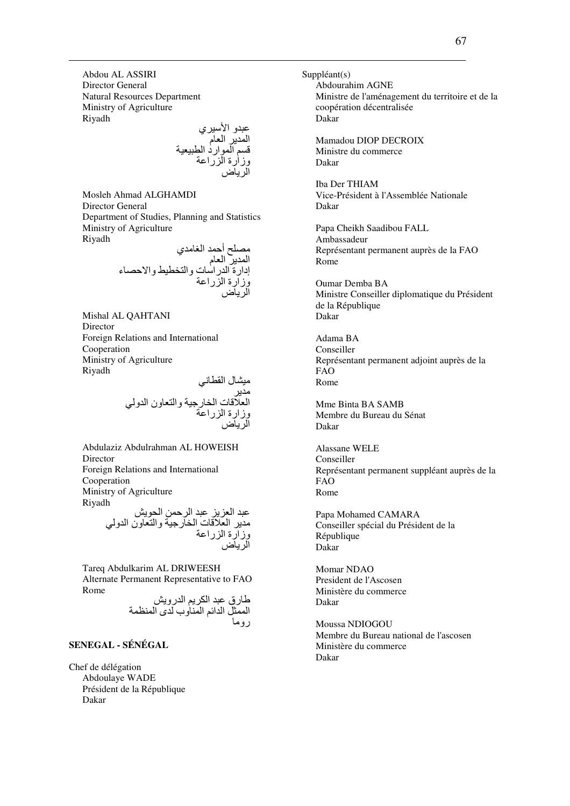Abdou AL ASSIRI Director General Natural Resources Department Ministry of Agriculture Riyadh

عبدو الأسيري المدير العام قسم الموارد الطبيعية<br>وزارة الزراعة الرياض

Mosleh Ahmad ALGHAMDI Director General Department of Studies, Planning and Statistics Ministry of Agriculture Riyadh

> مصلح أحمد الغامدي المدير العام إدارة الدراسات والتخطيط والاحصاء وزارة الزراعة الرياض

Mishal AL QAHTANI Director Foreign Relations and International Cooperation Ministry of Agriculture Riyadh

-#Aل ا U^+; # ا Kت ا :رB- وا ون ا و ; وزارة ا را0 ا ض

Abdulaziz Abdulrahman AL HOWEISH Director Foreign Relations and International Cooperation Ministry of Agriculture Riyadh عبد العزيز عبد الرحمن الحويش مدير العلاقات الخارجية والتعاون الدولي

الرياض Tareq Abdulkarim AL DRIWEESH Alternate Permanent Representative to FAO Rome

طارق عبد الكريم الدرويش الممثل الدائم المناوب لدى المنظمة روما

وزارة الزراعة

# **SENEGAL - SÉNÉGAL**

Chef de délégation Abdoulaye WADE Président de la République Dakar

Suppléant(s) Abdourahim AGNE Ministre de l'aménagement du territoire et de la coopération décentralisée Dakar Mamadou DIOP DECROIX Ministre du commerce Dakar Iba Der THIAM Vice-Président à l'Assemblée Nationale Dakar Papa Cheikh Saadibou FALL Ambassadeur Représentant permanent auprès de la FAO Rome Oumar Demba BA Ministre Conseiller diplomatique du Président de la République Dakar Adama BA Conseiller Représentant permanent adjoint auprès de la FAO Rome Mme Binta BA SAMB Membre du Bureau du Sénat Dakar Alassane WELE Conseiller Représentant permanent suppléant auprès de la FAO Rome Papa Mohamed CAMARA Conseiller spécial du Président de la République Dakar Momar NDAO President de l'Ascosen Ministère du commerce Dakar

Moussa NDIOGOU Membre du Bureau national de l'ascosen Ministère du commerce Dakar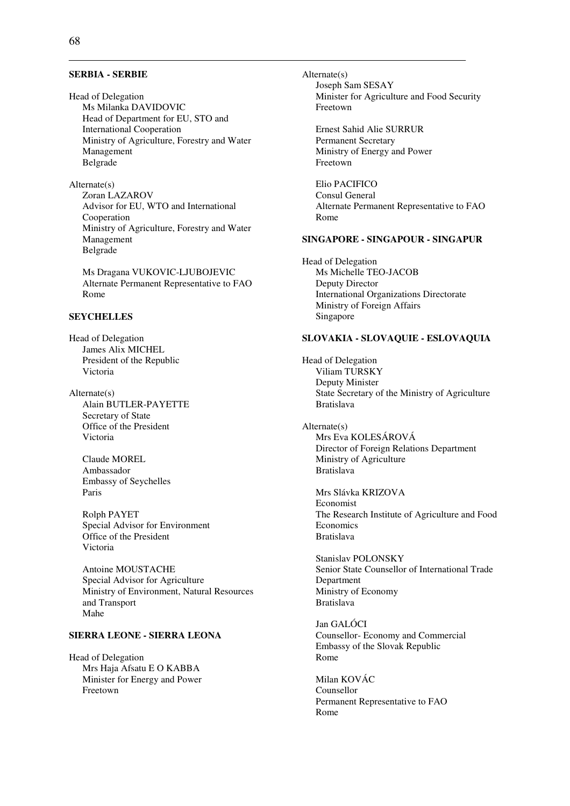#### **SERBIA - SERBIE**

Head of Delegation Ms Milanka DAVIDOVIC Head of Department for EU, STO and International Cooperation Ministry of Agriculture, Forestry and Water Management Belgrade

Alternate(s) Zoran LAZAROV Advisor for EU, WTO and International Cooperation Ministry of Agriculture, Forestry and Water Management Belgrade

Ms Dragana VUKOVIC-LJUBOJEVIC Alternate Permanent Representative to FAO Rome

#### **SEYCHELLES**

Head of Delegation James Alix MICHEL President of the Republic Victoria

Alternate(s) Alain BUTLER-PAYETTE Secretary of State Office of the President Victoria

> Claude MOREL Ambassador Embassy of Seychelles Paris

Rolph PAYET Special Advisor for Environment Office of the President Victoria

Antoine MOUSTACHE Special Advisor for Agriculture Ministry of Environment, Natural Resources and Transport Mahe

# **SIERRA LEONE - SIERRA LEONA**

Head of Delegation Mrs Haja Afsatu E O KABBA Minister for Energy and Power Freetown

Alternate(s) Joseph Sam SESAY Minister for Agriculture and Food Security Freetown

Ernest Sahid Alie SURRUR Permanent Secretary Ministry of Energy and Power Freetown

Elio PACIFICO Consul General Alternate Permanent Representative to FAO Rome

#### **SINGAPORE - SINGAPOUR - SINGAPUR**

Head of Delegation Ms Michelle TEO-JACOB Deputy Director International Organizations Directorate Ministry of Foreign Affairs Singapore

#### **SLOVAKIA - SLOVAQUIE - ESLOVAQUIA**

Head of Delegation Viliam TURSKY Deputy Minister State Secretary of the Ministry of Agriculture Bratislava

Alternate(s) Mrs Eva KOLESÁROVÁ Director of Foreign Relations Department Ministry of Agriculture Bratislava

Mrs Slávka KRIZOVA Economist The Research Institute of Agriculture and Food **Economics** Bratislava

Stanislav POLONSKY Senior State Counsellor of International Trade Department Ministry of Economy Bratislava

Jan GALÓCI Counsellor- Economy and Commercial Embassy of the Slovak Republic Rome

Milan KOVÁC Counsellor Permanent Representative to FAO Rome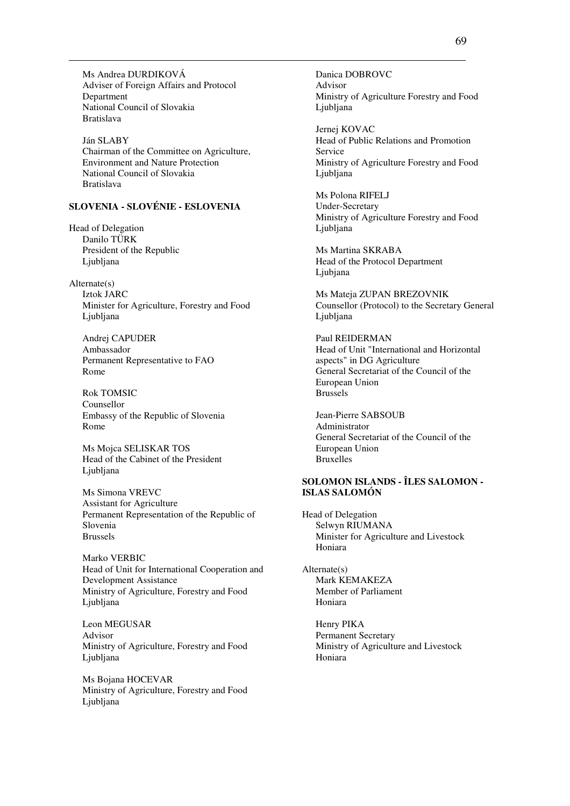Ms Andrea DURDIKOVÁ Adviser of Foreign Affairs and Protocol Department National Council of Slovakia Bratislava

Ján SLABY Chairman of the Committee on Agriculture, Environment and Nature Protection National Council of Slovakia Bratislava

# **SLOVENIA - SLOVÉNIE - ESLOVENIA**

Head of Delegation Danilo TÜRK President of the Republic Ljubljana

Alternate(s) Iztok JARC Minister for Agriculture, Forestry and Food Ljubljana

Andrej CAPUDER Ambassador Permanent Representative to FAO Rome

Rok TOMSIC Counsellor Embassy of the Republic of Slovenia Rome

Ms Mojca SELISKAR TOS Head of the Cabinet of the President Ljubljana

Ms Simona VREVC Assistant for Agriculture Permanent Representation of the Republic of Slovenia Brussels

Marko VERBIC Head of Unit for International Cooperation and Development Assistance Ministry of Agriculture, Forestry and Food Ljubljana

Leon MEGUSAR Advisor Ministry of Agriculture, Forestry and Food Liubliana

Ms Bojana HOCEVAR Ministry of Agriculture, Forestry and Food Ljubljana

Danica DOBROVC Advisor Ministry of Agriculture Forestry and Food Ljubljana

Jernej KOVAC Head of Public Relations and Promotion Service Ministry of Agriculture Forestry and Food Ljubljana

Ms Polona RIFELJ Under-Secretary Ministry of Agriculture Forestry and Food Liubliana

Ms Martina SKRABA Head of the Protocol Department Ljubjana

Ms Mateja ZUPAN BREZOVNIK Counsellor (Protocol) to the Secretary General Ljubljana

Paul REIDERMAN Head of Unit "International and Horizontal aspects" in DG Agriculture General Secretariat of the Council of the European Union Brussels

Jean-Pierre SABSOUB Administrator General Secretariat of the Council of the European Union Bruxelles

# **SOLOMON ISLANDS - ÎLES SALOMON - ISLAS SALOMÓN**

Head of Delegation Selwyn RIUMANA Minister for Agriculture and Livestock Honiara

Alternate(s) Mark KEMAKEZA Member of Parliament Honiara

> Henry PIKA Permanent Secretary Ministry of Agriculture and Livestock Honiara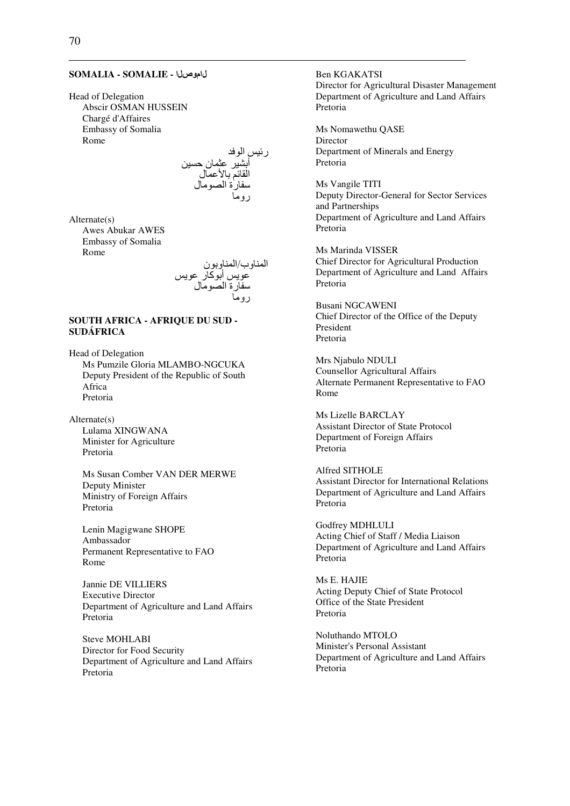#### **SOMALIA - SOMALIE -** لاموصلا

Head of Delegation Abscir OSMAN HUSSEIN Chargé d'Affaires Embassy of Somalia Rome

> رئيس الوفد أبشير عثمان حسين القائم بالأعمال سفارة الصومال روما

Alternate(s) Awes Abukar AWES Embassy of Somalia Rome

المناوب/المناوبون عويس أبوكار عويس سفارة الصومال روما

### **SOUTH AFRICA - AFRIQUE DU SUD - SUDÁFRICA**

Head of Delegation Ms Pumzile Gloria MLAMBO-NGCUKA Deputy President of the Republic of South Africa Pretoria

Alternate(s) Lulama XINGWANA Minister for Agriculture Pretoria

> Ms Susan Comber VAN DER MERWE Deputy Minister Ministry of Foreign Affairs Pretoria

Lenin Magigwane SHOPE Ambassador Permanent Representative to FAO Rome

Jannie DE VILLIERS Executive Director Department of Agriculture and Land Affairs Pretoria

Steve MOHLABI Director for Food Security Department of Agriculture and Land Affairs Pretoria

Ben KGAKATSI Director for Agricultural Disaster Management Department of Agriculture and Land Affairs Pretoria

Ms Nomawethu QASE Director Department of Minerals and Energy Pretoria

Ms Vangile TITI Deputy Director-General for Sector Services and Partnerships Department of Agriculture and Land Affairs Pretoria

Ms Marinda VISSER Chief Director for Agricultural Production Department of Agriculture and Land Affairs Pretoria

Busani NGCAWENI Chief Director of the Office of the Deputy President Pretoria

Mrs Njabulo NDULI Counsellor Agricultural Affairs Alternate Permanent Representative to FAO Rome

Ms Lizelle BARCLAY Assistant Director of State Protocol Department of Foreign Affairs Pretoria

Alfred SITHOLE Assistant Director for International Relations Department of Agriculture and Land Affairs Pretoria

Godfrey MDHLULI Acting Chief of Staff / Media Liaison Department of Agriculture and Land Affairs Pretoria

Ms E. HAJIE Acting Deputy Chief of State Protocol Office of the State President Pretoria

Noluthando MTOLO Minister's Personal Assistant Department of Agriculture and Land Affairs Pretoria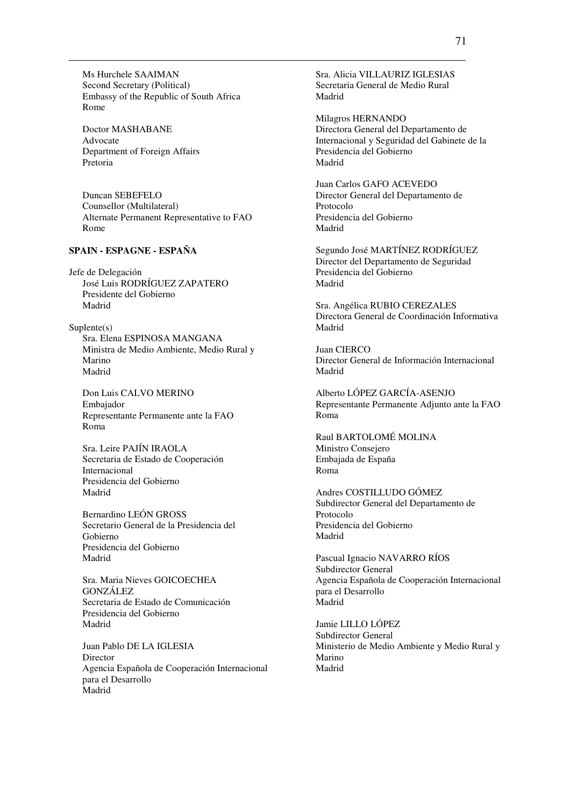Ms Hurchele SAAIMAN Second Secretary (Political) Embassy of the Republic of South Africa Rome

Doctor MASHABANE Advocate Department of Foreign Affairs Pretoria

Duncan SEBEFELO Counsellor (Multilateral) Alternate Permanent Representative to FAO Rome

# **SPAIN - ESPAGNE - ESPAÑA**

Jefe de Delegación José Luis RODRÍGUEZ ZAPATERO Presidente del Gobierno Madrid

Suplente(s) Sra. Elena ESPINOSA MANGANA Ministra de Medio Ambiente, Medio Rural y Marino Madrid

Don Luis CALVO MERINO Embajador Representante Permanente ante la FAO Roma

Sra. Leire PAJÍN IRAOLA Secretaria de Estado de Cooperación Internacional Presidencia del Gobierno Madrid

Bernardino LEÓN GROSS Secretario General de la Presidencia del Gobierno Presidencia del Gobierno Madrid

Sra. Maria Nieves GOICOECHEA GONZÁLEZ Secretaria de Estado de Comunicación Presidencia del Gobierno Madrid

Juan Pablo DE LA IGLESIA Director Agencia Española de Cooperación Internacional para el Desarrollo Madrid

Sra. Alicia VILLAURIZ IGLESIAS Secretaria General de Medio Rural Madrid

Milagros HERNANDO Directora General del Departamento de Internacional y Seguridad del Gabinete de la Presidencia del Gobierno Madrid

Juan Carlos GAFO ACEVEDO Director General del Departamento de Protocolo Presidencia del Gobierno Madrid

Segundo José MARTÍNEZ RODRÍGUEZ Director del Departamento de Seguridad Presidencia del Gobierno Madrid

Sra. Angélica RUBIO CEREZALES Directora General de Coordinación Informativa Madrid

Juan CIERCO Director General de Información Internacional Madrid

Alberto LÓPEZ GARCÍA-ASENJO Representante Permanente Adjunto ante la FAO Roma

Raul BARTOLOMÉ MOLINA Ministro Consejero Embajada de España Roma

Andres COSTILLUDO GÓMEZ Subdirector General del Departamento de Protocolo Presidencia del Gobierno Madrid

Pascual Ignacio NAVARRO RÍOS Subdirector General Agencia Española de Cooperación Internacional para el Desarrollo Madrid

Jamie LILLO LÓPEZ Subdirector General Ministerio de Medio Ambiente y Medio Rural y Marino Madrid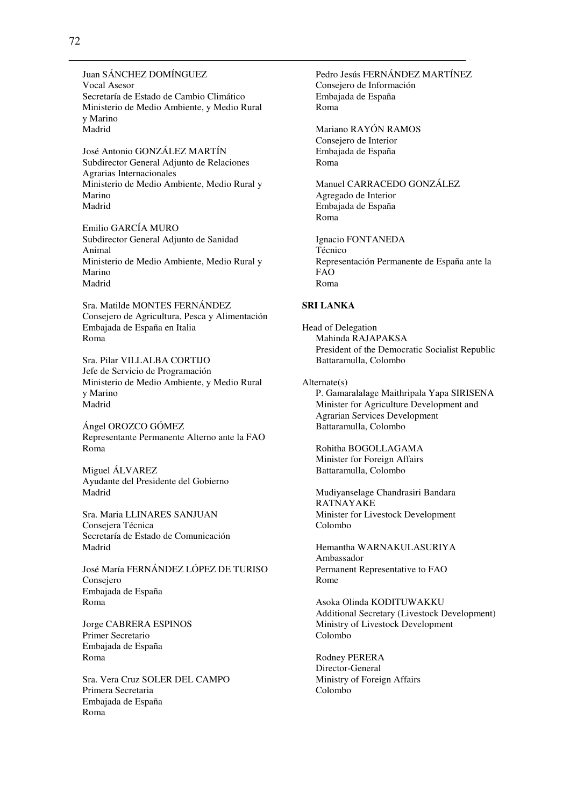Juan SÁNCHEZ DOMÍNGUEZ Vocal Asesor Secretaría de Estado de Cambio Climático Ministerio de Medio Ambiente, y Medio Rural y Marino Madrid

José Antonio GONZÁLEZ MARTÍN Subdirector General Adjunto de Relaciones Agrarias Internacionales Ministerio de Medio Ambiente, Medio Rural y Marino Madrid

Emilio GARCÍA MURO Subdirector General Adjunto de Sanidad Animal Ministerio de Medio Ambiente, Medio Rural y Marino Madrid

Sra. Matilde MONTES FERNÁNDEZ Consejero de Agricultura, Pesca y Alimentación Embajada de España en Italia Roma

Sra. Pilar VILLALBA CORTIJO Jefe de Servicio de Programación Ministerio de Medio Ambiente, y Medio Rural y Marino Madrid

Ángel OROZCO GÓMEZ Representante Permanente Alterno ante la FAO Roma

Miguel ÁLVAREZ Ayudante del Presidente del Gobierno Madrid

Sra. Maria LLINARES SANJUAN Consejera Técnica Secretaría de Estado de Comunicación Madrid

José María FERNÁNDEZ LÓPEZ DE TURISO Consejero Embajada de España Roma

Jorge CABRERA ESPINOS Primer Secretario Embajada de España Roma

Sra. Vera Cruz SOLER DEL CAMPO Primera Secretaria Embajada de España Roma

Pedro Jesús FERNÁNDEZ MARTÍNEZ Consejero de Información Embajada de España Roma

Mariano RAYÓN RAMOS Consejero de Interior Embajada de España Roma

Manuel CARRACEDO GONZÁLEZ Agregado de Interior Embajada de España Roma

Ignacio FONTANEDA Técnico Representación Permanente de España ante la FAO Roma

#### **SRI LANKA**

Head of Delegation Mahinda RAJAPAKSA President of the Democratic Socialist Republic Battaramulla, Colombo

Alternate(s) P. Gamaralalage Maithripala Yapa SIRISENA Minister for Agriculture Development and Agrarian Services Development Battaramulla, Colombo

Rohitha BOGOLLAGAMA Minister for Foreign Affairs Battaramulla, Colombo

Mudiyanselage Chandrasiri Bandara RATNAYAKE Minister for Livestock Development Colombo

Hemantha WARNAKULASURIYA Ambassador Permanent Representative to FAO Rome

Asoka Olinda KODITUWAKKU Additional Secretary (Livestock Development) Ministry of Livestock Development Colombo

Rodney PERERA Director-General Ministry of Foreign Affairs Colombo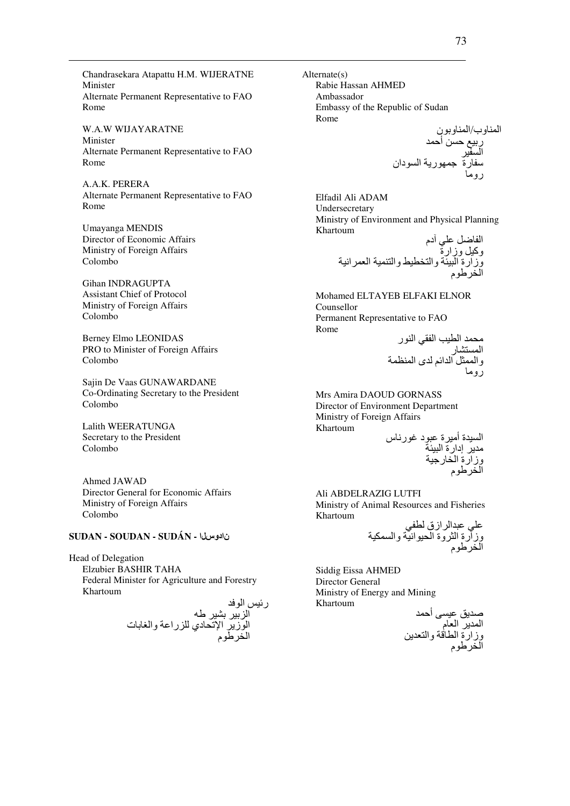Chandrasekara Atapattu H.M. WIJERATNE Minister Alternate Permanent Representative to FAO Rome

**W.A.W WIJAYARATNE** Minister Alternate Permanent Representative to FAO Rome

A.A.K. PERERA Alternate Permanent Representative to FAO Rome

**Umayanga MENDIS** Director of Economic Affairs Ministry of Foreign Affairs Colombo

**Gihan INDRAGUPTA Assistant Chief of Protocol** Ministry of Foreign Affairs Colombo

**Berney Elmo LEONIDAS** PRO to Minister of Foreign Affairs Colombo

Sajin De Vaas GUNAWARDANE Co-Ordinating Secretary to the President Colombo

Lalith WEERATUNGA Secretary to the President Colombo

Ahmed JAWAD Director General for Economic Affairs Ministry of Foreign Affairs Colombo

### **SUDAN - SOUDAN - SUDÁN - ISLO**

Head of Delegation Elzubier BASHIR TAHA Federal Minister for Agriculture and Forestry Khartoum

رئيس الوفد<br>الزبير بشير طه<br>الوزير الإتحادي للزراعة والغابات<br>المنطوم

 $Alternate(s)$ Rabie Hassan AHMED Ambassador Embassy of the Republic of Sudan Rome

Elfadil Ali ADAM Undersecretary Ministry of Environment and Physical Planning Khartoum  $\tilde{J}$   $I_0$ ,  $I_1$ ,  $I_2$ 

Mohamed ELTAYEB ELFAKI ELNOR Counsellor Permanent Representative to FAO Rome

محمد الطيب الفقي النور<br>المستشار<br>والممثل الدائم لدى المنظمة<br>روما

Mrs Amira DAOUD GORNASS Director of Environment Department Ministry of Foreign Affairs Khartoum

السيدة أميرة عبود غورناس<br>مدير إدارة البيئة<br>وزارة الخارجية<br>الخرطوم

Ali ABDELRAZIG LUTFI Ministry of Animal Resources and Fisheries Khartoum  $H$   $\rightarrow$   $H$   $\rightarrow$   $H$ .  $\ddot{\phantom{1}}$ 

Siddig Eissa AHMED Director General Ministry of Energy and Mining Khartoum

صديق عيسى أحمد<br>المدير العام<br>وزارة الطاقة والتعدين<br>الخر طوم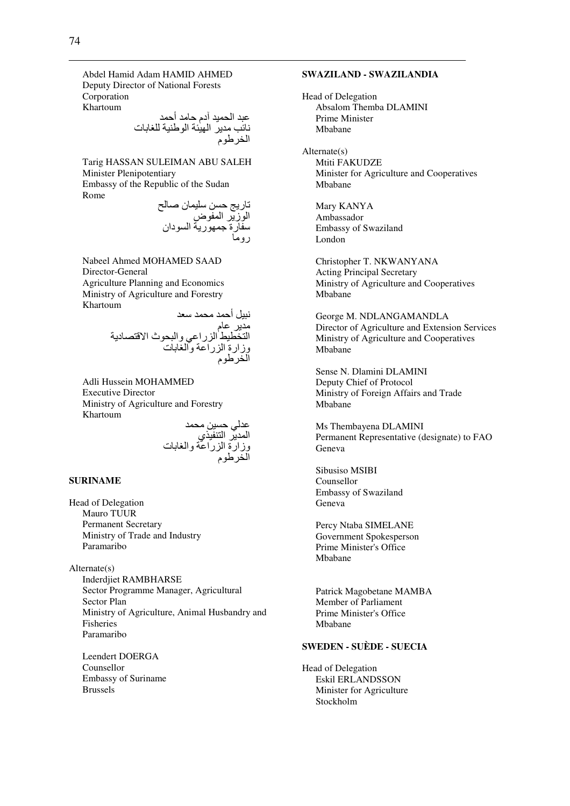Abdel Hamid Adam HAMID AHMED Deputy Director of National Forests Corporation Khartoum

عبد الحميد آدم حامد أحمد نائب مدير الهيئة الوطنية للغابات الخرطوم

Tarig HASSAN SULEIMAN ABU SALEH Minister Plenipotentiary Embassy of the Republic of the Sudan Rome

تاريج حسن سليمان صىالح الوزير المفوض سفارة جمهورية السودان روما

Nabeel Ahmed MOHAMED SAAD Director-General Agriculture Planning and Economics Ministry of Agriculture and Forestry Khartoum

> نبيل أحمد محمد سعد مدير عام التخطيط الزراعي والبحوث الاقتصادية وزارة الزراعة والغابات الخرطوم

Adli Hussein MOHAMMED Executive Director Ministry of Agriculture and Forestry Khartoum

عدلي حسين محمد المدير التنفيذي وزارة الزراعة والغابات الخرطوم

#### **SURINAME**

Head of Delegation Mauro TUUR Permanent Secretary Ministry of Trade and Industry Paramaribo

Alternate(s) Inderdjiet RAMBHARSE Sector Programme Manager, Agricultural Sector Plan Ministry of Agriculture, Animal Husbandry and Fisheries Paramaribo

Leendert DOERGA Counsellor Embassy of Suriname Brussels

### **SWAZILAND - SWAZILANDIA**

Head of Delegation Absalom Themba DLAMINI Prime Minister Mbabane

Alternate(s) Mtiti FAKUDZE Minister for Agriculture and Cooperatives Mbabane

Mary KANYA Ambassador Embassy of Swaziland London

Christopher T. NKWANYANA Acting Principal Secretary Ministry of Agriculture and Cooperatives Mbabane

George M. NDLANGAMANDLA Director of Agriculture and Extension Services Ministry of Agriculture and Cooperatives Mbabane

Sense N. Dlamini DLAMINI Deputy Chief of Protocol Ministry of Foreign Affairs and Trade Mbabane

Ms Thembayena DLAMINI Permanent Representative (designate) to FAO Geneva

Sibusiso MSIBI Counsellor Embassy of Swaziland Geneva

Percy Ntaba SIMELANE Government Spokesperson Prime Minister's Office Mbabane

Patrick Magobetane MAMBA Member of Parliament Prime Minister's Office Mbabane

## **SWEDEN - SUÈDE - SUECIA**

Head of Delegation Eskil ERLANDSSON Minister for Agriculture Stockholm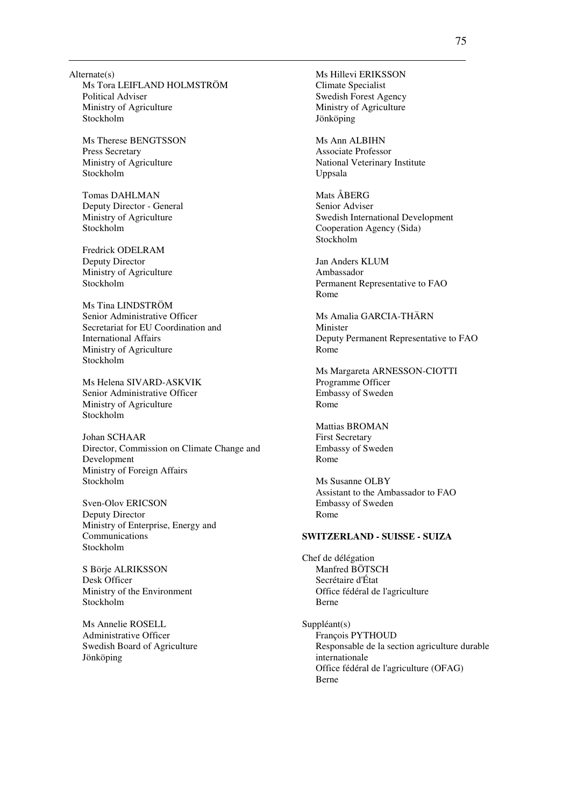Alternate(s) Ms Tora LEIFLAND HOLMSTRÖM Political Adviser Ministry of Agriculture Stockholm

Ms Therese BENGTSSON Press Secretary Ministry of Agriculture Stockholm

Tomas DAHLMAN Deputy Director - General Ministry of Agriculture Stockholm

Fredrick ODELRAM Deputy Director Ministry of Agriculture Stockholm

Ms Tina LINDSTRÖM Senior Administrative Officer Secretariat for EU Coordination and International Affairs Ministry of Agriculture Stockholm

Ms Helena SIVARD-ASKVIK Senior Administrative Officer Ministry of Agriculture Stockholm

Johan SCHAAR Director, Commission on Climate Change and Development Ministry of Foreign Affairs Stockholm

Sven-Olov ERICSON Deputy Director Ministry of Enterprise, Energy and Communications Stockholm

S Börje ALRIKSSON Desk Officer Ministry of the Environment Stockholm

Ms Annelie ROSELL Administrative Officer Swedish Board of Agriculture Jönköping

Ms Hillevi ERIKSSON Climate Specialist Swedish Forest Agency Ministry of Agriculture Jönköping

Ms Ann ALBIHN Associate Professor National Veterinary Institute Uppsala

Mats ÅBERG Senior Adviser Swedish International Development Cooperation Agency (Sida) Stockholm

Jan Anders KLUM Ambassador Permanent Representative to FAO Rome

Ms Amalia GARCIA-THÄRN Minister Deputy Permanent Representative to FAO Rome

Ms Margareta ARNESSON-CIOTTI Programme Officer Embassy of Sweden Rome

Mattias BROMAN First Secretary Embassy of Sweden Rome

Ms Susanne OLBY Assistant to the Ambassador to FAO Embassy of Sweden Rome

### **SWITZERLAND - SUISSE - SUIZA**

Chef de délégation Manfred BÖTSCH Secrétaire d'État Office fédéral de l'agriculture Berne

Suppléant(s) François PYTHOUD Responsable de la section agriculture durable internationale Office fédéral de l'agriculture (OFAG) Berne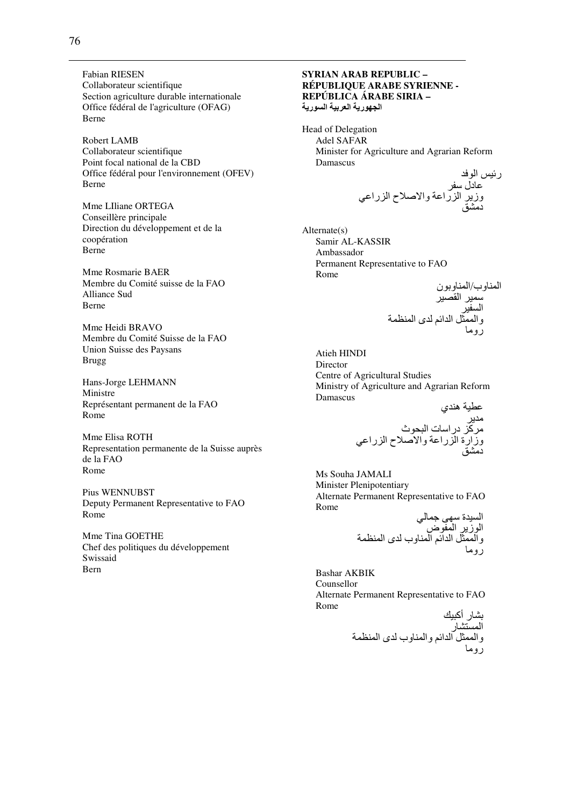**Fabian RIESEN** Collaborateur scientifique Section agriculture durable internationale Office fédéral de l'agriculture (OFAG) Berne

Robert LAMB Collaborateur scientifique Point focal national de la CBD Office fédéral pour l'environnement (OFEV) Berne

Mme LIliane ORTEGA Conseillère principale Direction du développement et de la coopération Berne

Mme Rosmarie BAER Membre du Comité suisse de la FAO Alliance Sud **Berne** 

Mme Heidi BRAVO Membre du Comité Suisse de la FAO Union Suisse des Paysans **Brugg** 

Hans-Jorge LEHMANN Ministre Représentant permanent de la FAO Rome

Mme Elisa ROTH Representation permanente de la Suisse auprès de la FAO Rome

Pius WENNUBST Deputy Permanent Representative to FAO Rome

Mme Tina GOETHE Chef des politiques du développement Swissaid Bern

### **SYRIAN ARAB REPUBLIC -RÉPUBLIQUE ARABE SYRIENNE -**REPÚBLICA ÁRABE SIRIA -الجهورية العربية السورية

Head of Delegation **Adel SAFAR** Minister for Agriculture and Agrarian Reform Damascus

 $Alternate(s)$ Samir AL-KASSIR Ambassador Permanent Representative to FAO Rome

Atieh HINDI Director Centre of Agricultural Studies Ministry of Agriculture and Agrarian Reform Damascus عطرة هذده

Ms Souha JAMALI **Minister Plenipotentiary** Alternate Permanent Representative to FAO Rome  $4.1 - h$ 

**Bashar AKBIK** Counsellor Alternate Permanent Representative to FAO Rome  $\mathbf{r}$  and  $\mathbf{r}$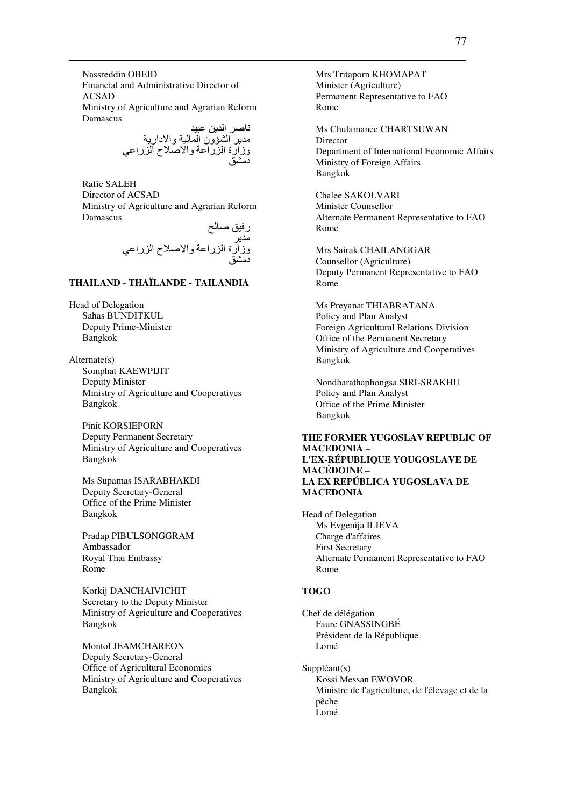Nassreddin OBEID Financial and Administrative Director of ACSAD Ministry of Agriculture and Agrarian Reform Damascus

ناصر الدين عبيد مدير الشؤون المالية والادارية وزارة الزراعة والاصلاح الزراعي دمشق

Rafic SALEH Director of ACSAD Ministry of Agriculture and Agrarian Reform Damascus

] R k-ر # وزارة ا را0 وا?Rح ا را0; د#kA

# **THAILAND - THAÏLANDE - TAILANDIA**

Head of Delegation Sahas BUNDITKUL Deputy Prime-Minister Bangkok

Alternate(s) Somphat KAEWPIJIT Deputy Minister Ministry of Agriculture and Cooperatives Bangkok

Pinit KORSIEPORN Deputy Permanent Secretary Ministry of Agriculture and Cooperatives Bangkok

Ms Supamas ISARABHAKDI Deputy Secretary-General Office of the Prime Minister Bangkok

Pradap PIBULSONGGRAM Ambassador Royal Thai Embassy Rome

Korkij DANCHAIVICHIT Secretary to the Deputy Minister Ministry of Agriculture and Cooperatives Bangkok

Montol JEAMCHAREON Deputy Secretary-General Office of Agricultural Economics Ministry of Agriculture and Cooperatives Bangkok

Mrs Tritaporn KHOMAPAT Minister (Agriculture) Permanent Representative to FAO Rome

Ms Chulamanee CHARTSUWAN Director Department of International Economic Affairs Ministry of Foreign Affairs Bangkok

Chalee SAKOLVARI Minister Counsellor Alternate Permanent Representative to FAO Rome

Mrs Sairak CHAILANGGAR Counsellor (Agriculture) Deputy Permanent Representative to FAO Rome

Ms Preyanat THIABRATANA Policy and Plan Analyst Foreign Agricultural Relations Division Office of the Permanent Secretary Ministry of Agriculture and Cooperatives Bangkok

Nondharathaphongsa SIRI-SRAKHU Policy and Plan Analyst Office of the Prime Minister Bangkok

### **THE FORMER YUGOSLAV REPUBLIC OF MACEDONIA – L'EX-RÉPUBLIQUE YOUGOSLAVE DE MACÉDOINE – LA EX REPÚBLICA YUGOSLAVA DE MACEDONIA**

Head of Delegation Ms Evgenija ILIEVA Charge d'affaires First Secretary Alternate Permanent Representative to FAO Rome

### **TOGO**

Chef de délégation Faure GNASSINGBÉ Président de la République Lomé

Suppléant(s) Kossi Messan EWOVOR Ministre de l'agriculture, de l'élevage et de la pêche Lomé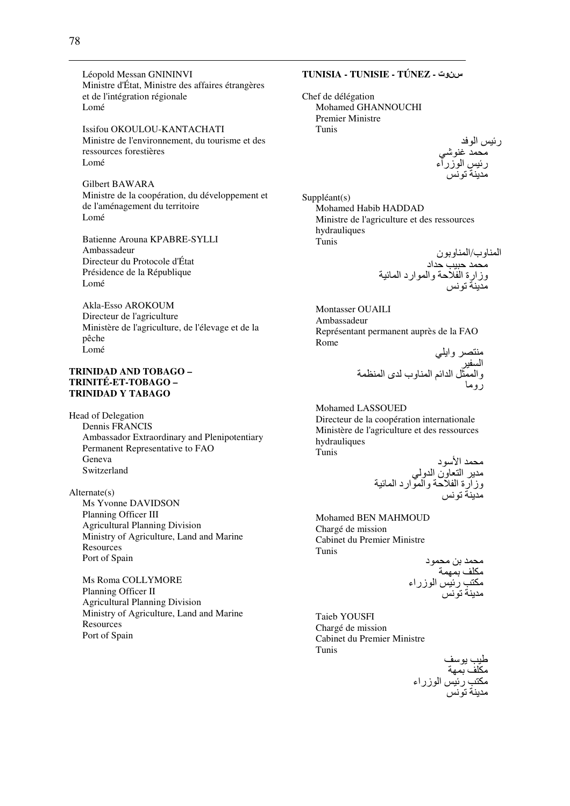Léopold Messan GNININVI Ministre d'État, Ministre des affaires étrangères et de l'intégration régionale Lomé

Issifou OKOULOU-KANTACHATI Ministre de l'environnement, du tourisme et des ressources forestières Lomé

Gilbert BAWARA Ministre de la coopération, du développement et de l'aménagement du territoire Lomé

Batienne Arouna KPABRE-SYLLI Ambassadeur Directeur du Protocole d'État Présidence de la République Lomé

Akla-Esso AROKOUM Directeur de l'agriculture Ministère de l'agriculture, de l'élevage et de la pêche Lomé

### **TRINIDAD AND TOBAGO – TRINITÉ-ET-TOBAGO – TRINIDAD Y TABAGO**

Head of Delegation Dennis FRANCIS Ambassador Extraordinary and Plenipotentiary Permanent Representative to FAO Geneva Switzerland

Alternate(s) Ms Yvonne DAVIDSON Planning Officer III Agricultural Planning Division Ministry of Agriculture, Land and Marine **Resources** Port of Spain

Ms Roma COLLYMORE Planning Officer II Agricultural Planning Division Ministry of Agriculture, Land and Marine **Resources** Port of Spain

# **TUNISIA - TUNISIE - TÚNEZ -** سنوت

Chef de délégation Mohamed GHANNOUCHI Premier Ministre Tunis

رئيس الوفد محمد غنوشي رئيس الوزراء مدينة تونس

Suppléant(s) Mohamed Habib HADDAD Ministre de l'agriculture et des ressources hydrauliques Tunis

ا وب/ا ون #D -/ <اد وزارة ا وا ارد ا - +S #

Montasser OUAILI Ambassadeur Représentant permanent auprès de la FAO Rome

منتصر وايلي السفير والممثل الدائم المناوب لدى المنظمة روما

Mohamed LASSOUED Directeur de la coopération internationale Ministère de l'agriculture et des ressources hydrauliques Tunis

#D اHد # ا ون ا و ; وزارة ا وا ارد ا - +S #

Mohamed BEN MAHMOUD Chargé de mission Cabinet du Premier Ministre Tunis

محمد بن محمود مكلف بمهمة مكتب رئيس الوزراء مدينة تونس

Taieb YOUSFI Chargé de mission Cabinet du Premier Ministre Tunis

طيب يوسف مكلف بمهة مكتب رئيس الوزراء مدينة تونس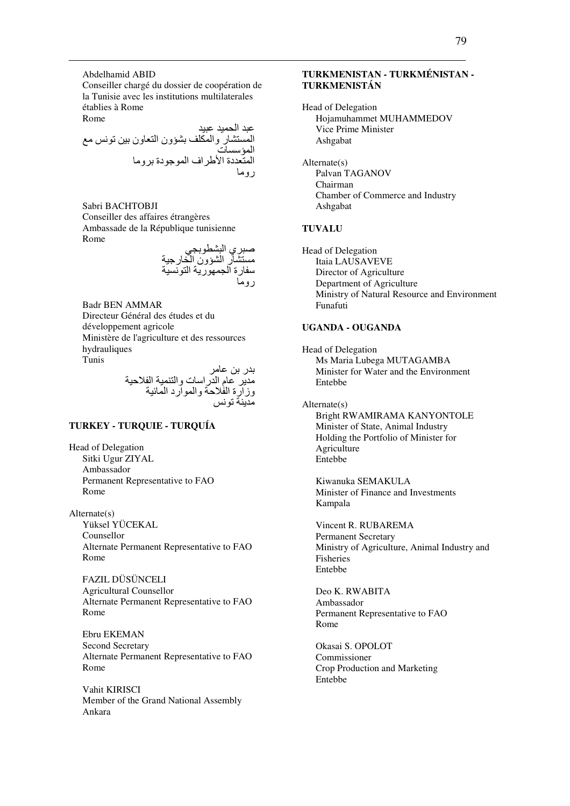Abdelhamid ABID Conseiller chargé du dossier de coopération de la Tunisie avec les institutions multilaterales établies à Rome Rome

عبد الحميد عبيد المستشار والمكلف بشؤون التعاون بين تونس مع المؤسسات المتعددة الأطراف الموجودة بروما روما

Sabri BACHTOBJI Conseiller des affaires étrangères Ambassade de la République tunisienne Rome

صبر ي البشطوبجي مستشار الشؤون الخارجية<br>سفارة الجمهورية التونسية روما

Badr BEN AMMAR Directeur Général des études et du développement agricole Ministère de l'agriculture et des ressources hydrauliques Tunis

بدر بن عامر مدير عام الدراسات والتنمية الفلاحية وزارة الفلاحة والموارد المائية مدينة تونس

## **TURKEY - TURQUIE - TURQUÍA**

Head of Delegation Sitki Ugur ZIYAL Ambassador Permanent Representative to FAO Rome

Alternate(s) Yüksel YÜCEKAL Counsellor Alternate Permanent Representative to FAO Rome

FAZIL DÜSÜNCELI Agricultural Counsellor Alternate Permanent Representative to FAO Rome

Ebru EKEMAN Second Secretary Alternate Permanent Representative to FAO Rome

Vahit KIRISCI Member of the Grand National Assembly Ankara

## **TURKMENISTAN - TURKMÉNISTAN - TURKMENISTÁN**

Head of Delegation Hojamuhammet MUHAMMEDOV Vice Prime Minister Ashgabat

Alternate(s) Palvan TAGANOV Chairman Chamber of Commerce and Industry Ashgabat

#### **TUVALU**

Head of Delegation Itaia LAUSAVEVE Director of Agriculture Department of Agriculture Ministry of Natural Resource and Environment Funafuti

#### **UGANDA - OUGANDA**

Head of Delegation Ms Maria Lubega MUTAGAMBA Minister for Water and the Environment Entebbe

Alternate(s) Bright RWAMIRAMA KANYONTOLE Minister of State, Animal Industry Holding the Portfolio of Minister for Agriculture Entebbe

Kiwanuka SEMAKULA Minister of Finance and Investments Kampala

Vincent R. RUBAREMA Permanent Secretary Ministry of Agriculture, Animal Industry and Fisheries Entebbe

Deo K. RWABITA Ambassador Permanent Representative to FAO Rome

Okasai S. OPOLOT Commissioner Crop Production and Marketing Entebbe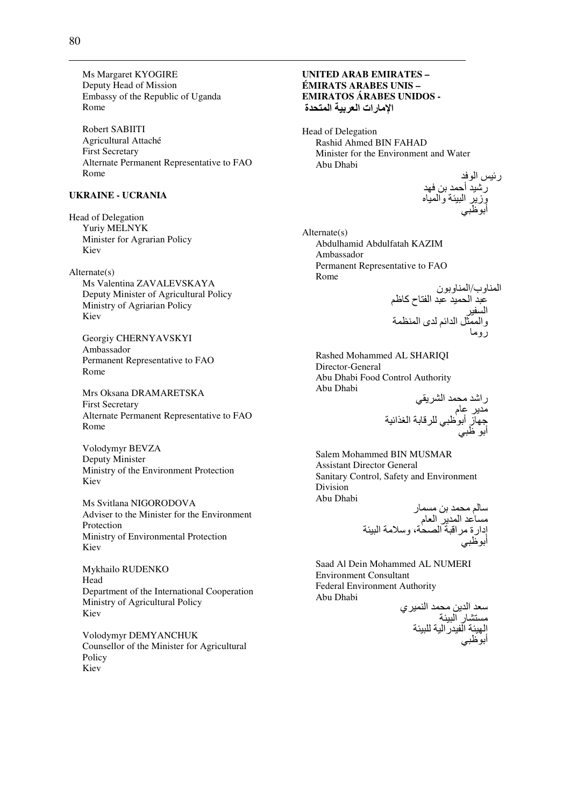Ms Margaret KYOGIRE Deputy Head of Mission Embassy of the Republic of Uganda Rome

Robert SABIITI Agricultural Attaché **First Secretary** Alternate Permanent Representative to FAO Rome

### **UKRAINE - UCRANIA**

**Head of Delegation** Yuriv MELNYK Minister for Agrarian Policy Kiev

 $Alternate(s)$ Ms Valentina ZAVALEVSKAYA Deputy Minister of Agricultural Policy Ministry of Agriarian Policy Kiev

Georgiy CHERNYAVSKYI Ambassador Permanent Representative to FAO Rome

Mrs Oksana DRAMARETSKA **First Secretary** Alternate Permanent Representative to FAO Rome

Volodymyr BEVZA Deputy Minister Ministry of the Environment Protection Kiev

Ms Svitlana NIGORODOVA Adviser to the Minister for the Environment Protection Ministry of Environmental Protection Kiev

Mykhailo RUDENKO Head Department of the International Cooperation Ministry of Agricultural Policy Kiev

Volodymyr DEMYANCHUK Counsellor of the Minister for Agricultural Policy Kiev

### **UNITED ARAB EMIRATES -**ÉMIRATS ARABES UNIS – **EMIRATOS ÁRABES UNIDOS -**الإمارات العربية المتحدة

Head of Delegation Rashid Ahmed BIN FAHAD Minister for the Environment and Water Abu Dhabi

رئيس الوفد<br>رشيد أحمد بن فهد<br>وزير البيئة والمياه

 $Alternate(s)$ Abdulhamid Abdulfatah KAZIM Ambassador Permanent Representative to FAO Rome

Rashed Mohammed AL SHARIQI Director-General Abu Dhabi Food Control Authority Abu Dhabi

Salem Mohammed BIN MUSMAR **Assistant Director General** Sanitary Control, Safety and Environment **Division** Abu Dhabi

Saad Al Dein Mohammed AL NUMERI **Environment Consultant Federal Environment Authority** Abu Dhabi

سعد الدين محمد النمير ي<br>مستشار البيئة<br>الهيئة الفيدر الية للبيئة<br>أبوظبي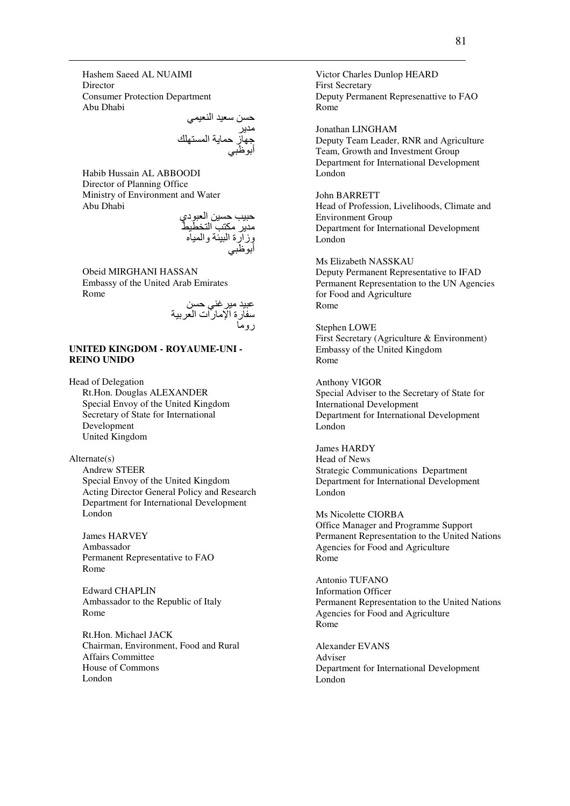Hashem Saeed AL NUAIMI **Director** Consumer Protection Department Abu Dhabi

> حسن سعيد النعيمي مدير جهاز حماية المستهلك أبوظبي

Habib Hussain AL ABBOODI Director of Planning Office Ministry of Environment and Water Abu Dhabi

حبيب حسين العبودي مدير مكتب التخطيط وزارة البيئة والمياه أبوظبي

Obeid MIRGHANI HASSAN Embassy of the United Arab Emirates Rome

عبيد مير غني حسن سفارة الإمارات العربية روما

#### **UNITED KINGDOM - ROYAUME-UNI - REINO UNIDO**

Head of Delegation

Rt.Hon. Douglas ALEXANDER Special Envoy of the United Kingdom Secretary of State for International Development United Kingdom

Alternate(s) Andrew STEER Special Envoy of the United Kingdom

Acting Director General Policy and Research Department for International Development London

James HARVEY Ambassador Permanent Representative to FAO Rome

Edward CHAPLIN Ambassador to the Republic of Italy Rome

Rt.Hon. Michael JACK Chairman, Environment, Food and Rural Affairs Committee House of Commons London

Victor Charles Dunlop HEARD First Secretary Deputy Permanent Represenattive to FAO Rome

Jonathan LINGHAM

Deputy Team Leader, RNR and Agriculture Team, Growth and Investment Group Department for International Development London

John BARRETT

Head of Profession, Livelihoods, Climate and Environment Group Department for International Development London

Ms Elizabeth NASSKAU Deputy Permanent Representative to IFAD Permanent Representation to the UN Agencies for Food and Agriculture Rome

Stephen LOWE First Secretary (Agriculture & Environment) Embassy of the United Kingdom Rome

Anthony VIGOR Special Adviser to the Secretary of State for International Development Department for International Development London

James HARDY Head of News Strategic Communications Department Department for International Development London

Ms Nicolette CIORBA Office Manager and Programme Support Permanent Representation to the United Nations Agencies for Food and Agriculture Rome

Antonio TUFANO Information Officer Permanent Representation to the United Nations Agencies for Food and Agriculture Rome

Alexander EVANS Adviser Department for International Development London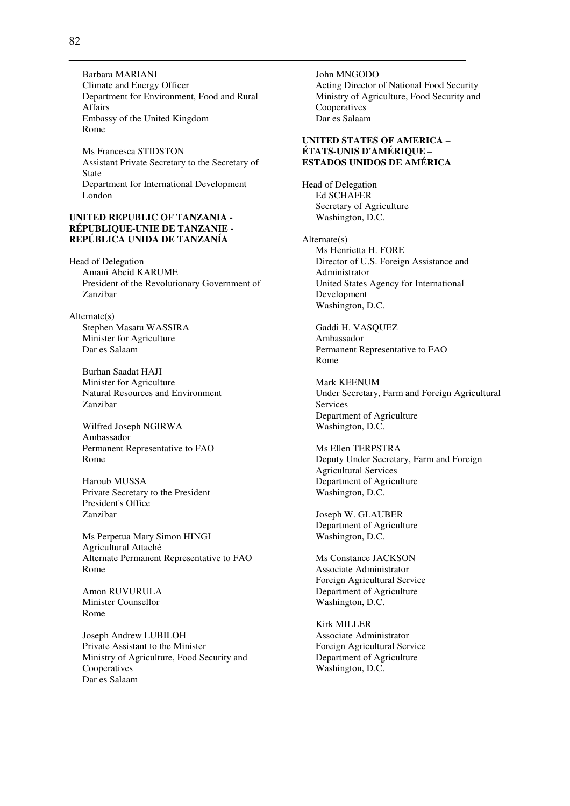Barbara MARIANI Climate and Energy Officer Department for Environment, Food and Rural Affairs Embassy of the United Kingdom Rome

Ms Francesca STIDSTON Assistant Private Secretary to the Secretary of State Department for International Development London

#### **UNITED REPUBLIC OF TANZANIA - RÉPUBLIQUE-UNIE DE TANZANIE - REPÚBLICA UNIDA DE TANZANÍA**

Head of Delegation Amani Abeid KARUME President of the Revolutionary Government of Zanzibar

Alternate(s) Stephen Masatu WASSIRA Minister for Agriculture Dar es Salaam

> Burhan Saadat HAJI Minister for Agriculture Natural Resources and Environment Zanzibar

Wilfred Joseph NGIRWA Ambassador Permanent Representative to FAO Rome

Haroub MUSSA Private Secretary to the President President's Office Zanzibar

Ms Perpetua Mary Simon HINGI Agricultural Attaché Alternate Permanent Representative to FAO Rome

Amon RUVURULA Minister Counsellor Rome

Joseph Andrew LUBILOH Private Assistant to the Minister Ministry of Agriculture, Food Security and Cooperatives Dar es Salaam

John MNGODO Acting Director of National Food Security Ministry of Agriculture, Food Security and Cooperatives Dar es Salaam

### **UNITED STATES OF AMERICA – ÉTATS-UNIS D'AMÉRIQUE – ESTADOS UNIDOS DE AMÉRICA**

Head of Delegation Ed SCHAFER Secretary of Agriculture Washington, D.C.

Alternate(s) Ms Henrietta H. FORE Director of U.S. Foreign Assistance and Administrator United States Agency for International Development Washington, D.C.

Gaddi H. VASQUEZ Ambassador Permanent Representative to FAO Rome

Mark KEENUM Under Secretary, Farm and Foreign Agricultural Services Department of Agriculture Washington, D.C.

Ms Ellen TERPSTRA Deputy Under Secretary, Farm and Foreign Agricultural Services Department of Agriculture Washington, D.C.

Joseph W. GLAUBER Department of Agriculture Washington, D.C.

Ms Constance JACKSON Associate Administrator Foreign Agricultural Service Department of Agriculture Washington, D.C.

Kirk MILLER Associate Administrator Foreign Agricultural Service Department of Agriculture Washington, D.C.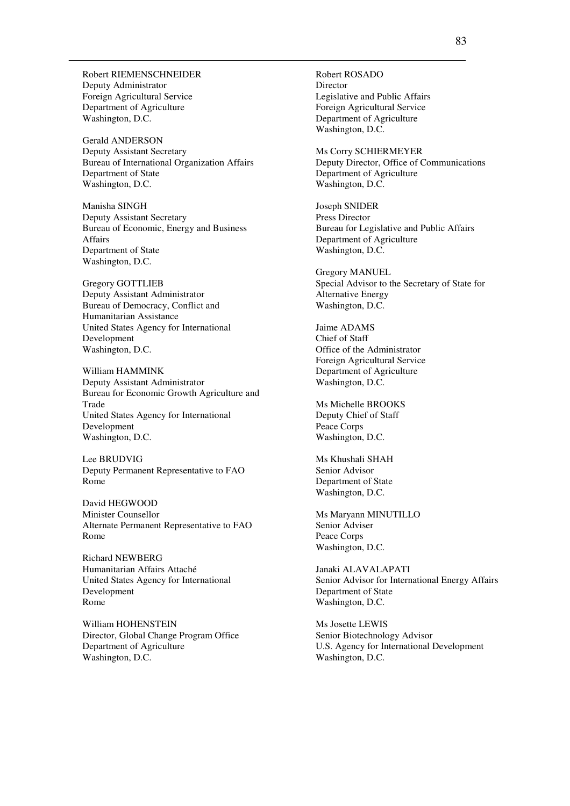Robert RIEMENSCHNEIDER Deputy Administrator Foreign Agricultural Service Department of Agriculture Washington, D.C.

Gerald ANDERSON Deputy Assistant Secretary Bureau of International Organization Affairs Department of State Washington, D.C.

Manisha SINGH Deputy Assistant Secretary Bureau of Economic, Energy and Business Affairs Department of State Washington, D.C.

Gregory GOTTLIEB Deputy Assistant Administrator Bureau of Democracy, Conflict and Humanitarian Assistance United States Agency for International Development Washington, D.C.

William HAMMINK Deputy Assistant Administrator Bureau for Economic Growth Agriculture and Trade United States Agency for International Development Washington, D.C.

Lee BRUDVIG Deputy Permanent Representative to FAO Rome

David HEGWOOD Minister Counsellor Alternate Permanent Representative to FAO Rome

Richard NEWBERG Humanitarian Affairs Attaché United States Agency for International Development Rome

William HOHENSTEIN Director, Global Change Program Office Department of Agriculture Washington, D.C.

Robert ROSADO Director Legislative and Public Affairs Foreign Agricultural Service Department of Agriculture Washington, D.C.

Ms Corry SCHIERMEYER Deputy Director, Office of Communications Department of Agriculture Washington, D.C.

Joseph SNIDER Press Director Bureau for Legislative and Public Affairs Department of Agriculture Washington, D.C.

Gregory MANUEL Special Advisor to the Secretary of State for Alternative Energy Washington, D.C.

Jaime ADAMS Chief of Staff Office of the Administrator Foreign Agricultural Service Department of Agriculture Washington, D.C.

Ms Michelle BROOKS Deputy Chief of Staff Peace Corps Washington, D.C.

Ms Khushali SHAH Senior Advisor Department of State Washington, D.C.

Ms Maryann MINUTILLO Senior Adviser Peace Corps Washington, D.C.

Janaki ALAVALAPATI Senior Advisor for International Energy Affairs Department of State Washington, D.C.

Ms Josette LEWIS Senior Biotechnology Advisor U.S. Agency for International Development Washington, D.C.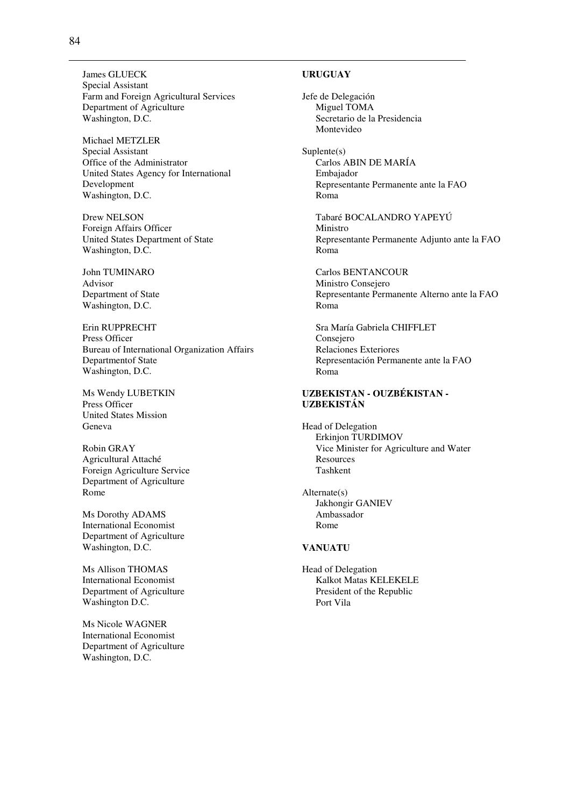**URUGUAY** 

Jefe de Delegación Miguel TOMA Secretario de la Presidencia Montevideo

Suplente(s) Carlos ABIN DE MARÍA Embajador Representante Permanente ante la FAO Roma

Tabaré BOCALANDRO YAPEYÚ Ministro Representante Permanente Adjunto ante la FAO Roma

Carlos BENTANCOUR Ministro Consejero Representante Permanente Alterno ante la FAO Roma

Sra María Gabriela CHIFFLET Consejero Relaciones Exteriores Representación Permanente ante la FAO Roma

### **UZBEKISTAN - OUZBÉKISTAN - UZBEKISTÁN**

Head of Delegation Erkinjon TURDIMOV Vice Minister for Agriculture and Water **Resources** Tashkent

Alternate(s) Jakhongir GANIEV Ambassador Rome

#### **VANUATU**

Head of Delegation Kalkot Matas KELEKELE President of the Republic Port Vila

James GLUECK Special Assistant Farm and Foreign Agricultural Services Department of Agriculture Washington, D.C.

Michael METZLER Special Assistant Office of the Administrator United States Agency for International Development Washington, D.C.

Drew NELSON Foreign Affairs Officer United States Department of State Washington, D.C.

John TUMINARO Advisor Department of State Washington, D.C.

Erin RUPPRECHT Press Officer Bureau of International Organization Affairs Departmentof State Washington, D.C.

Ms Wendy LUBETKIN Press Officer United States Mission Geneva

Robin GRAY Agricultural Attaché Foreign Agriculture Service Department of Agriculture Rome

Ms Dorothy ADAMS International Economist Department of Agriculture Washington, D.C.

Ms Allison THOMAS International Economist Department of Agriculture Washington D.C.

Ms Nicole WAGNER International Economist Department of Agriculture Washington, D.C.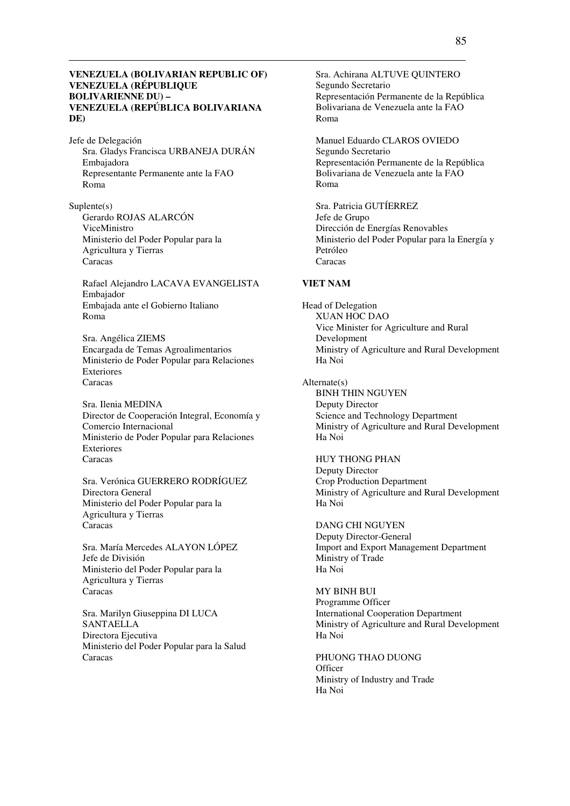### **VENEZUELA (BOLIVARIAN REPUBLIC OF) VENEZUELA (RÉPUBLIQUE BOLIVARIENNE DU) – VENEZUELA (REPÚBLICA BOLIVARIANA DE)**

Jefe de Delegación Sra. Gladys Francisca URBANEJA DURÁN Embajadora Representante Permanente ante la FAO Roma

Suplente(s) Gerardo ROJAS ALARCÓN ViceMinistro Ministerio del Poder Popular para la Agricultura y Tierras Caracas

Rafael Alejandro LACAVA EVANGELISTA Embajador Embajada ante el Gobierno Italiano Roma

Sra. Angélica ZIEMS Encargada de Temas Agroalimentarios Ministerio de Poder Popular para Relaciones Exteriores Caracas

Sra. Ilenia MEDINA Director de Cooperación Integral, Economía y Comercio Internacional Ministerio de Poder Popular para Relaciones Exteriores Caracas

Sra. Verónica GUERRERO RODRÍGUEZ Directora General Ministerio del Poder Popular para la Agricultura y Tierras Caracas

Sra. María Mercedes ALAYON LÓPEZ Jefe de División Ministerio del Poder Popular para la Agricultura y Tierras Caracas

Sra. Marilyn Giuseppina DI LUCA SANTAELLA Directora Ejecutiva Ministerio del Poder Popular para la Salud Caracas

Sra. Achirana ALTUVE QUINTERO Segundo Secretario Representación Permanente de la República Bolivariana de Venezuela ante la FAO Roma

Manuel Eduardo CLAROS OVIEDO Segundo Secretario Representación Permanente de la República Bolivariana de Venezuela ante la FAO Roma

Sra. Patricia GUTÍERREZ Jefe de Grupo Dirección de Energías Renovables Ministerio del Poder Popular para la Energía y Petróleo Caracas

#### **VIET NAM**

Head of Delegation XUAN HOC DAO Vice Minister for Agriculture and Rural Development Ministry of Agriculture and Rural Development Ha Noi

Alternate(s) BINH THIN NGUYEN Deputy Director Science and Technology Department Ministry of Agriculture and Rural Development Ha Noi

HUY THONG PHAN Deputy Director Crop Production Department Ministry of Agriculture and Rural Development Ha Noi

DANG CHI NGUYEN Deputy Director-General Import and Export Management Department Ministry of Trade Ha Noi

MY BINH BUI Programme Officer International Cooperation Department Ministry of Agriculture and Rural Development Ha Noi

PHUONG THAO DUONG **Officer** Ministry of Industry and Trade Ha Noi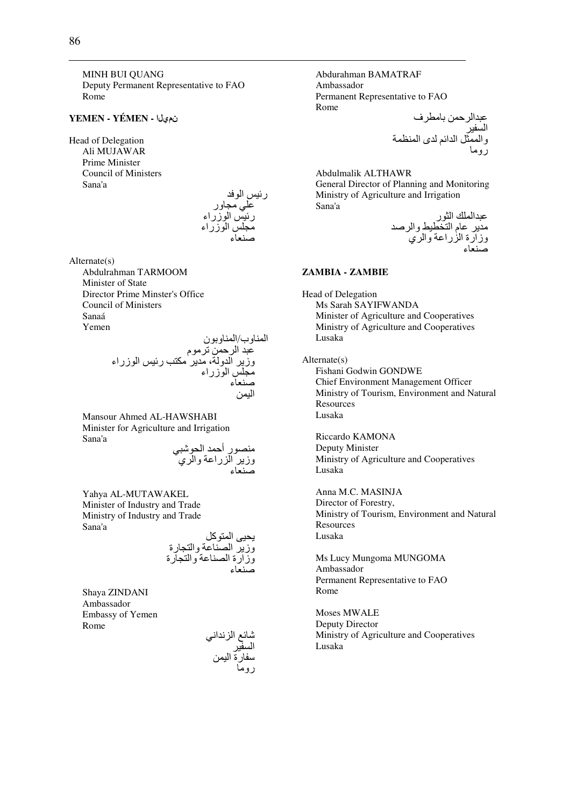MINH BUI QUANG Deputy Permanent Representative to FAO Rome

#### **YEMEN - YÉMEN -** نميلا

Head of Delegation Ali MUJAWAR Prime Minister Council of Ministers Sana'a

رئيس الوفد علي مجاور رئيس الوزراء مجلس الوزراء صنعاء

Alternate(s) Abdulrahman TARMOOM Minister of State Director Prime Minster's Office Council of Ministers Sanaá Yemen

ا وب/ا ون /0 ا , S#م وز ا و ، # 6#> ر- ا زراء #8 ا زراء Rء ا ,-

Mansour Ahmed AL-HAWSHABI Minister for Agriculture and Irrigation Sana'a

منصور أحمد الحوشبي وزير الزراعة والري صنعاء

Yahya AL-MUTAWAKEL Minister of Industry and Trade Ministry of Industry and Trade Sana'a

يحيى المتوكل وزير الصناعة والتجارة وزارة الصناعة والتجارة صنعاء

Shaya ZINDANI Ambassador Embassy of Yemen Rome

شائع الزنداني السفير سفارة اليمن<br>روما Abdurahman BAMATRAF Ambassador Permanent Representative to FAO Rome /0ا , #^ف

ا -\$ وا &% ا ا' ى ا ( رو#

Abdulmalik ALTHAWR General Director of Planning and Monitoring Ministry of Agriculture and Irrigation Sana'a

> عبدالملك الثور مدير عام التخطيط والرصد وزارة الزراعة والري صنعاء

### **ZAMBIA - ZAMBIE**

Head of Delegation Ms Sarah SAYIFWANDA Minister of Agriculture and Cooperatives Ministry of Agriculture and Cooperatives Lusaka

#### Alternate(s)

Fishani Godwin GONDWE Chief Environment Management Officer Ministry of Tourism, Environment and Natural **Resources** Lusaka

Riccardo KAMONA Deputy Minister Ministry of Agriculture and Cooperatives Lusaka

Anna M.C. MASINJA Director of Forestry, Ministry of Tourism, Environment and Natural Resources Lusaka

Ms Lucy Mungoma MUNGOMA Ambassador Permanent Representative to FAO Rome

Moses MWALE Deputy Director Ministry of Agriculture and Cooperatives Lusaka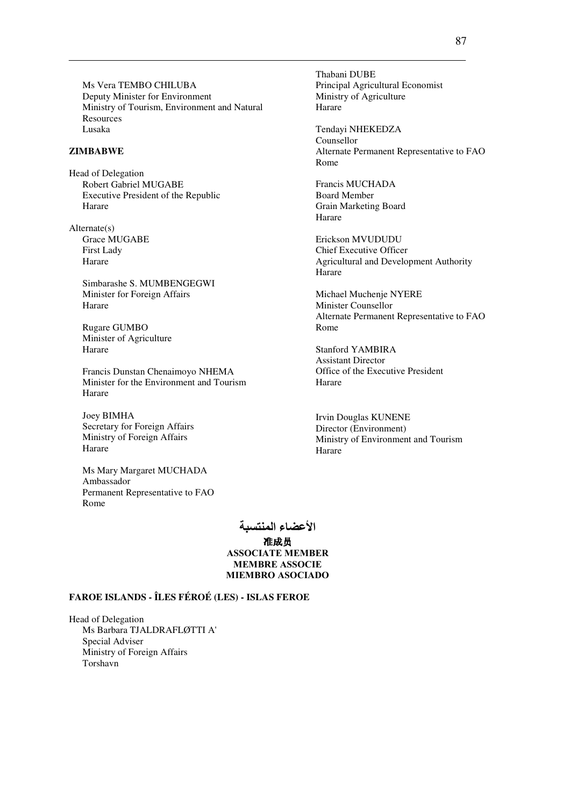Ms Vera TEMBO CHILUBA Deputy Minister for Environment Ministry of Tourism, Environment and Natural Resources Lusaka

## **ZIMBABWE**

Head of Delegation Robert Gabriel MUGABE Executive President of the Republic Harare

Alternate(s) Grace MUGABE First Lady Harare

> Simbarashe S. MUMBENGEGWI Minister for Foreign Affairs Harare

Rugare GUMBO Minister of Agriculture Harare

Francis Dunstan Chenaimoyo NHEMA Minister for the Environment and Tourism Harare

Joey BIMHA Secretary for Foreign Affairs Ministry of Foreign Affairs Harare

Ms Mary Margaret MUCHADA Ambassador Permanent Representative to FAO Rome

> الأعضاء المنتسبة 准成员 ASSOCIATE MEMBER MEMBRE ASSOCIE MIEMBRO ASOCIADO

### **FAROE ISLANDS - ÎLES FÉROÉ (LES) - ISLAS FEROE**

Head of Delegation Ms Barbara TJALDRAFLØTTI A' Special Adviser Ministry of Foreign Affairs Torshavn

Thabani DUBE Principal Agricultural Economist Ministry of Agriculture Harare

Tendayi NHEKEDZA Counsellor Alternate Permanent Representative to FAO Rome

Francis MUCHADA Board Member Grain Marketing Board Harare

Erickson MVUDUDU Chief Executive Officer Agricultural and Development Authority Harare

Michael Muchenje NYERE Minister Counsellor Alternate Permanent Representative to FAO Rome

Stanford YAMBIRA Assistant Director Office of the Executive President Harare

Irvin Douglas KUNENE Director (Environment) Ministry of Environment and Tourism Harare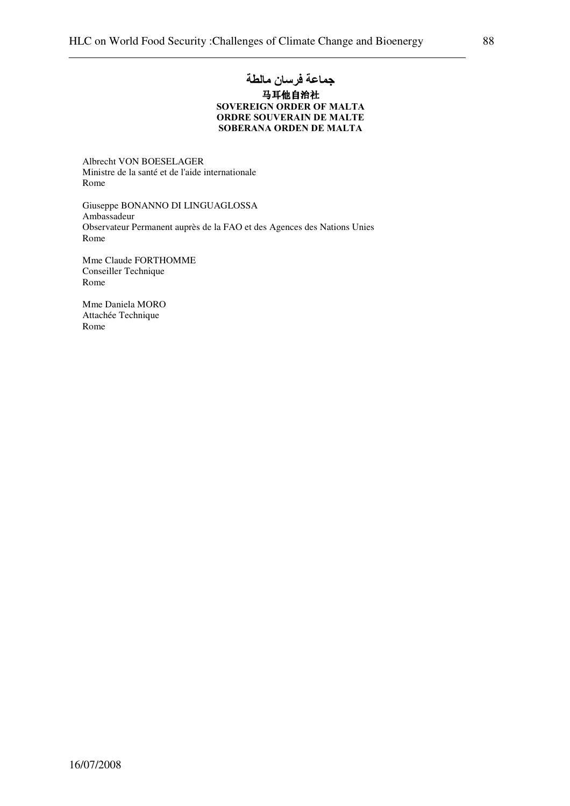# جماعة فرسان مالطة 马耳他自治社 SOVEREIGN ORDER OF MALTA ORDRE SOUVERAIN DE MALTE SOBERANA ORDEN DE MALTA

Albrecht VON BOESELAGER Ministre de la santé et de l'aide internationale Rome

Giuseppe BONANNO DI LINGUAGLOSSA Ambassadeur Observateur Permanent auprès de la FAO et des Agences des Nations Unies Rome

Mme Claude FORTHOMME Conseiller Technique Rome

Mme Daniela MORO Attachée Technique Rome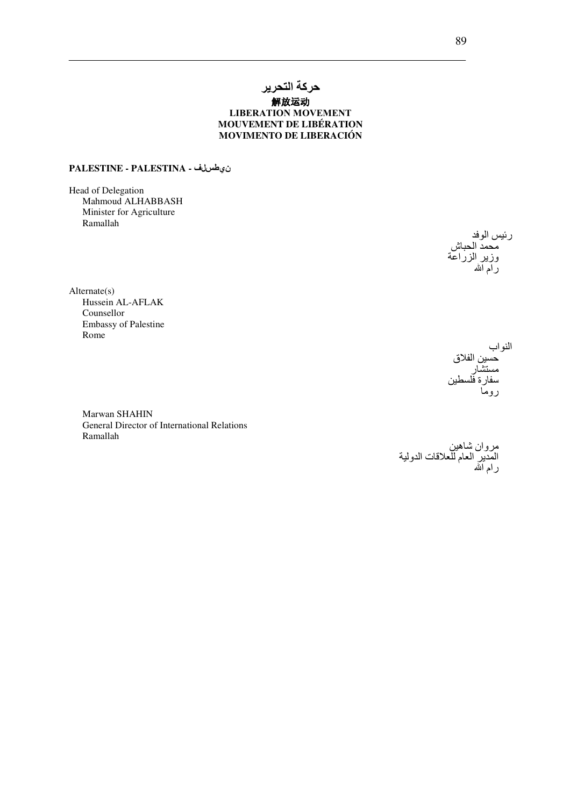# حركة التحرير 解放运动 **LIBERATION MOVEMENT** MOUVEMENT DE LIBÉRATION MOVIMENTO DE LIBERACIÓN

## ن هاسال ف - PALESTINE - PALESTINA

Head of Delegation Mahmoud ALHABBASH Minister for Agriculture Ramallah

رئيس الوفد 

 $Alternate(s)$ Hussein AL-AFLAK Counsellor **Embassy of Palestine** Rome

النواب حسين الفلاق ة فلد

Marwan SHAHIN General Director of International Relations Ramallah

مروان شاهين<br>المدير العام للعلاقات الدولية<br>رام الله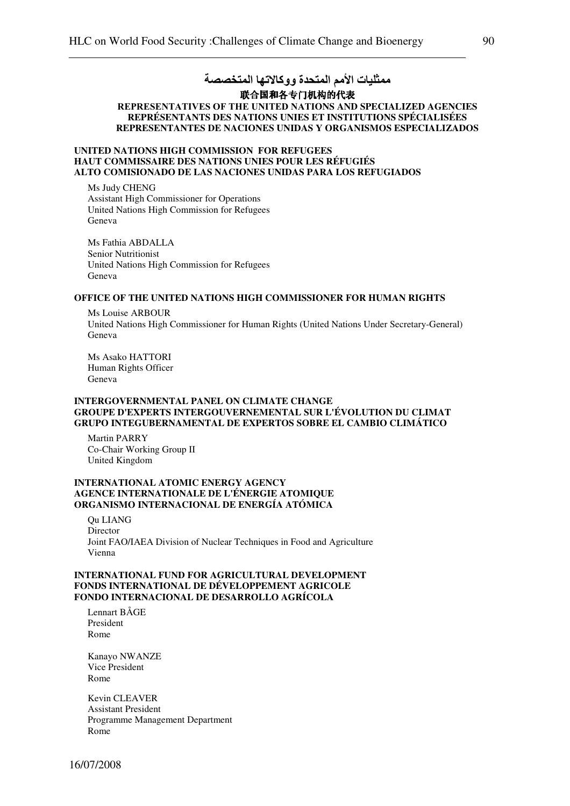# ممثليات الأمم المتحدة ووكالاتها المتخصصة 联合国和各专门机构的代表

## REPRESENTATIVES OF THE UNITED NATI**ONS AND SPECIALIZED AGENCIES REPRÉSENTANTS DES NATIONS UNIES ET INSTITUTIONS SPÉCIALISÉES REPRESENTANTES DE NACIONES UNIDAS Y ORGANISMOS ESPECIALIZADOS**

### **UNITED NATIONS HIGH COMMISSION FOR REFUGEES HAUT COMMISSAIRE DES NATIONS UNIES POUR LES RÉFUGIÉS ALTO COMISIONADO DE LAS NACIONES UNIDAS PARA LOS REFUGIADOS**

Ms Judy CHENG Assistant High Commissioner for Operations United Nations High Commission for Refugees Geneva

Ms Fathia ABDALLA Senior Nutritionist United Nations High Commission for Refugees Geneva

#### **OFFICE OF THE UNITED NATIONS HIGH COMMISSIONER FOR HUMAN RIGHTS**

Ms Louise ARBOUR United Nations High Commissioner for Human Rights (United Nations Under Secretary-General) Geneva

Ms Asako HATTORI Human Rights Officer Geneva

#### **INTERGOVERNMENTAL PANEL ON CLIMATE CHANGE GROUPE D'EXPERTS INTERGOUVERNEMENTAL SUR L'ÉVOLUTION DU CLIMAT GRUPO INTEGUBERNAMENTAL DE EXPERTOS SOBRE EL CAMBIO CLIMÁTICO**

Martin PARRY Co-Chair Working Group II United Kingdom

### **INTERNATIONAL ATOMIC ENERGY AGENCY AGENCE INTERNATIONALE DE L'ÉNERGIE ATOMIQUE ORGANISMO INTERNACIONAL DE ENERGÍA ATÓMICA**

Qu LIANG Director Joint FAO/IAEA Division of Nuclear Techniques in Food and Agriculture Vienna

### **INTERNATIONAL FUND FOR AGRICULTURAL DEVELOPMENT FONDS INTERNATIONAL DE DÉVELOPPEMENT AGRICOLE FONDO INTERNACIONAL DE DESARROLLO AGRÍCOLA**

Lennart BÅGE President Rome

Kanayo NWANZE Vice President Rome

Kevin CLEAVER Assistant President Programme Management Department Rome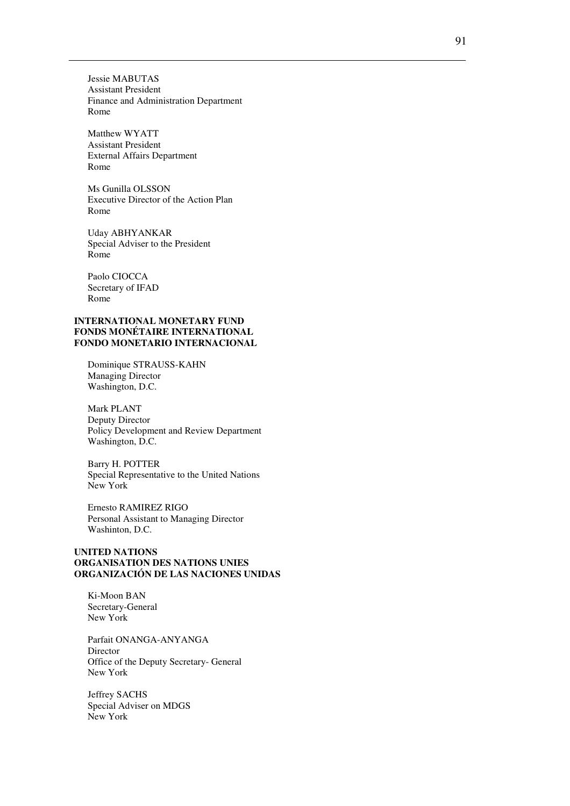Jessie MABUTAS Assistant President Finance and Administration Department Rome

Matthew WYATT Assistant President External Affairs Department Rome

Ms Gunilla OLSSON Executive Director of the Action Plan Rome

Uday ABHYANKAR Special Adviser to the President Rome

Paolo CIOCCA Secretary of IFAD Rome

#### **INTERNATIONAL MONETARY FUND FONDS MONÉTAIRE INTERNATIONAL FONDO MONETARIO INTERNACIONAL**

Dominique STRAUSS-KAHN Managing Director Washington, D.C.

Mark PLANT Deputy Director Policy Development and Review Department Washington, D.C.

Barry H. POTTER Special Representative to the United Nations New York

Ernesto RAMIREZ RIGO Personal Assistant to Managing Director Washinton, D.C.

### **UNITED NATIONS ORGANISATION DES NATIONS UNIES ORGANIZACIÓN DE LAS NACIONES UNIDAS**

Ki-Moon BAN Secretary-General New York

Parfait ONANGA-ANYANGA Director Office of the Deputy Secretary- General New York

Jeffrey SACHS Special Adviser on MDGS New York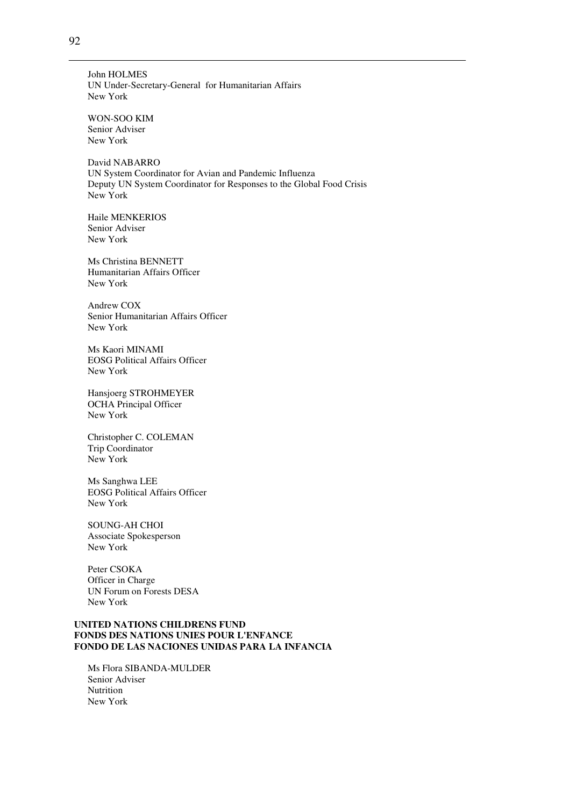John HOLMES UN Under-Secretary-General for Humanitarian Affairs New York

WON-SOO KIM Senior Adviser New York

David NABARRO UN System Coordinator for Avian and Pandemic Influenza Deputy UN System Coordinator for Responses to the Global Food Crisis New York

Haile MENKERIOS Senior Adviser New York

Ms Christina BENNETT Humanitarian Affairs Officer New York

Andrew COX Senior Humanitarian Affairs Officer New York

Ms Kaori MINAMI EOSG Political Affairs Officer New York

Hansjoerg STROHMEYER OCHA Principal Officer New York

Christopher C. COLEMAN Trip Coordinator New York

Ms Sanghwa LEE EOSG Political Affairs Officer New York

SOUNG-AH CHOI Associate Spokesperson New York

Peter CSOKA Officer in Charge UN Forum on Forests DESA New York

## **UNITED NATIONS CHILDRENS FUND FONDS DES NATIONS UNIES POUR L'ENFANCE FONDO DE LAS NACIONES UNIDAS PARA LA INFANCIA**

Ms Flora SIBANDA-MULDER Senior Adviser **Nutrition** New York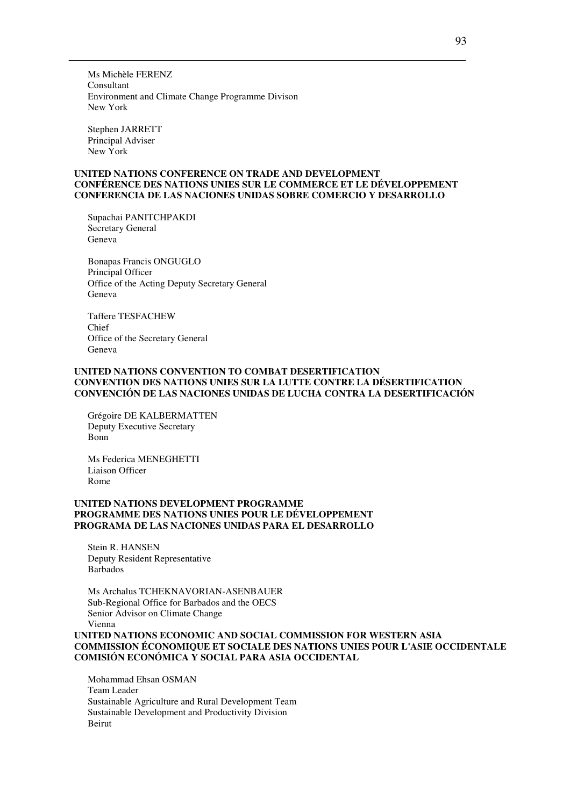Ms Michèle FERENZ Consultant Environment and Climate Change Programme Divison New York

Stephen JARRETT Principal Adviser New York

## **UNITED NATIONS CONFERENCE ON TRADE AND DEVELOPMENT CONFÉRENCE DES NATIONS UNIES SUR LE COMMERCE ET LE DÉVELOPPEMENT CONFERENCIA DE LAS NACIONES UNIDAS SOBRE COMERCIO Y DESARROLLO**

Supachai PANITCHPAKDI Secretary General Geneva

Bonapas Francis ONGUGLO Principal Officer Office of the Acting Deputy Secretary General Geneva

Taffere TESFACHEW Chief Office of the Secretary General Geneva

### **UNITED NATIONS CONVENTION TO COMBAT DESERTIFICATION CONVENTION DES NATIONS UNIES SUR LA LUTTE CONTRE LA DÉSERTIFICATION CONVENCIÓN DE LAS NACIONES UNIDAS DE LUCHA CONTRA LA DESERTIFICACIÓN**

Grégoire DE KALBERMATTEN Deputy Executive Secretary Bonn

Ms Federica MENEGHETTI Liaison Officer Rome

## **UNITED NATIONS DEVELOPMENT PROGRAMME PROGRAMME DES NATIONS UNIES POUR LE DÉVELOPPEMENT PROGRAMA DE LAS NACIONES UNIDAS PARA EL DESARROLLO**

Stein R. HANSEN Deputy Resident Representative Barbados

Ms Archalus TCHEKNAVORIAN-ASENBAUER Sub-Regional Office for Barbados and the OECS Senior Advisor on Climate Change Vienna

**UNITED NATIONS ECONOMIC AND SOCIAL COMMISSION FOR WESTERN ASIA COMMISSION ÉCONOMIQUE ET SOCIALE DES NATIONS UNIES POUR L'ASIE OCCIDENTALE COMISIÓN ECONÓMICA Y SOCIAL PARA ASIA OCCIDENTAL**

Mohammad Ehsan OSMAN Team Leader Sustainable Agriculture and Rural Development Team Sustainable Development and Productivity Division Beirut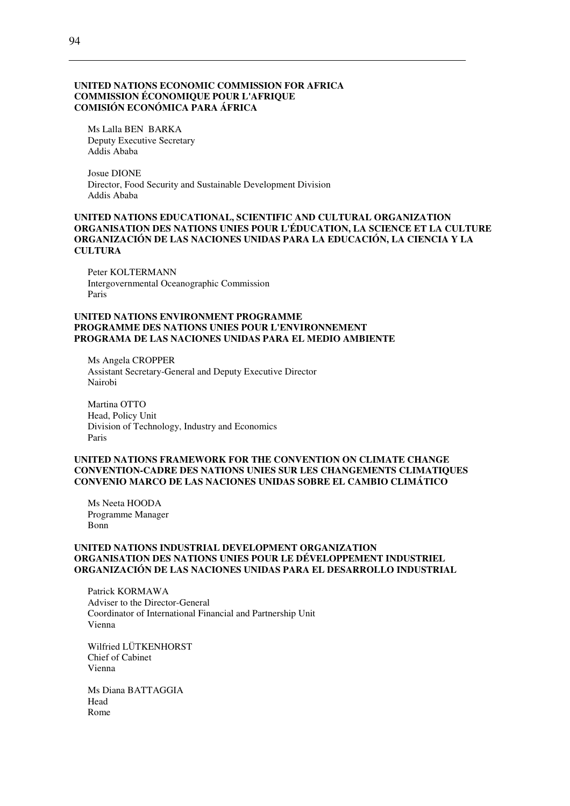#### **UNITED NATIONS ECONOMIC COMMISSION FOR AFRICA COMMISSION ÉCONOMIQUE POUR L'AFRIQUE COMISIÓN ECONÓMICA PARA ÁFRICA**

Ms Lalla BEN BARKA Deputy Executive Secretary Addis Ababa

Josue DIONE Director, Food Security and Sustainable Development Division Addis Ababa

#### **UNITED NATIONS EDUCATIONAL, SCIENTIFIC AND CULTURAL ORGANIZATION ORGANISATION DES NATIONS UNIES POUR L'ÉDUCATION, LA SCIENCE ET LA CULTURE ORGANIZACIÓN DE LAS NACIONES UNIDAS PARA LA EDUCACIÓN, LA CIENCIA Y LA CULTURA**

Peter KOLTERMANN Intergovernmental Oceanographic Commission Paris

#### **UNITED NATIONS ENVIRONMENT PROGRAMME PROGRAMME DES NATIONS UNIES POUR L'ENVIRONNEMENT PROGRAMA DE LAS NACIONES UNIDAS PARA EL MEDIO AMBIENTE**

Ms Angela CROPPER Assistant Secretary-General and Deputy Executive Director Nairobi

Martina OTTO Head, Policy Unit Division of Technology, Industry and Economics Paris

### **UNITED NATIONS FRAMEWORK FOR THE CONVENTION ON CLIMATE CHANGE CONVENTION-CADRE DES NATIONS UNIES SUR LES CHANGEMENTS CLIMATIQUES CONVENIO MARCO DE LAS NACIONES UNIDAS SOBRE EL CAMBIO CLIMÁTICO**

Ms Neeta HOODA Programme Manager Bonn

#### **UNITED NATIONS INDUSTRIAL DEVELOPMENT ORGANIZATION ORGANISATION DES NATIONS UNIES POUR LE DÉVELOPPEMENT INDUSTRIEL ORGANIZACIÓN DE LAS NACIONES UNIDAS PARA EL DESARROLLO INDUSTRIAL**

Patrick KORMAWA Adviser to the Director-General Coordinator of International Financial and Partnership Unit Vienna

Wilfried LÜTKENHORST Chief of Cabinet Vienna

Ms Diana BATTAGGIA Head Rome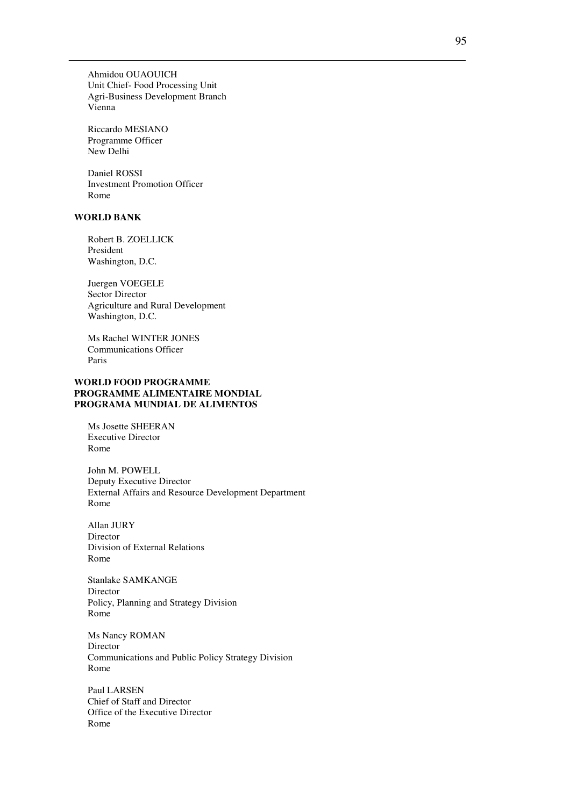Ahmidou OUAOUICH Unit Chief- Food Processing Unit Agri-Business Development Branch Vienna

Riccardo MESIANO Programme Officer New Delhi

Daniel ROSSI Investment Promotion Officer Rome

## **WORLD BANK**

Robert B. ZOELLICK President Washington, D.C.

Juergen VOEGELE Sector Director Agriculture and Rural Development Washington, D.C.

Ms Rachel WINTER JONES Communications Officer Paris

### **WORLD FOOD PROGRAMME PROGRAMME ALIMENTAIRE MONDIAL PROGRAMA MUNDIAL DE ALIMENTOS**

Ms Josette SHEERAN Executive Director Rome

John M. POWELL Deputy Executive Director External Affairs and Resource Development Department Rome

Allan JURY Director Division of External Relations Rome

Stanlake SAMKANGE Director Policy, Planning and Strategy Division Rome

Ms Nancy ROMAN Director Communications and Public Policy Strategy Division Rome

Paul LARSEN Chief of Staff and Director Office of the Executive Director Rome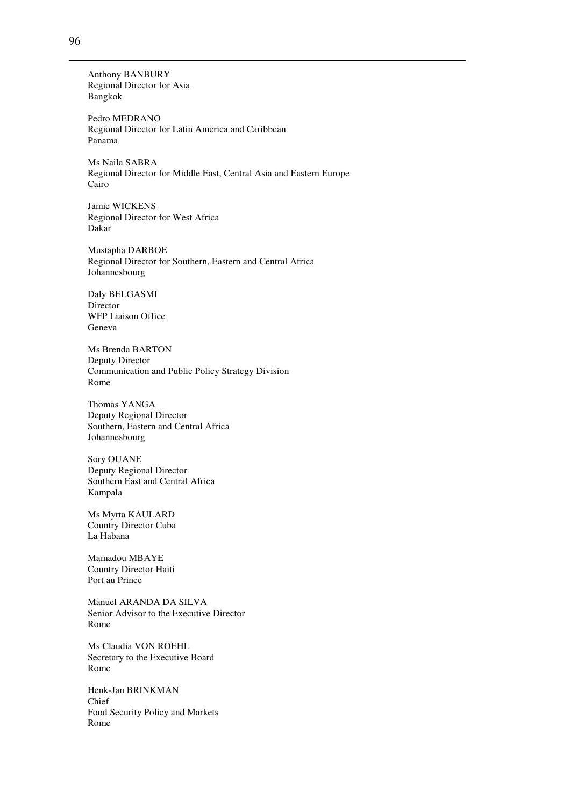Anthony BANBURY Regional Director for Asia Bangkok

Pedro MEDRANO Regional Director for Latin America and Caribbean Panama

Ms Naila SABRA Regional Director for Middle East, Central Asia and Eastern Europe Cairo

Jamie WICKENS Regional Director for West Africa Dakar

Mustapha DARBOE Regional Director for Southern, Eastern and Central Africa Johannesbourg

Daly BELGASMI Director WFP Liaison Office Geneva

Ms Brenda BARTON Deputy Director Communication and Public Policy Strategy Division Rome

Thomas YANGA Deputy Regional Director Southern, Eastern and Central Africa Johannesbourg

Sory OUANE Deputy Regional Director Southern East and Central Africa Kampala

Ms Myrta KAULARD Country Director Cuba La Habana

Mamadou MBAYE Country Director Haiti Port au Prince

Manuel ARANDA DA SILVA Senior Advisor to the Executive Director Rome

Ms Claudia VON ROEHL Secretary to the Executive Board Rome

Henk-Jan BRINKMAN Chief Food Security Policy and Markets Rome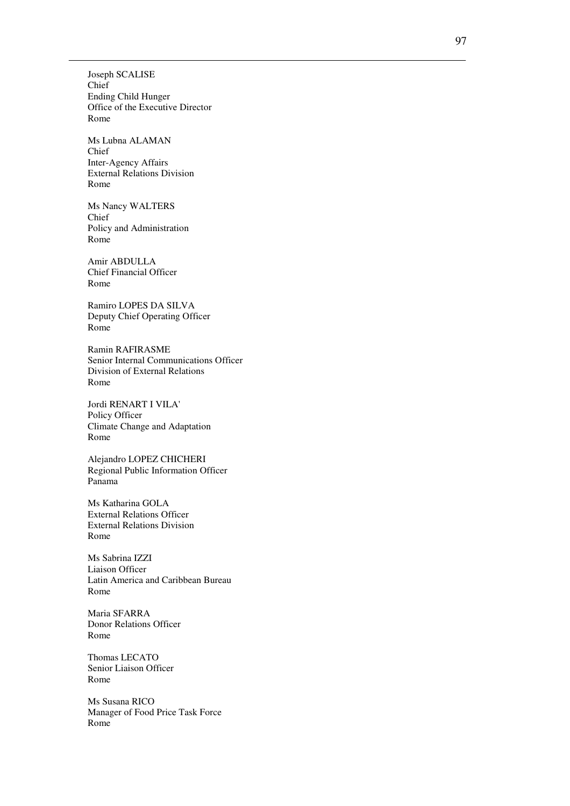Joseph SCALISE Chief Ending Child Hunger Office of the Executive Director Rome

Ms Lubna ALAMAN Chief Inter-Agency Affairs External Relations Division Rome

Ms Nancy WALTERS Chief Policy and Administration Rome

Amir ABDULLA Chief Financial Officer Rome

Ramiro LOPES DA SILVA Deputy Chief Operating Officer Rome

Ramin RAFIRASME Senior Internal Communications Officer Division of External Relations Rome

Jordi RENART I VILA' Policy Officer Climate Change and Adaptation Rome

Alejandro LOPEZ CHICHERI Regional Public Information Officer Panama

Ms Katharina GOLA External Relations Officer External Relations Division Rome

Ms Sabrina IZZI Liaison Officer Latin America and Caribbean Bureau Rome

Maria SFARRA Donor Relations Officer Rome

Thomas LECATO Senior Liaison Officer Rome

Ms Susana RICO Manager of Food Price Task Force Rome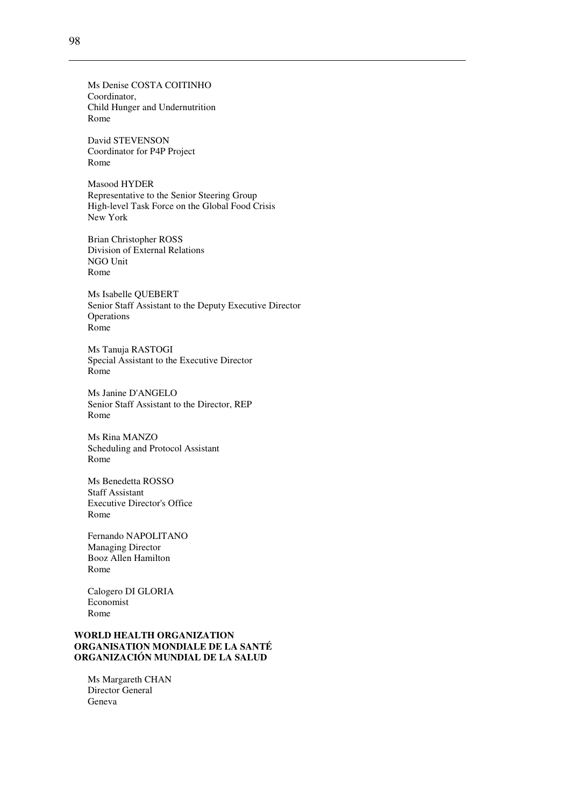Ms Denise COSTA COITINHO Coordinator, Child Hunger and Undernutrition Rome

David STEVENSON Coordinator for P4P Project Rome

Masood HYDER Representative to the Senior Steering Group High-level Task Force on the Global Food Crisis New York

Brian Christopher ROSS Division of External Relations NGO Unit Rome

Ms Isabelle QUEBERT Senior Staff Assistant to the Deputy Executive Director Operations Rome

Ms Tanuja RASTOGI Special Assistant to the Executive Director Rome

Ms Janine D'ANGELO Senior Staff Assistant to the Director, REP Rome

Ms Rina MANZO Scheduling and Protocol Assistant Rome

Ms Benedetta ROSSO Staff Assistant Executive Director's Office Rome

Fernando NAPOLITANO Managing Director Booz Allen Hamilton Rome

Calogero DI GLORIA Economist Rome

## **WORLD HEALTH ORGANIZATION ORGANISATION MONDIALE DE LA SANTÉ ORGANIZACIÓN MUNDIAL DE LA SALUD**

Ms Margareth CHAN Director General Geneva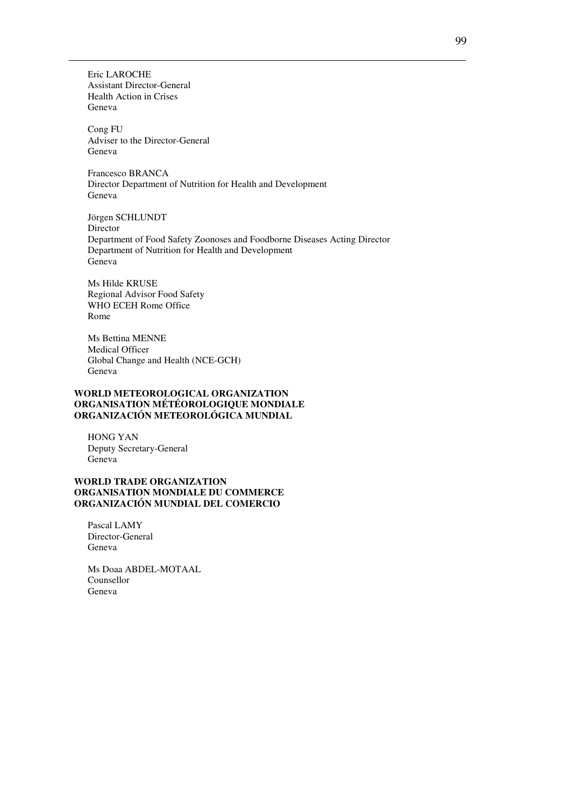Eric LAROCHE Assistant Director-General Health Action in Crises Geneva

Cong FU Adviser to the Director-General Geneva

Francesco BRANCA Director Department of Nutrition for Health and Development Geneva

Jörgen SCHLUNDT Director Department of Food Safety Zoonoses and Foodborne Diseases Acting Director Department of Nutrition for Health and Development Geneva

Ms Hilde KRUSE Regional Advisor Food Safety WHO ECEH Rome Office Rome

Ms Bettina MENNE Medical Officer Global Change and Health (NCE-GCH) Geneva

### **WORLD METEOROLOGICAL ORGANIZATION ORGANISATION MÉTÉOROLOGIQUE MONDIALE ORGANIZACIÓN METEOROLÓGICA MUNDIAL**

HONG YAN Deputy Secretary-General Geneva

### **WORLD TRADE ORGANIZATION ORGANISATION MONDIALE DU COMMERCE ORGANIZACIÓN MUNDIAL DEL COMERCIO**

Pascal LAMY Director-General Geneva

Ms Doaa ABDEL-MOTAAL Counsellor Geneva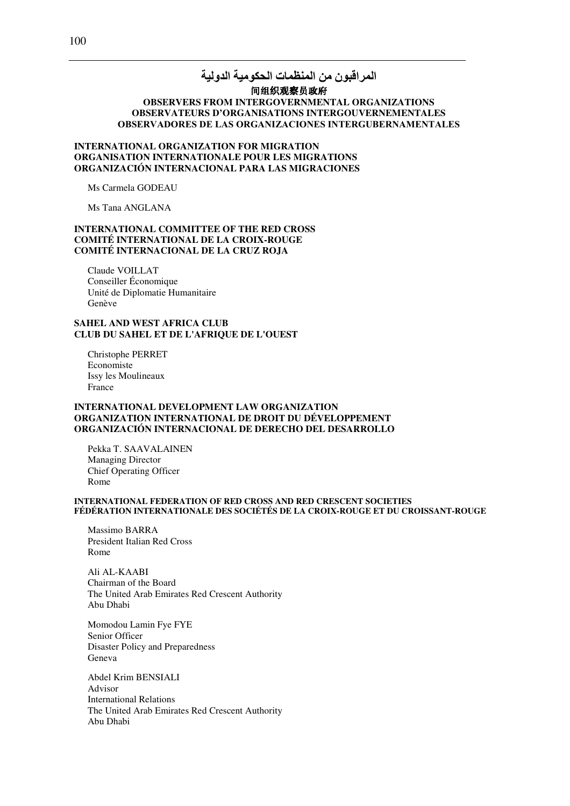## المراقبون من المنظمات الحكومية الدولية 间组织观察员政府 **OBSERVERS FROM INTERGOVERNMENTAL ORGANIZATIONS OBSERVATEURS D'ORGANISATIONS INTERGOUVERNEMENTALES**  OBSERVADORES DE LAS ORGANIZACIONES INTERGUBERNAMENTALES

### **INTERNATIONAL ORGANIZATION FOR MIGRATION ORGANISATION INTERNATIONALE POUR LES MIGRATIONS ORGANIZACIÓN INTERNACIONAL PARA LAS MIGRACIONES**

Ms Carmela GODEAU

Ms Tana ANGLANA

### **INTERNATIONAL COMMITTEE OF THE RED CROSS COMITÉ INTERNATIONAL DE LA CROIX-ROUGE COMITÉ INTERNACIONAL DE LA CRUZ ROJA**

Claude VOILLAT Conseiller Économique Unité de Diplomatie Humanitaire Genève

### **SAHEL AND WEST AFRICA CLUB CLUB DU SAHEL ET DE L'AFRIQUE DE L'OUEST**

Christophe PERRET Economiste Issy les Moulineaux France

#### **INTERNATIONAL DEVELOPMENT LAW ORGANIZATION ORGANIZATION INTERNATIONAL DE DROIT DU DÉVELOPPEMENT ORGANIZACIÓN INTERNACIONAL DE DERECHO DEL DESARROLLO**

Pekka T. SAAVALAINEN Managing Director Chief Operating Officer Rome

#### **INTERNATIONAL FEDERATION OF RED CROSS AND RED CRESCENT SOCIETIES FÉDÉRATION INTERNATIONALE DES SOCIÉTÉS DE LA CROIX-ROUGE ET DU CROISSANT-ROUGE**

Massimo BARRA President Italian Red Cross Rome

Ali AL-KAABI Chairman of the Board The United Arab Emirates Red Crescent Authority Abu Dhabi

Momodou Lamin Fye FYE Senior Officer Disaster Policy and Preparedness Geneva

Abdel Krim BENSIALI Advisor International Relations The United Arab Emirates Red Crescent Authority Abu Dhabi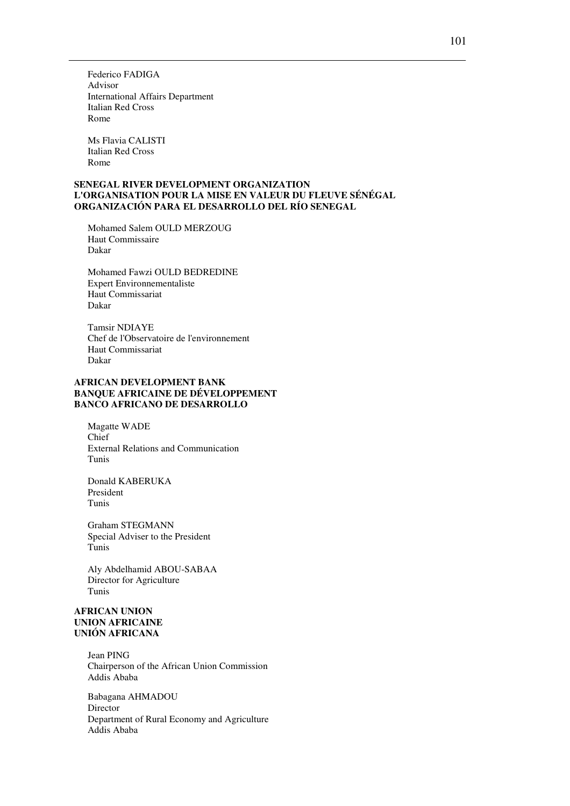Federico FADIGA Advisor International Affairs Department Italian Red Cross Rome

Ms Flavia CALISTI Italian Red Cross Rome

#### **SENEGAL RIVER DEVELOPMENT ORGANIZATION L'ORGANISATION POUR LA MISE EN VALEUR DU FLEUVE SÉNÉGAL ORGANIZACIÓN PARA EL DESARROLLO DEL RÍO SENEGAL**

Mohamed Salem OULD MERZOUG Haut Commissaire Dakar

Mohamed Fawzi OULD BEDREDINE Expert Environnementaliste Haut Commissariat Dakar

Tamsir NDIAYE Chef de l'Observatoire de l'environnement Haut Commissariat Dakar

## **AFRICAN DEVELOPMENT BANK BANQUE AFRICAINE DE DÉVELOPPEMENT BANCO AFRICANO DE DESARROLLO**

Magatte WADE Chief External Relations and Communication Tunis

Donald KABERUKA President Tunis

Graham STEGMANN Special Adviser to the President Tunis

Aly Abdelhamid ABOU-SABAA Director for Agriculture Tunis

### **AFRICAN UNION UNION AFRICAINE UNIÓN AFRICANA**

Jean PING Chairperson of the African Union Commission Addis Ababa

Babagana AHMADOU Director Department of Rural Economy and Agriculture Addis Ababa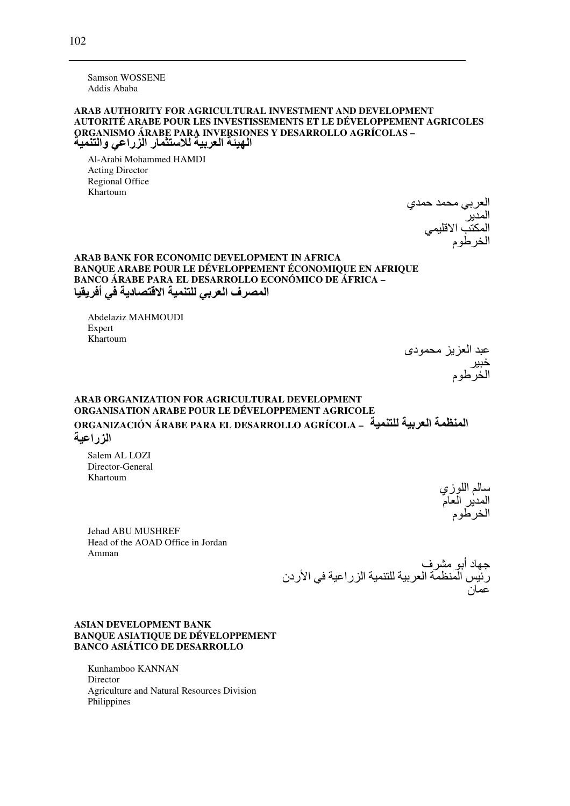**Samson WOSSENE** Addis Ababa

### ARAB AUTHORITY FOR AGRICULTURAL INVESTMENT AND DEVELOPMENT AUTORITÉ ARABE POUR LES INVESTISSEMENTS ET LE DÉVELOPPEMENT AGRICOLES ORGANISMO ÁRABE PARA INVERSIONES Y DESARROLLO AGRÍCOLAS -الـهيئـة الـعربيـة للاستثمـار الزراعي والتنميـة

Al-Arabi Mohammed HAMDI **Acting Director** Regional Office Khartoum

العربي محمد حمدي<br>المدير<br>المكتب الاقلي*مي*<br>الخرطوم

### ARAB BANK FOR ECONOMIC DEVELOPMENT IN AFRICA **BANOUE ARABE POUR LE DÉVELOPPEMENT ÉCONOMIQUE EN AFRIQUE BANCO ÁRABE PARA EL DESARROLLO ECONÓMICO DE ÁFRICA -**المصرف العربي للتنمية الاقتصادية في أفريقيا

Abdelaziz MAHMOUDI Expert Khartoum

عبد العزيز محمودي<br>خبير<br>الخرطوم

# ARAB ORGANIZATION FOR AGRICULTURAL DEVELOPMENT ORGANISATION ARABE POUR LE DÉVELOPPEMENT AGRICOLE ORGANIZACIÓN ÁRABE PARA EL DESARROLLO AGRÍCOLA – المنظمة العربية للتنمية المزراعية

Salem AL LOZI Director-General Khartoum

سالم اللوزي<br>المدير العام<br>الخرطوم

**Jehad ABU MUSHREF** Head of the AOAD Office in Jordan Amman

جهاد أبو مشرف<br>رئيس المنظمة العربية للتنمية الزراعية في الأردن<br>-

### **ASIAN DEVELOPMENT BANK BANQUE ASIATIQUE DE DÉVELOPPEMENT BANCO ASIÁTICO DE DESARROLLO**

Kunhamboo KANNAN Director Agriculture and Natural Resources Division Philippines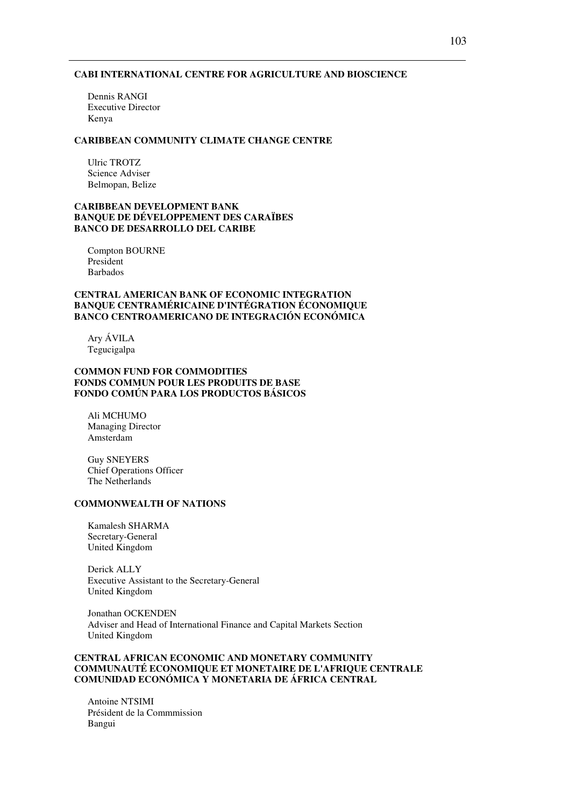#### **CABI INTERNATIONAL CENTRE FOR AGRICULTURE AND BIOSCIENCE**

Dennis RANGI Executive Director Kenya

#### **CARIBBEAN COMMUNITY CLIMATE CHANGE CENTRE**

Ulric TROTZ Science Adviser Belmopan, Belize

### **CARIBBEAN DEVELOPMENT BANK BANQUE DE DÉVELOPPEMENT DES CARAÏBES BANCO DE DESARROLLO DEL CARIBE**

Compton BOURNE President Barbados

### **CENTRAL AMERICAN BANK OF ECONOMIC INTEGRATION BANQUE CENTRAMÉRICAINE D'INTÉGRATION ÉCONOMIQUE BANCO CENTROAMERICANO DE INTEGRACIÓN ECONÓMICA**

Ary ÁVILA Tegucigalpa

## **COMMON FUND FOR COMMODITIES FONDS COMMUN POUR LES PRODUITS DE BASE FONDO COMÚN PARA LOS PRODUCTOS BÁSICOS**

Ali MCHUMO Managing Director Amsterdam

Guy SNEYERS Chief Operations Officer The Netherlands

# **COMMONWEALTH OF NATIONS**

Kamalesh SHARMA Secretary-General United Kingdom

Derick ALLY Executive Assistant to the Secretary-General United Kingdom

Jonathan OCKENDEN Adviser and Head of International Finance and Capital Markets Section United Kingdom

### **CENTRAL AFRICAN ECONOMIC AND MONETARY COMMUNITY COMMUNAUTÉ ECONOMIQUE ET MONETAIRE DE L'AFRIQUE CENTRALE COMUNIDAD ECONÓMICA Y MONETARIA DE ÁFRICA CENTRAL**

Antoine NTSIMI Président de la Commmission Bangui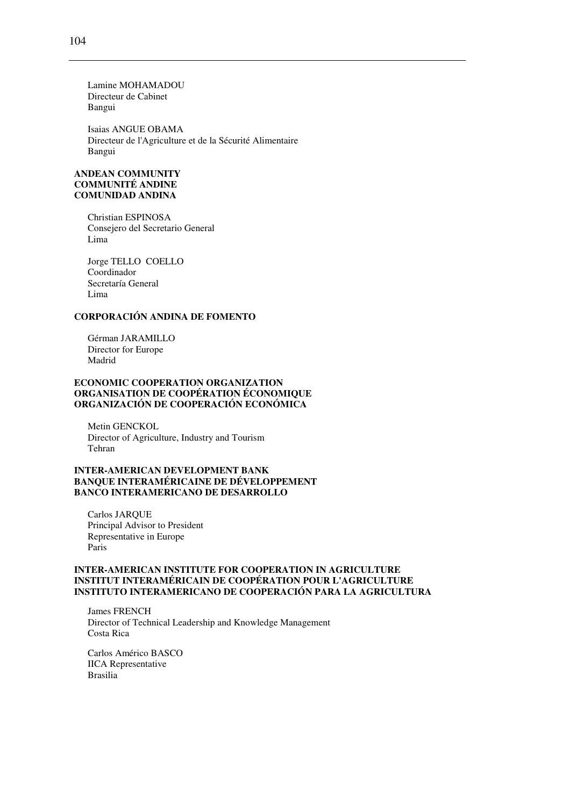Lamine MOHAMADOU Directeur de Cabinet Bangui

Isaias ANGUE OBAMA Directeur de l'Agriculture et de la Sécurité Alimentaire Bangui

### **ANDEAN COMMUNITY COMMUNITÉ ANDINE COMUNIDAD ANDINA**

Christian ESPINOSA Consejero del Secretario General Lima

Jorge TELLO COELLO Coordinador Secretaría General Lima

## **CORPORACIÓN ANDINA DE FOMENTO**

Gérman JARAMILLO Director for Europe Madrid

### **ECONOMIC COOPERATION ORGANIZATION ORGANISATION DE COOPÉRATION ÉCONOMIQUE ORGANIZACIÓN DE COOPERACIÓN ECONÓMICA**

Metin GENCKOL Director of Agriculture, Industry and Tourism Tehran

## **INTER-AMERICAN DEVELOPMENT BANK BANQUE INTERAMÉRICAINE DE DÉVELOPPEMENT BANCO INTERAMERICANO DE DESARROLLO**

Carlos JARQUE Principal Advisor to President Representative in Europe Paris

### **INTER-AMERICAN INSTITUTE FOR COOPERATION IN AGRICULTURE INSTITUT INTERAMÉRICAIN DE COOPÉRATION POUR L'AGRICULTURE INSTITUTO INTERAMERICANO DE COOPERACIÓN PARA LA AGRICULTURA**

James FRENCH Director of Technical Leadership and Knowledge Management Costa Rica

Carlos Américo BASCO IICA Representative Brasilia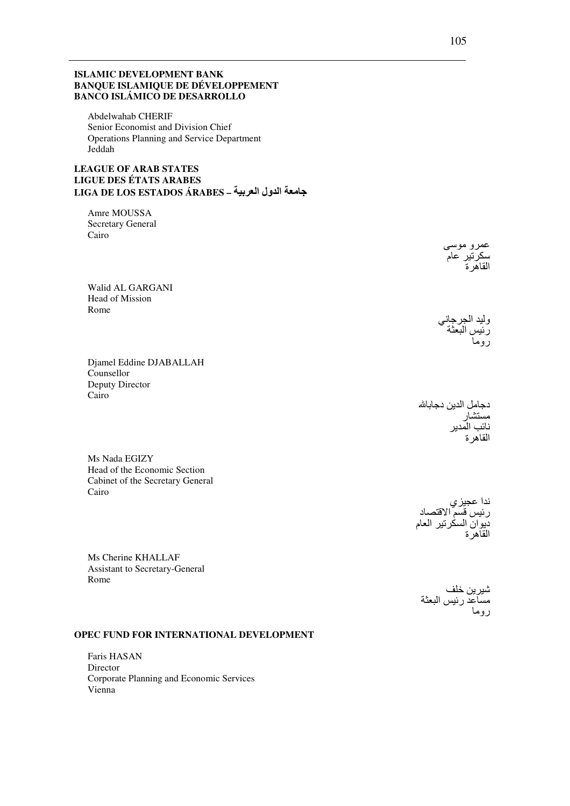### **ISLAMIC DEVELOPMENT BANK BANQUE ISLAMIQUE DE DÉVELOPPEMENT BANCO ISLÁMICO DE DESARROLLO**

Abdelwahab CHERIF Senior Economist and Division Chief Operations Planning and Service Department Jeddah

## **LEAGUE OF ARAB STATES LIGUE DES ÉTATS ARABES** جامعة الدول العربية – LIGA DE LOS ESTADOS ÁRABES

Amre MOUSSA Secretary General Cairo

Walid AL GARGANI **Head of Mission** Rome

Djamel Eddine DJABALLAH Counsellor Deputy Director Cairo

دجامل الدين دجابالله<br>مستشار<br>نائب المدير<br>القاهر ة

Ms Nada EGIZY Head of the Economic Section Cabinet of the Secretary General Cairo

> ندا عجيز *ي* سہ عقبیري<br>رئيس قسم الاقتصاد<br>ديوان السكرتير العام<br>القاهر ة

Ms Cherine KHALLAF Assistant to Secretary-General Rome

شيرين خلف<br>مساعد رئيس البعثة<br>روما

### OPEC FUND FOR INTERNATIONAL DEVELOPMENT

Faris HASAN Director Corporate Planning and Economic Services Vienna

وليد الجرجاني<br>رئيس البعثة<br>روما

عمرو موسى سكرتير عام<br>القاهرة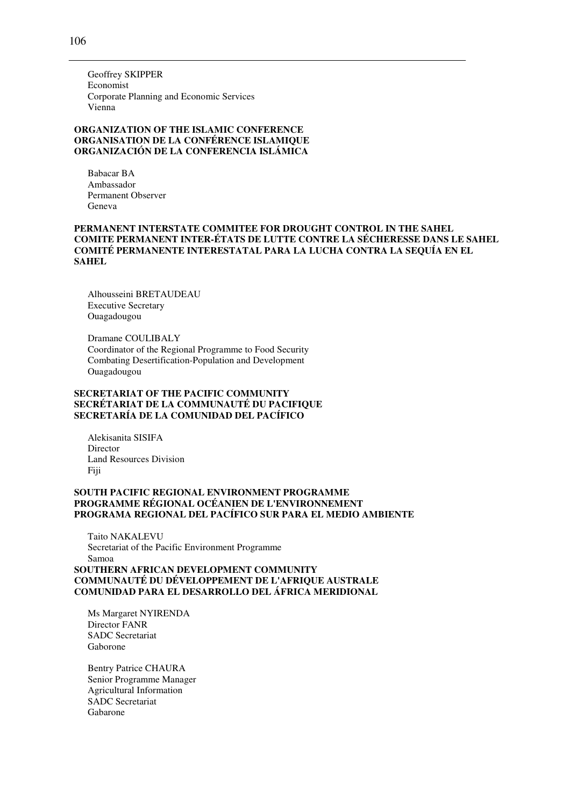Geoffrey SKIPPER Economist Corporate Planning and Economic Services Vienna

### **ORGANIZATION OF THE ISLAMIC CONFERENCE ORGANISATION DE LA CONFÉRENCE ISLAMIQUE ORGANIZACIÓN DE LA CONFERENCIA ISLÁMICA**

Babacar BA Ambassador Permanent Observer Geneva

### **PERMANENT INTERSTATE COMMITEE FOR DROUGHT CONTROL IN THE SAHEL COMITE PERMANENT INTER-ÉTATS DE LUTTE CONTRE LA SÉCHERESSE DANS LE SAHEL COMITÉ PERMANENTE INTERESTATAL PARA LA LUCHA CONTRA LA SEQUÍA EN EL SAHEL**

Alhousseini BRETAUDEAU Executive Secretary Ouagadougou

Dramane COULIBALY Coordinator of the Regional Programme to Food Security Combating Desertification-Population and Development Ouagadougou

### **SECRETARIAT OF THE PACIFIC COMMUNITY SECRÉTARIAT DE LA COMMUNAUTÉ DU PACIFIQUE SECRETARÍA DE LA COMUNIDAD DEL PACÍFICO**

Alekisanita SISIFA **Director** Land Resources Division Fiji

### **SOUTH PACIFIC REGIONAL ENVIRONMENT PROGRAMME PROGRAMME RÉGIONAL OCÉANIEN DE L'ENVIRONNEMENT PROGRAMA REGIONAL DEL PACÍFICO SUR PARA EL MEDIO AMBIENTE**

Taito NAKALEVU Secretariat of the Pacific Environment Programme Samoa

**SOUTHERN AFRICAN DEVELOPMENT COMMUNITY COMMUNAUTÉ DU DÉVELOPPEMENT DE L'AFRIQUE AUSTRALE COMUNIDAD PARA EL DESARROLLO DEL ÁFRICA MERIDIONAL** 

Ms Margaret NYIRENDA Director FANR SADC Secretariat Gaborone

Bentry Patrice CHAURA Senior Programme Manager Agricultural Information SADC Secretariat Gabarone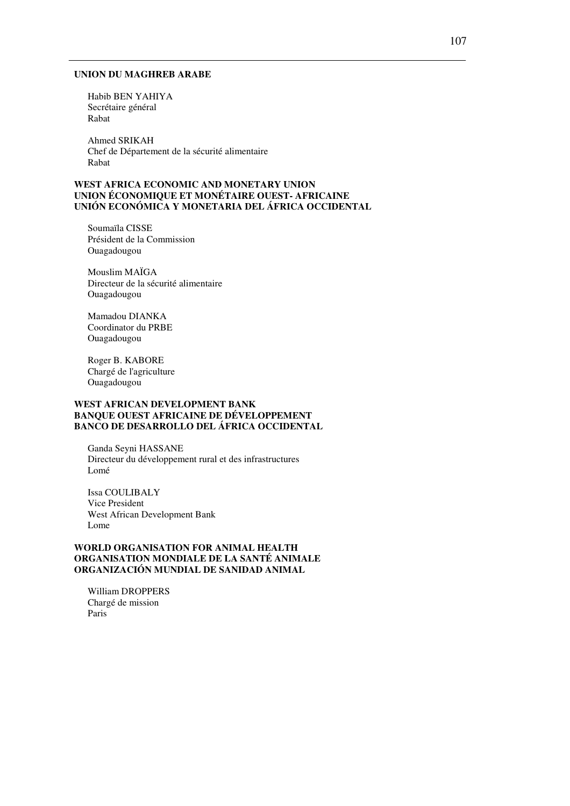#### **UNION DU MAGHREB ARABE**

Habib BEN YAHIYA Secrétaire général Rabat

Ahmed SRIKAH Chef de Département de la sécurité alimentaire Rabat

### **WEST AFRICA ECONOMIC AND MONETARY UNION UNION ÉCONOMIQUE ET MONÉTAIRE OUEST- AFRICAINE UNIÓN ECONÓMICA Y MONETARIA DEL ÁFRICA OCCIDENTAL**

Soumaïla CISSE Président de la Commission Ouagadougou

Mouslim MAÏGA Directeur de la sécurité alimentaire Ouagadougou

Mamadou DIANKA Coordinator du PRBE Ouagadougou

Roger B. KABORE Chargé de l'agriculture Ouagadougou

### **WEST AFRICAN DEVELOPMENT BANK BANQUE OUEST AFRICAINE DE DÉVELOPPEMENT BANCO DE DESARROLLO DEL ÁFRICA OCCIDENTAL**

Ganda Seyni HASSANE Directeur du développement rural et des infrastructures Lomé

Issa COULIBALY Vice President West African Development Bank Lome

### **WORLD ORGANISATION FOR ANIMAL HEALTH ORGANISATION MONDIALE DE LA SANTÉ ANIMALE ORGANIZACIÓN MUNDIAL DE SANIDAD ANIMAL**

William DROPPERS Chargé de mission Paris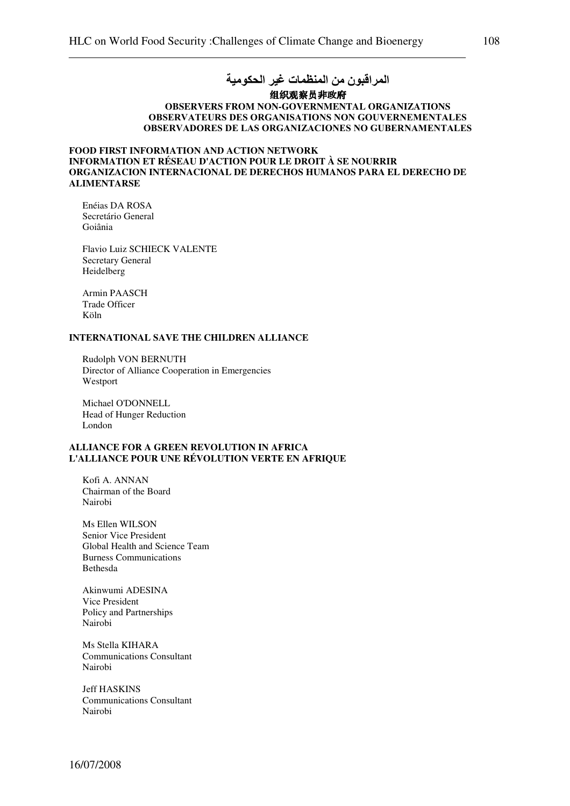#### 组织观察员非政府 **OBSERVERS FROM NON-GOVERNMENTAL ORGANIZATIONS**  OBSERVATEURS DES ORGANISATIONS NON GOUVERNEMENTALES OBSERVADORES DE LAS ORGANIZACIONES NO GUBERNAMENTALES

# **FOOD FIRST INFORMATION AND ACTION NETWORK INFORMATION ET RÉSEAU D'ACTION POUR LE DROIT À SE NOURRIR ORGANIZACION INTERNACIONAL DE DERECHOS HUMANOS PARA EL DERECHO DE ALIMENTARSE**

Enéias DA ROSA Secretário General Goiânia

Flavio Luiz SCHIECK VALENTE Secretary General Heidelberg

Armin PAASCH Trade Officer Köln

#### **INTERNATIONAL SAVE THE CHILDREN ALLIANCE**

Rudolph VON BERNUTH Director of Alliance Cooperation in Emergencies Westport

Michael O'DONNELL Head of Hunger Reduction London

#### **ALLIANCE FOR A GREEN REVOLUTION IN AFRICA L'ALLIANCE POUR UNE RÉVOLUTION VERTE EN AFRIQUE**

Kofi A. ANNAN Chairman of the Board Nairobi

Ms Ellen WILSON Senior Vice President Global Health and Science Team Burness Communications Bethesda

Akinwumi ADESINA Vice President Policy and Partnerships Nairobi

Ms Stella KIHARA Communications Consultant Nairobi

Jeff HASKINS Communications Consultant Nairobi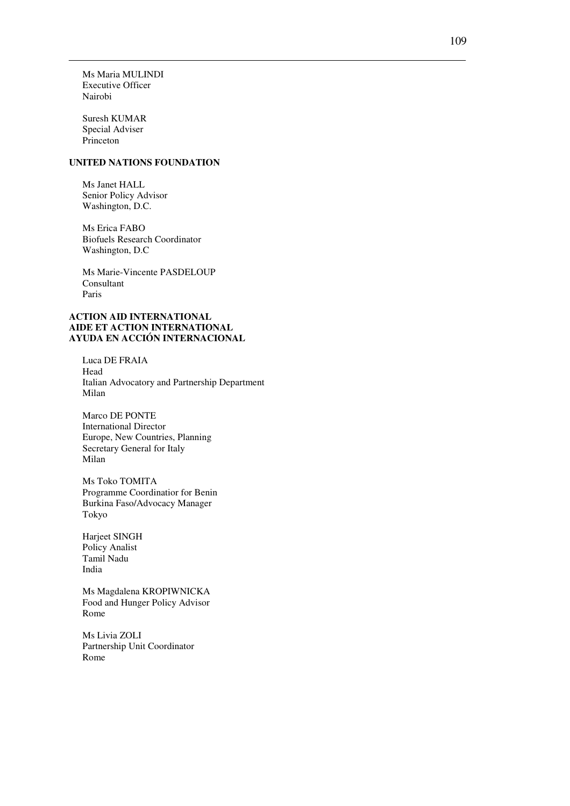Ms Maria MULINDI Executive Officer Nairobi

Suresh KUMAR Special Adviser Princeton

# **UNITED NATIONS FOUNDATION**

Ms Janet HALL Senior Policy Advisor Washington, D.C.

Ms Erica FABO Biofuels Research Coordinator Washington, D.C

Ms Marie-Vincente PASDELOUP Consultant Paris

#### **ACTION AID INTERNATIONAL AIDE ET ACTION INTERNATIONAL AYUDA EN ACCIÓN INTERNACIONAL**

Luca DE FRAIA Head Italian Advocatory and Partnership Department Milan

Marco DE PONTE International Director Europe, New Countries, Planning Secretary General for Italy Milan

Ms Toko TOMITA Programme Coordinatior for Benin Burkina Faso/Advocacy Manager Tokyo

Harjeet SINGH Policy Analist Tamil Nadu India

Ms Magdalena KROPIWNICKA Food and Hunger Policy Advisor Rome

Ms Livia ZOLI Partnership Unit Coordinator Rome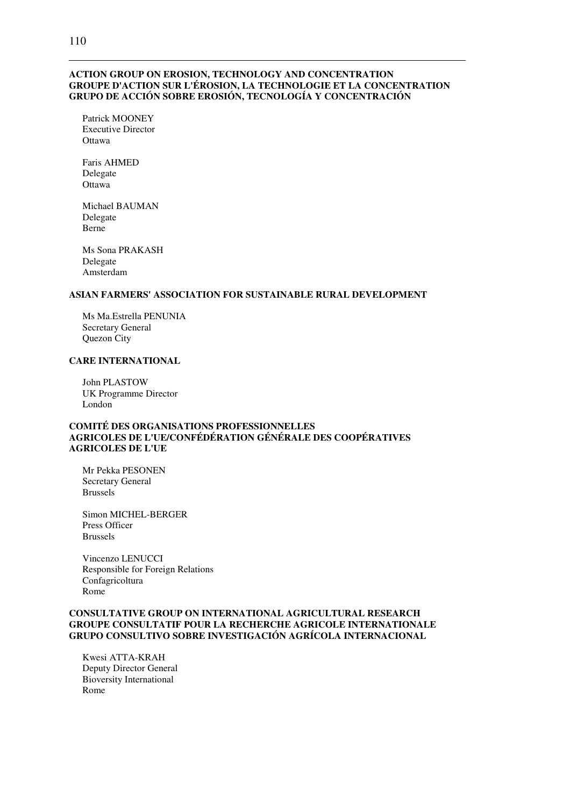# **ACTION GROUP ON EROSION, TECHNOLOGY AND CONCENTRATION GROUPE D'ACTION SUR L'ÉROSION, LA TECHNOLOGIE ET LA CONCENTRATION GRUPO DE ACCIÓN SOBRE EROSIÓN, TECNOLOGÍA Y CONCENTRACIÓN**

Patrick MOONEY Executive Director **Ottawa** 

Faris AHMED Delegate Ottawa

Michael BAUMAN Delegate Berne

Ms Sona PRAKASH Delegate Amsterdam

# **ASIAN FARMERS' ASSOCIATION FOR SUSTAINABLE RURAL DEVELOPMENT**

Ms Ma.Estrella PENUNIA Secretary General Quezon City

# **CARE INTERNATIONAL**

John PLASTOW UK Programme Director London

### **COMITÉ DES ORGANISATIONS PROFESSIONNELLES AGRICOLES DE L'UE/CONFÉDÉRATION GÉNÉRALE DES COOPÉRATIVES AGRICOLES DE L'UE**

Mr Pekka PESONEN Secretary General Brussels

Simon MICHEL-BERGER Press Officer Brussels

Vincenzo LENUCCI Responsible for Foreign Relations Confagricoltura Rome

# **CONSULTATIVE GROUP ON INTERNATIONAL AGRICULTURAL RESEARCH GROUPE CONSULTATIF POUR LA RECHERCHE AGRICOLE INTERNATIONALE GRUPO CONSULTIVO SOBRE INVESTIGACIÓN AGRÍCOLA INTERNACIONAL**

Kwesi ATTA-KRAH Deputy Director General Bioversity International Rome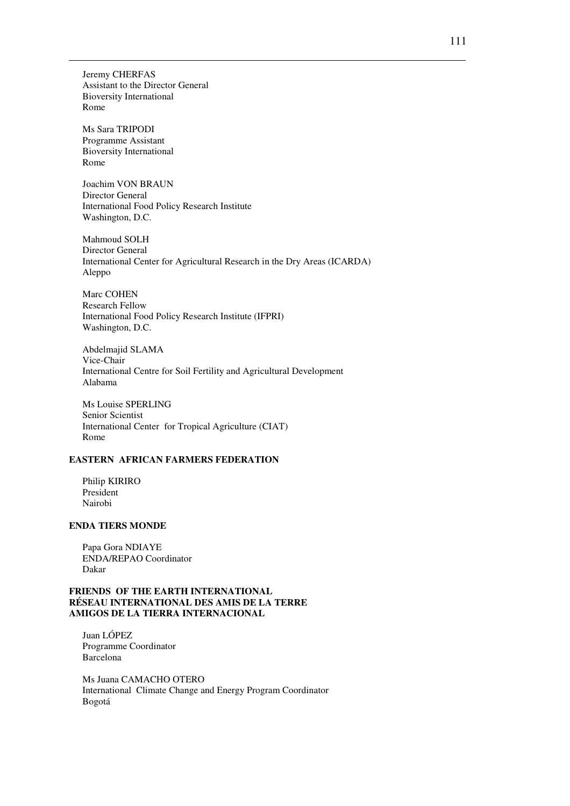Jeremy CHERFAS Assistant to the Director General Bioversity International Rome

Ms Sara TRIPODI Programme Assistant Bioversity International Rome

Joachim VON BRAUN Director General International Food Policy Research Institute Washington, D.C.

Mahmoud SOLH Director General International Center for Agricultural Research in the Dry Areas (ICARDA) Aleppo

Marc COHEN Research Fellow International Food Policy Research Institute (IFPRI) Washington, D.C.

Abdelmajid SLAMA Vice-Chair International Centre for Soil Fertility and Agricultural Development Alabama

Ms Louise SPERLING Senior Scientist International Center for Tropical Agriculture (CIAT) Rome

#### **EASTERN AFRICAN FARMERS FEDERATION**

Philip KIRIRO President Nairobi

# **ENDA TIERS MONDE**

Papa Gora NDIAYE ENDA/REPAO Coordinator Dakar

## **FRIENDS OF THE EARTH INTERNATIONAL RÉSEAU INTERNATIONAL DES AMIS DE LA TERRE AMIGOS DE LA TIERRA INTERNACIONAL**

Juan LÓPEZ Programme Coordinator Barcelona

Ms Juana CAMACHO OTERO International Climate Change and Energy Program Coordinator Bogotá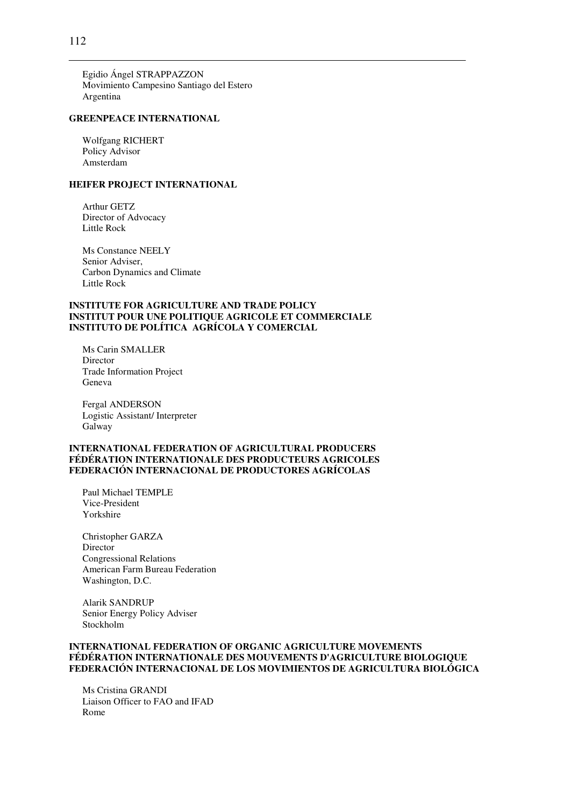Egidio Ángel STRAPPAZZON Movimiento Campesino Santiago del Estero Argentina

#### **GREENPEACE INTERNATIONAL**

Wolfgang RICHERT Policy Advisor Amsterdam

#### **HEIFER PROJECT INTERNATIONAL**

Arthur GETZ Director of Advocacy Little Rock

Ms Constance NEELY Senior Adviser, Carbon Dynamics and Climate Little Rock

### **INSTITUTE FOR AGRICULTURE AND TRADE POLICY INSTITUT POUR UNE POLITIQUE AGRICOLE ET COMMERCIALE INSTITUTO DE POLÍTICA AGRÍCOLA Y COMERCIAL**

Ms Carin SMALLER Director Trade Information Project Geneva

Fergal ANDERSON Logistic Assistant/ Interpreter Galway

### **INTERNATIONAL FEDERATION OF AGRICULTURAL PRODUCERS FÉDÉRATION INTERNATIONALE DES PRODUCTEURS AGRICOLES FEDERACIÓN INTERNACIONAL DE PRODUCTORES AGRÍCOLAS**

Paul Michael TEMPLE Vice-President Yorkshire

Christopher GARZA Director Congressional Relations American Farm Bureau Federation Washington, D.C.

Alarik SANDRUP Senior Energy Policy Adviser Stockholm

# **INTERNATIONAL FEDERATION OF ORGANIC AGRICULTURE MOVEMENTS FÉDÉRATION INTERNATIONALE DES MOUVEMENTS D'AGRICULTURE BIOLOGIQUE FEDERACIÓN INTERNACIONAL DE LOS MOVIMIENTOS DE AGRICULTURA BIOLÓGICA**

Ms Cristina GRANDI Liaison Officer to FAO and IFAD Rome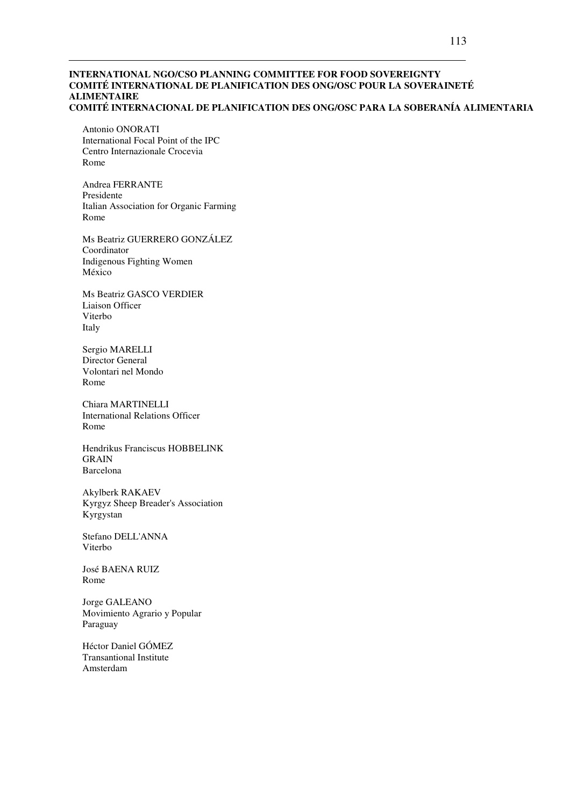#### **INTERNATIONAL NGO/CSO PLANNING COMMITTEE FOR FOOD SOVEREIGNTY COMITÉ INTERNATIONAL DE PLANIFICATION DES ONG/OSC POUR LA SOVERAINETÉ ALIMENTAIRE COMITÉ INTERNACIONAL DE PLANIFICATION DES ONG/OSC PARA LA SOBERANÍA ALIMENTARIA**

Antonio ONORATI International Focal Point of the IPC Centro Internazionale Crocevia Rome

Andrea FERRANTE Presidente Italian Association for Organic Farming Rome

Ms Beatriz GUERRERO GONZÁLEZ Coordinator Indigenous Fighting Women México

Ms Beatriz GASCO VERDIER Liaison Officer Viterbo Italy

Sergio MARELLI Director General Volontari nel Mondo Rome

Chiara MARTINELLI International Relations Officer Rome

Hendrikus Franciscus HOBBELINK GRAIN Barcelona

Akylberk RAKAEV Kyrgyz Sheep Breader's Association Kyrgystan

Stefano DELL'ANNA Viterbo

José BAENA RUIZ Rome

Jorge GALEANO Movimiento Agrario y Popular Paraguay

Héctor Daniel GÓMEZ Transantional Institute Amsterdam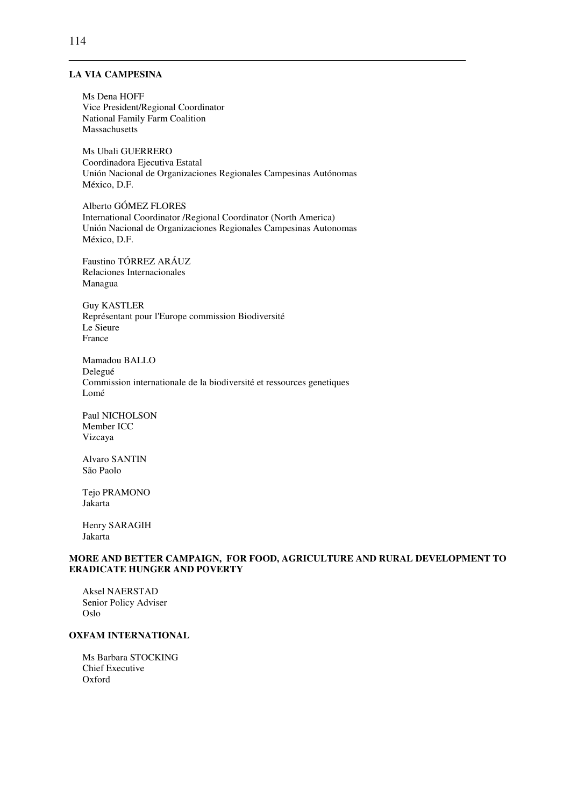# **LA VIA CAMPESINA**

Ms Dena HOFF Vice President/Regional Coordinator National Family Farm Coalition Massachusetts

Ms Ubali GUERRERO Coordinadora Ejecutiva Estatal Unión Nacional de Organizaciones Regionales Campesinas Autónomas México, D.F.

Alberto GÓMEZ FLORES International Coordinator /Regional Coordinator (North America) Unión Nacional de Organizaciones Regionales Campesinas Autonomas México, D.F.

Faustino TÓRREZ ARÁUZ Relaciones Internacionales Managua

Guy KASTLER Représentant pour l'Europe commission Biodiversité Le Sieure France

Mamadou BALLO Delegué Commission internationale de la biodiversité et ressources genetiques Lomé

Paul NICHOLSON Member ICC Vizcaya

Alvaro SANTIN São Paolo

Tejo PRAMONO Jakarta

Henry SARAGIH Jakarta

#### **MORE AND BETTER CAMPAIGN, FOR FOOD, AGRICULTURE AND RURAL DEVELOPMENT TO ERADICATE HUNGER AND POVERTY**

Aksel NAERSTAD Senior Policy Adviser Oslo

# **OXFAM INTERNATIONAL**

Ms Barbara STOCKING Chief Executive Oxford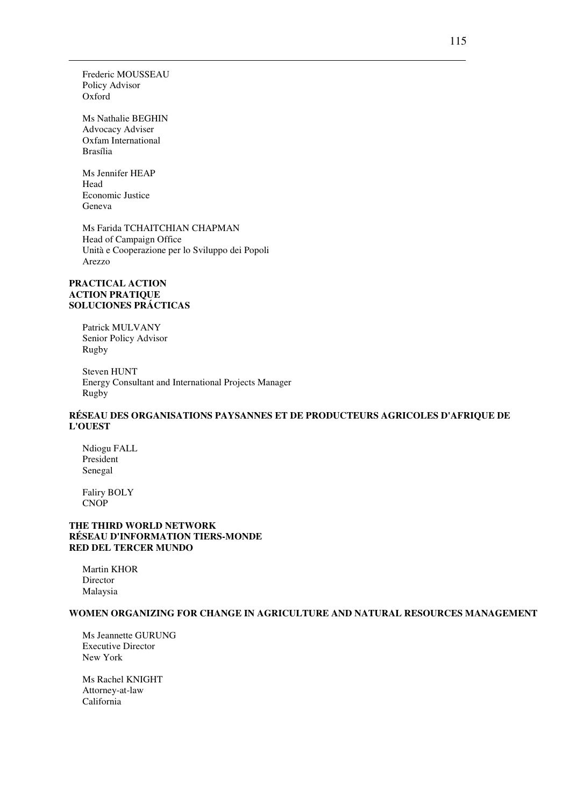Frederic MOUSSEAU Policy Advisor Oxford

Ms Nathalie BEGHIN Advocacy Adviser Oxfam International Brasília

Ms Jennifer HEAP Head Economic Justice Geneva

Ms Farida TCHAITCHIAN CHAPMAN Head of Campaign Office Unità e Cooperazione per lo Sviluppo dei Popoli Arezzo

#### **PRACTICAL ACTION ACTION PRATIQUE SOLUCIONES PRÁCTICAS**

Patrick MULVANY Senior Policy Advisor Rugby

Steven HUNT Energy Consultant and International Projects Manager Rugby

# **RÉSEAU DES ORGANISATIONS PAYSANNES ET DE PRODUCTEURS AGRICOLES D'AFRIQUE DE L'OUEST**

Ndiogu FALL President Senegal

Faliry BOLY CNOP

# **THE THIRD WORLD NETWORK RÉSEAU D'INFORMATION TIERS-MONDE RED DEL TERCER MUNDO**

Martin KHOR Director Malaysia

#### **WOMEN ORGANIZING FOR CHANGE IN AGRICULTURE AND NATURAL RESOURCES MANAGEMENT**

Ms Jeannette GURUNG Executive Director New York

Ms Rachel KNIGHT Attorney-at-law California